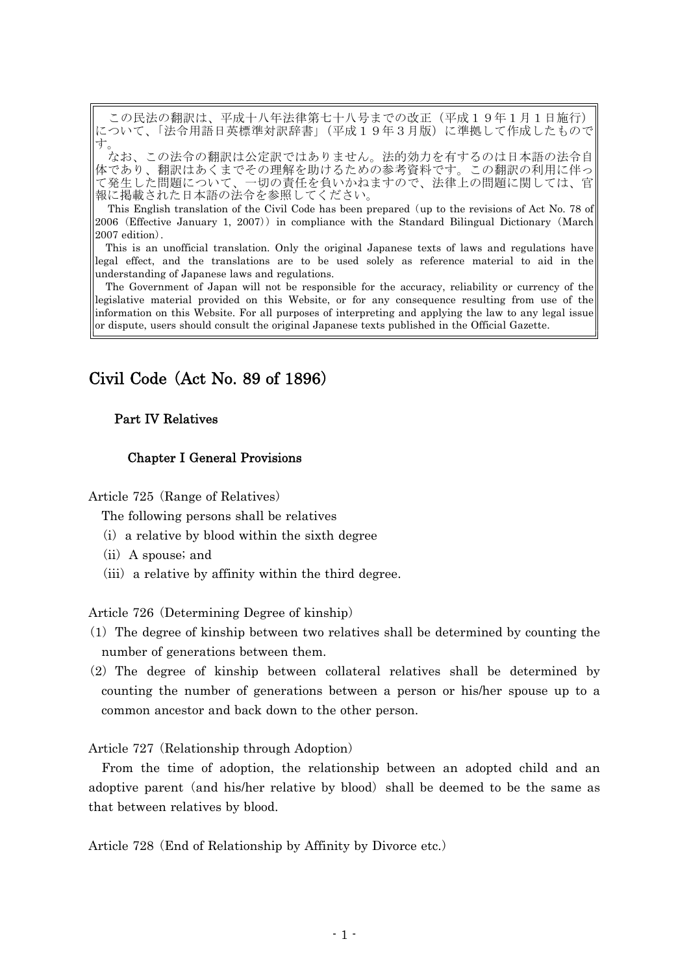この民法の翻訳は、平成十八年法律第七十八号までの改正(平成19年1月1日施行) .ついて、「法令用語日英標準対訳辞書」(平成19年3月版)に準拠して作成したもので す。

なお、この法令の翻訳は公定訳ではありません。法的効力を有するのは日本語の法令自 体であり、翻訳はあくまでその理解を助けるための参考資料です。この翻訳の利用に伴っ て発生した問題について、一切の責任を負いかねますので、法律上の問題に関しては、官 報に掲載された日本語の法令を参照してください。

This English translation of the Civil Code has been prepared (up to the revisions of Act No. 78 of 2006 (Effective January 1, 2007)) in compliance with the Standard Bilingual Dictionary (March  $2007$  edition).

This is an unofficial translation. Only the original Japanese texts of laws and regulations have legal effect, and the translations are to be used solely as reference material to aid in the understanding of Japanese laws and regulations.

The Government of Japan will not be responsible for the accuracy, reliability or currency of the legislative material provided on this Website, or for any consequence resulting from use of the information on this Website. For all purposes of interpreting and applying the law to any legal issue or dispute, users should consult the original Japanese texts published in the Official Gazette.

# Civil Code  $(Act No. 89 of 1896)$

# Part IV Relatives

# Chapter I General Provisions

Article 725 (Range of Relatives)

The following persons shall be relatives

- $(i)$  a relative by blood within the sixth degree
- $(ii)$  A spouse; and
- $(iii)$  a relative by affinity within the third degree.

Article 726 (Determining Degree of kinship)

- $(1)$  The degree of kinship between two relatives shall be determined by counting the number of generations between them.
- $(2)$  The degree of kinship between collateral relatives shall be determined by counting the number of generations between a person or his/her spouse up to a common ancestor and back down to the other person.

Article 727 (Relationship through Adoption)

From the time of adoption, the relationship between an adopted child and an adoptive parent (and his/her relative by blood) shall be deemed to be the same as that between relatives by blood.

Article 728 (End of Relationship by Affinity by Divorce etc.)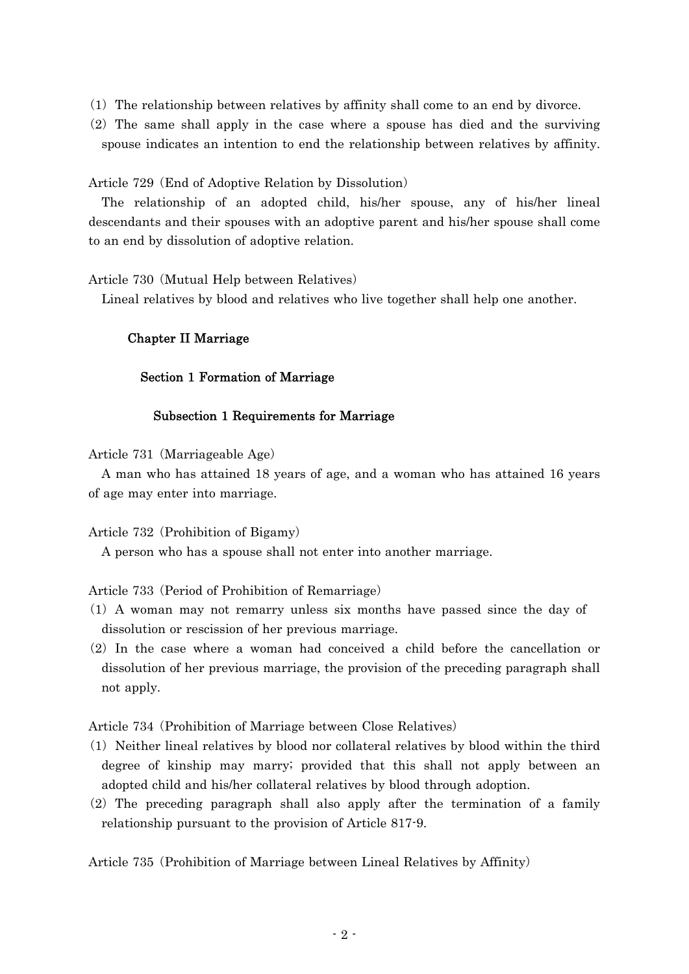- $(1)$  The relationship between relatives by affinity shall come to an end by divorce.
- $(2)$  The same shall apply in the case where a spouse has died and the surviving spouse indicates an intention to end the relationship between relatives by affinity.

Article 729 (End of Adoptive Relation by Dissolution)

The relationship of an adopted child, his/her spouse, any of his/her lineal descendants and their spouses with an adoptive parent and his/her spouse shall come to an end by dissolution of adoptive relation.

Article 730 (Mutual Help between Relatives)

Lineal relatives by blood and relatives who live together shall help one another.

## Chapter II Marriage

## Section 1 Formation of Marriage

## Subsection 1 Requirements for Marriage

Article 731 (Marriageable Age)

A man who has attained 18 years of age, and a woman who has attained 16 years of age may enter into marriage.

Article 732 (Prohibition of Bigamy)

A person who has a spouse shall not enter into another marriage.

Article 733 (Period of Prohibition of Remarriage)

- ( )1 A woman may not remarry unless six months have passed since the day of dissolution or rescission of her previous marriage.
- $(2)$  In the case where a woman had conceived a child before the cancellation or dissolution of her previous marriage, the provision of the preceding paragraph shall not apply.

Article 734 (Prohibition of Marriage between Close Relatives)

- ( )1 Neither lineal relatives by blood nor collateral relatives by blood within the third degree of kinship may marry; provided that this shall not apply between an adopted child and his/her collateral relatives by blood through adoption.
- $(2)$  The preceding paragraph shall also apply after the termination of a family relationship pursuant to the provision of Article 817-9.

Article 735 (Prohibition of Marriage between Lineal Relatives by Affinity)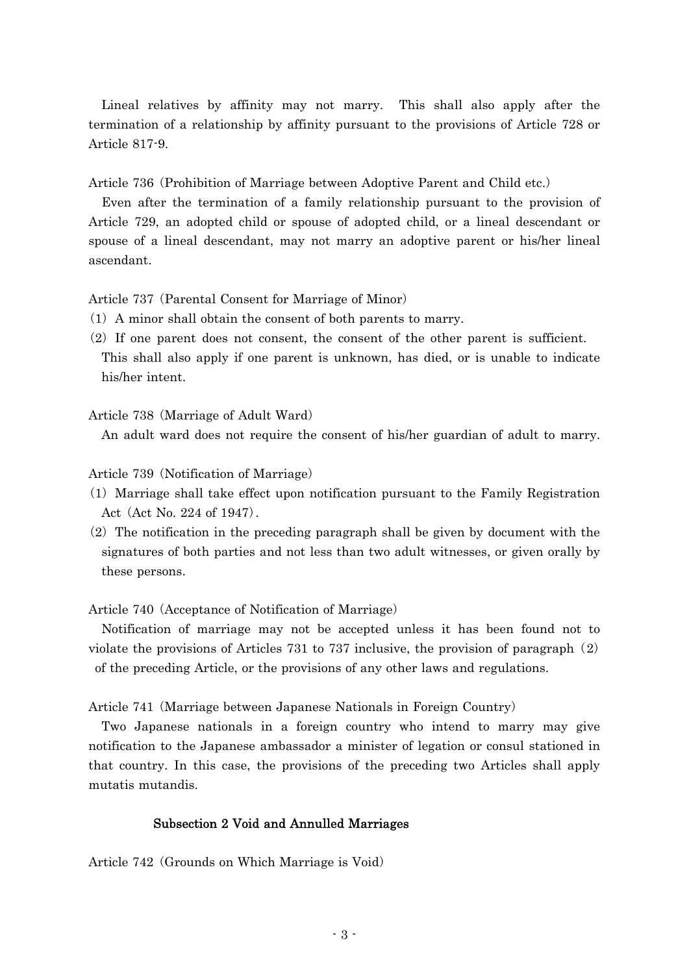Lineal relatives by affinity may not marry. This shall also apply after the termination of a relationship by affinity pursuant to the provisions of Article 728 or Article 817-9.

Article 736 (Prohibition of Marriage between Adoptive Parent and Child etc.)

Even after the termination of a family relationship pursuant to the provision of Article 729, an adopted child or spouse of adopted child, or a lineal descendant or spouse of a lineal descendant, may not marry an adoptive parent or his/her lineal ascendant.

Article 737 (Parental Consent for Marriage of Minor)

- $(1)$  A minor shall obtain the consent of both parents to marry.
- $(2)$  If one parent does not consent, the consent of the other parent is sufficient. This shall also apply if one parent is unknown, has died, or is unable to indicate his/her intent.

Article 738 (Marriage of Adult Ward)

An adult ward does not require the consent of his/her guardian of adult to marry.

Article 739 (Notification of Marriage)

- ( )1 Marriage shall take effect upon notification pursuant to the Family Registration Act (Act No. 224 of 1947).
- $(2)$  The notification in the preceding paragraph shall be given by document with the signatures of both parties and not less than two adult witnesses, or given orally by these persons.

Article 740 (Acceptance of Notification of Marriage)

Notification of marriage may not be accepted unless it has been found not to violate the provisions of Articles  $731$  to  $737$  inclusive, the provision of paragraph  $(2)$ of the preceding Article, or the provisions of any other laws and regulations.

Article 741 (Marriage between Japanese Nationals in Foreign Country)

Two Japanese nationals in a foreign country who intend to marry may give notification to the Japanese ambassador a minister of legation or consul stationed in that country. In this case, the provisions of the preceding two Articles shall apply mutatis mutandis.

### Subsection 2 Void and Annulled Marriages

Article 742 (Grounds on Which Marriage is Void)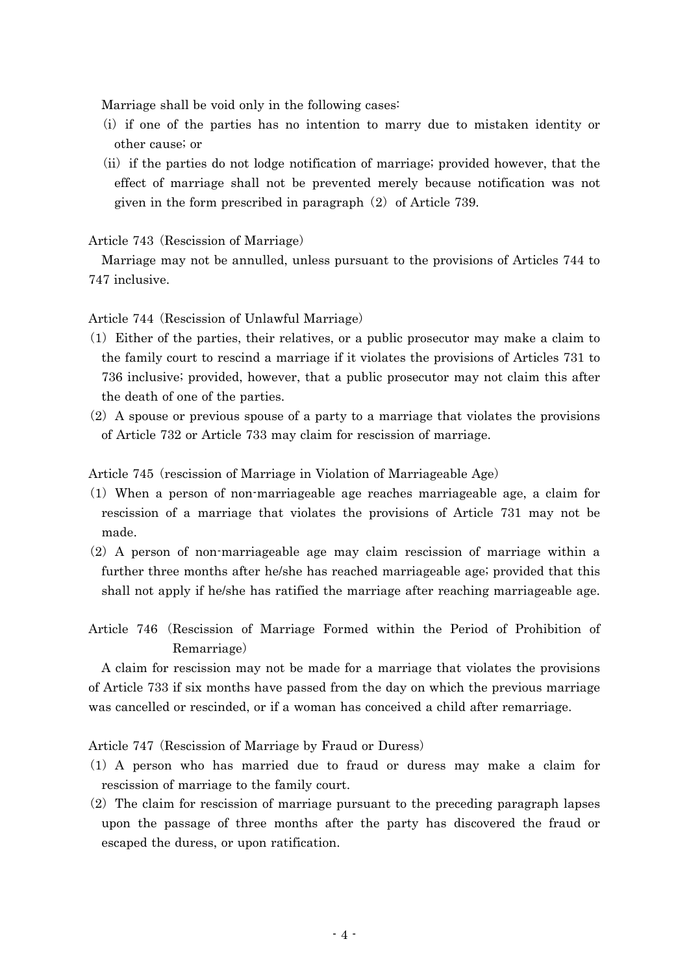Marriage shall be void only in the following cases:

- (i) if one of the parties has no intention to marry due to mistaken identity or other cause; or
- (ii) if the parties do not lodge notification of marriage; provided however, that the effect of marriage shall not be prevented merely because notification was not given in the form prescribed in paragraph  $(2)$  of Article 739.

Article 743 (Rescission of Marriage)

Marriage may not be annulled, unless pursuant to the provisions of Articles 744 to 747 inclusive.

Article 744 (Rescission of Unlawful Marriage)

- $(1)$  Either of the parties, their relatives, or a public prosecutor may make a claim to the family court to rescind a marriage if it violates the provisions of Articles 731 to 736 inclusive; provided, however, that a public prosecutor may not claim this after the death of one of the parties.
- $(2)$  A spouse or previous spouse of a party to a marriage that violates the provisions of Article 732 or Article 733 may claim for rescission of marriage.

Article 745 (rescission of Marriage in Violation of Marriageable Age)

- ( )1 When a person of non-marriageable age reaches marriageable age, a claim for rescission of a marriage that violates the provisions of Article 731 may not be made.
- $(2)$  A person of non-marriageable age may claim rescission of marriage within a further three months after he/she has reached marriageable age; provided that this shall not apply if he/she has ratified the marriage after reaching marriageable age.
- Article 746 (Rescission of Marriage Formed within the Period of Prohibition of Remarriage)

A claim for rescission may not be made for a marriage that violates the provisions of Article 733 if six months have passed from the day on which the previous marriage was cancelled or rescinded, or if a woman has conceived a child after remarriage.

Article 747 (Rescission of Marriage by Fraud or Duress)

- ( )1 A person who has married due to fraud or duress may make a claim for rescission of marriage to the family court.
- $(2)$  The claim for rescission of marriage pursuant to the preceding paragraph lapses upon the passage of three months after the party has discovered the fraud or escaped the duress, or upon ratification.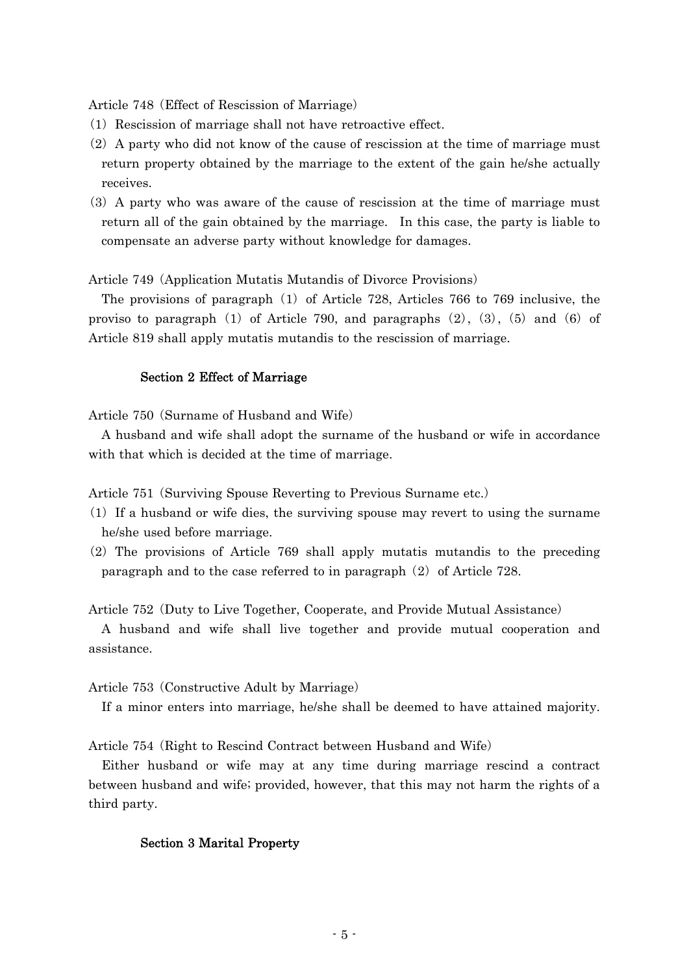Article 748 (Effect of Rescission of Marriage)

- (1) Rescission of marriage shall not have retroactive effect.
- $(2)$  A party who did not know of the cause of rescission at the time of marriage must return property obtained by the marriage to the extent of the gain he/she actually receives.
- (3) A party who was aware of the cause of rescission at the time of marriage must return all of the gain obtained by the marriage. In this case, the party is liable to compensate an adverse party without knowledge for damages.

Article 749 (Application Mutatis Mutandis of Divorce Provisions)

The provisions of paragraph  $(1)$  of Article 728, Articles 766 to 769 inclusive, the proviso to paragraph  $(1)$  of Article 790, and paragraphs  $(2)$ ,  $(3)$ ,  $(5)$  and  $(6)$  of Article 819 shall apply mutatis mutandis to the rescission of marriage.

### Section 2 Effect of Marriage

Article  $750$  (Surname of Husband and Wife)

A husband and wife shall adopt the surname of the husband or wife in accordance with that which is decided at the time of marriage.

Article 751 (Surviving Spouse Reverting to Previous Surname etc.)

- $(1)$  If a husband or wife dies, the surviving spouse may revert to using the surname he/she used before marriage.
- $(2)$  The provisions of Article 769 shall apply mutatis mutandis to the preceding paragraph and to the case referred to in paragraph  $(2)$  of Article 728.

Article 752 (Duty to Live Together, Cooperate, and Provide Mutual Assistance)

A husband and wife shall live together and provide mutual cooperation and assistance.

### Article 753 (Constructive Adult by Marriage)

If a minor enters into marriage, he/she shall be deemed to have attained majority.

Article 754 (Right to Rescind Contract between Husband and Wife)

Either husband or wife may at any time during marriage rescind a contract between husband and wife; provided, however, that this may not harm the rights of a third party.

### Section 3 Marital Property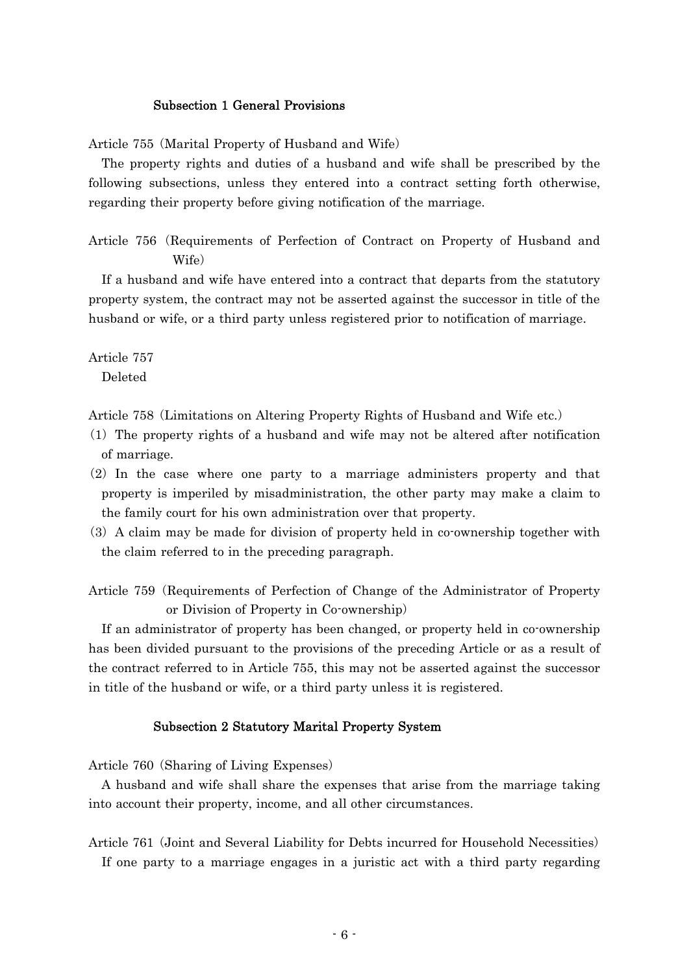### Subsection 1 General Provisions

Article 755 (Marital Property of Husband and Wife)

The property rights and duties of a husband and wife shall be prescribed by the following subsections, unless they entered into a contract setting forth otherwise, regarding their property before giving notification of the marriage.

Article 756 (Requirements of Perfection of Contract on Property of Husband and Wife)

If a husband and wife have entered into a contract that departs from the statutory property system, the contract may not be asserted against the successor in title of the husband or wife, or a third party unless registered prior to notification of marriage.

Article 757 Deleted

Article 758 (Limitations on Altering Property Rights of Husband and Wife etc.)

- $(1)$  The property rights of a husband and wife may not be altered after notification of marriage.
- $(2)$  In the case where one party to a marriage administers property and that property is imperiled by misadministration, the other party may make a claim to the family court for his own administration over that property.
- (3) A claim may be made for division of property held in co-ownership together with the claim referred to in the preceding paragraph.
- Article 759 (Requirements of Perfection of Change of the Administrator of Property or Division of Property in Co-ownership)

If an administrator of property has been changed, or property held in co-ownership has been divided pursuant to the provisions of the preceding Article or as a result of the contract referred to in Article 755, this may not be asserted against the successor in title of the husband or wife, or a third party unless it is registered.

### Subsection 2 Statutory Marital Property System

Article 760 (Sharing of Living Expenses)

A husband and wife shall share the expenses that arise from the marriage taking into account their property, income, and all other circumstances.

Article 761 (Joint and Several Liability for Debts incurred for Household Necessities) If one party to a marriage engages in a juristic act with a third party regarding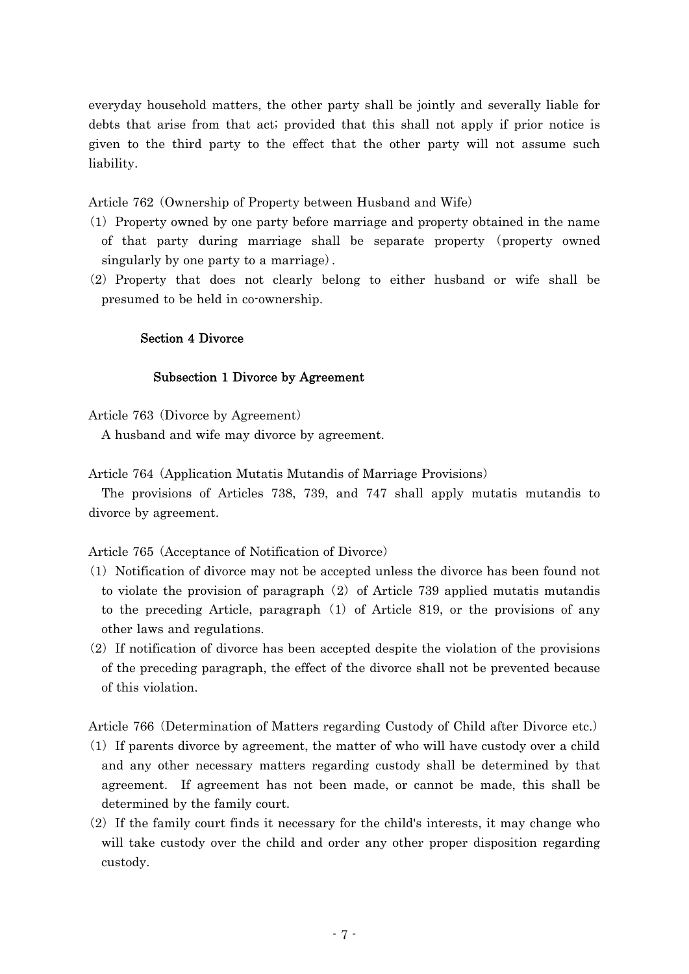everyday household matters, the other party shall be jointly and severally liable for debts that arise from that act; provided that this shall not apply if prior notice is given to the third party to the effect that the other party will not assume such liability.

Article 762 (Ownership of Property between Husband and Wife)

- ( )1 Property owned by one party before marriage and property obtained in the name of that party during marriage shall be separate property (property owned singularly by one party to a marriage.
- (2) Property that does not clearly belong to either husband or wife shall be presumed to be held in co-ownership.

## Section 4 Divorce

## Subsection 1 Divorce by Agreement

Article 763 (Divorce by Agreement)

A husband and wife may divorce by agreement.

Article 764 (Application Mutatis Mutandis of Marriage Provisions)

The provisions of Articles 738, 739, and 747 shall apply mutatis mutandis to divorce by agreement.

Article 765 (Acceptance of Notification of Divorce)

- ( )1 Notification of divorce may not be accepted unless the divorce has been found not to violate the provision of paragraph  $(2)$  of Article 739 applied mutatis mutandis to the preceding Article, paragraph  $(1)$  of Article 819, or the provisions of any other laws and regulations.
- $(2)$  If notification of divorce has been accepted despite the violation of the provisions of the preceding paragraph, the effect of the divorce shall not be prevented because of this violation.

Article 766 (Determination of Matters regarding Custody of Child after Divorce etc.)

- $(1)$  If parents divorce by agreement, the matter of who will have custody over a child and any other necessary matters regarding custody shall be determined by that agreement. If agreement has not been made, or cannot be made, this shall be determined by the family court.
- $(2)$  If the family court finds it necessary for the child's interests, it may change who will take custody over the child and order any other proper disposition regarding custody.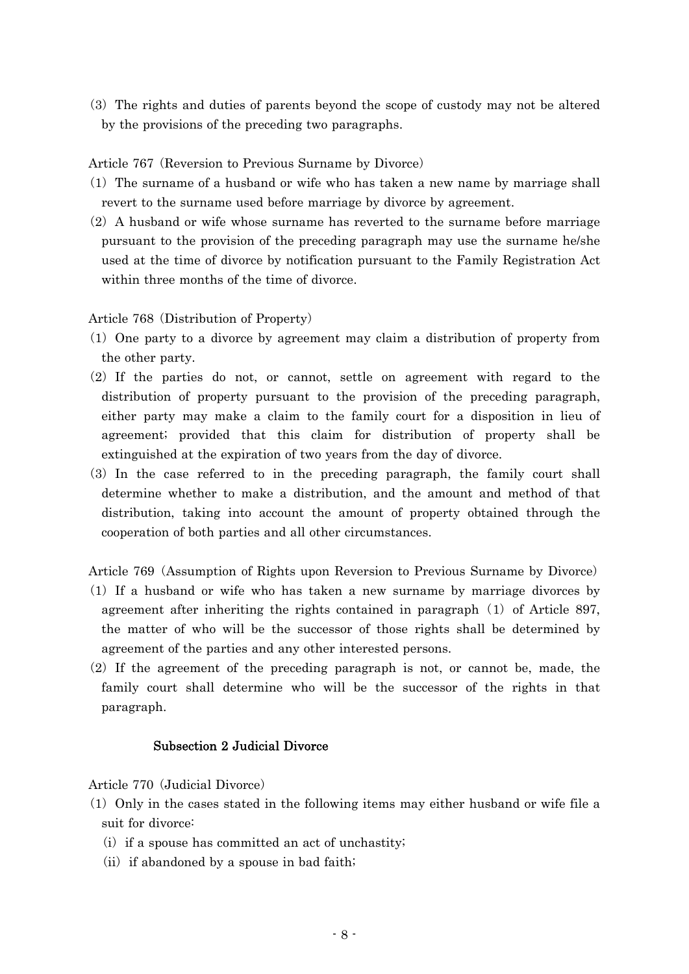( )3 The rights and duties of parents beyond the scope of custody may not be altered by the provisions of the preceding two paragraphs.

Article 767 (Reversion to Previous Surname by Divorce)

- (1) The surname of a husband or wife who has taken a new name by marriage shall revert to the surname used before marriage by divorce by agreement.
- $(2)$  A husband or wife whose surname has reverted to the surname before marriage pursuant to the provision of the preceding paragraph may use the surname he/she used at the time of divorce by notification pursuant to the Family Registration Act within three months of the time of divorce.

Article 768 (Distribution of Property)

- ( )1 One party to a divorce by agreement may claim a distribution of property from the other party.
- (2) If the parties do not, or cannot, settle on agreement with regard to the distribution of property pursuant to the provision of the preceding paragraph, either party may make a claim to the family court for a disposition in lieu of agreement; provided that this claim for distribution of property shall be extinguished at the expiration of two years from the day of divorce.
- (3) In the case referred to in the preceding paragraph, the family court shall determine whether to make a distribution, and the amount and method of that distribution, taking into account the amount of property obtained through the cooperation of both parties and all other circumstances.

Article 769 (Assumption of Rights upon Reversion to Previous Surname by Divorce)

- ( )1 If a husband or wife who has taken a new surname by marriage divorces by agreement after inheriting the rights contained in paragraph  $(1)$  of Article 897, the matter of who will be the successor of those rights shall be determined by agreement of the parties and any other interested persons.
- $(2)$  If the agreement of the preceding paragraph is not, or cannot be, made, the family court shall determine who will be the successor of the rights in that paragraph.

## Subsection 2 Judicial Divorce

Article 770 (Judicial Divorce)

- $(1)$  Only in the cases stated in the following items may either husband or wife file a suit for divorce:
	- $(i)$  if a spouse has committed an act of unchastity;
	- $(ii)$  if abandoned by a spouse in bad faith;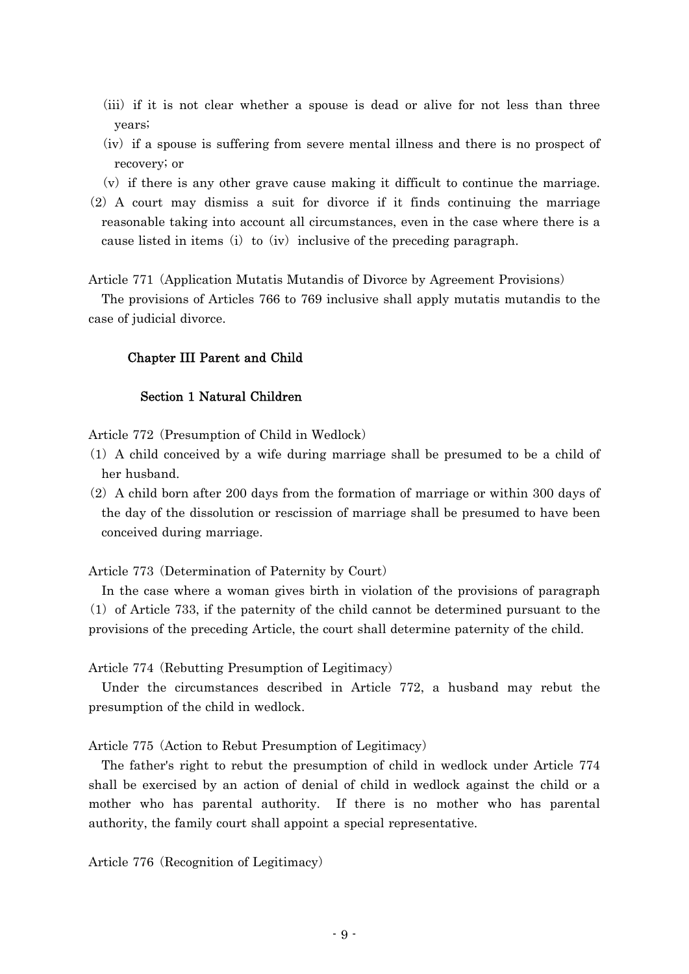- (iii) if it is not clear whether a spouse is dead or alive for not less than three years;
- (iv) if a spouse is suffering from severe mental illness and there is no prospect of recovery; or
- $(v)$  if there is any other grave cause making it difficult to continue the marriage.
- $(2)$  A court may dismiss a suit for divorce if it finds continuing the marriage reasonable taking into account all circumstances, even in the case where there is a cause listed in items (i) to (iv) inclusive of the preceding paragraph.

Article 771 (Application Mutatis Mutandis of Divorce by Agreement Provisions)

The provisions of Articles 766 to 769 inclusive shall apply mutatis mutandis to the case of judicial divorce.

### Chapter III Parent and Child

### Section 1 Natural Children

Article 772 (Presumption of Child in Wedlock)

- ( )1 A child conceived by a wife during marriage shall be presumed to be a child of her husband.
- $(2)$  A child born after 200 days from the formation of marriage or within 300 days of the day of the dissolution or rescission of marriage shall be presumed to have been conceived during marriage.

Article 773 (Determination of Paternity by Court)

In the case where a woman gives birth in violation of the provisions of paragraph  $(1)$  of Article 733, if the paternity of the child cannot be determined pursuant to the provisions of the preceding Article, the court shall determine paternity of the child.

Article 774 (Rebutting Presumption of Legitimacy)

Under the circumstances described in Article 772, a husband may rebut the presumption of the child in wedlock.

Article 775 (Action to Rebut Presumption of Legitimacy)

The father's right to rebut the presumption of child in wedlock under Article 774 shall be exercised by an action of denial of child in wedlock against the child or a mother who has parental authority. If there is no mother who has parental authority, the family court shall appoint a special representative.

Article 776 (Recognition of Legitimacy)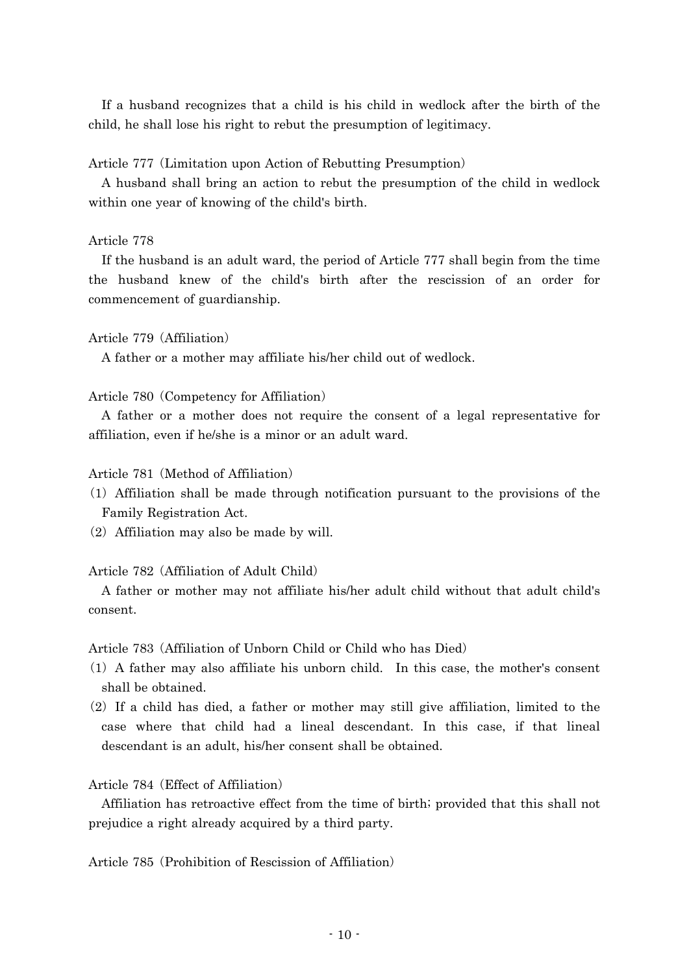If a husband recognizes that a child is his child in wedlock after the birth of the child, he shall lose his right to rebut the presumption of legitimacy.

## Article 777 (Limitation upon Action of Rebutting Presumption)

A husband shall bring an action to rebut the presumption of the child in wedlock within one year of knowing of the child's birth.

## Article 778

If the husband is an adult ward, the period of Article 777 shall begin from the time the husband knew of the child's birth after the rescission of an order for commencement of guardianship.

## Article 779 (Affiliation)

A father or a mother may affiliate his/her child out of wedlock.

## Article 780 (Competency for Affiliation)

A father or a mother does not require the consent of a legal representative for affiliation, even if he/she is a minor or an adult ward.

### Article 781 (Method of Affiliation)

- ( )1 Affiliation shall be made through notification pursuant to the provisions of the Family Registration Act.
- $(2)$  Affiliation may also be made by will.

## Article 782 (Affiliation of Adult Child)

A father or mother may not affiliate his/her adult child without that adult child's consent.

Article 783 (Affiliation of Unborn Child or Child who has Died)

- $(1)$  A father may also affiliate his unborn child. In this case, the mother's consent shall be obtained.
- $(2)$  If a child has died, a father or mother may still give affiliation, limited to the case where that child had a lineal descendant. In this case, if that lineal descendant is an adult, his/her consent shall be obtained.

## Article 784 (Effect of Affiliation)

Affiliation has retroactive effect from the time of birth; provided that this shall not prejudice a right already acquired by a third party.

Article 785 (Prohibition of Rescission of Affiliation)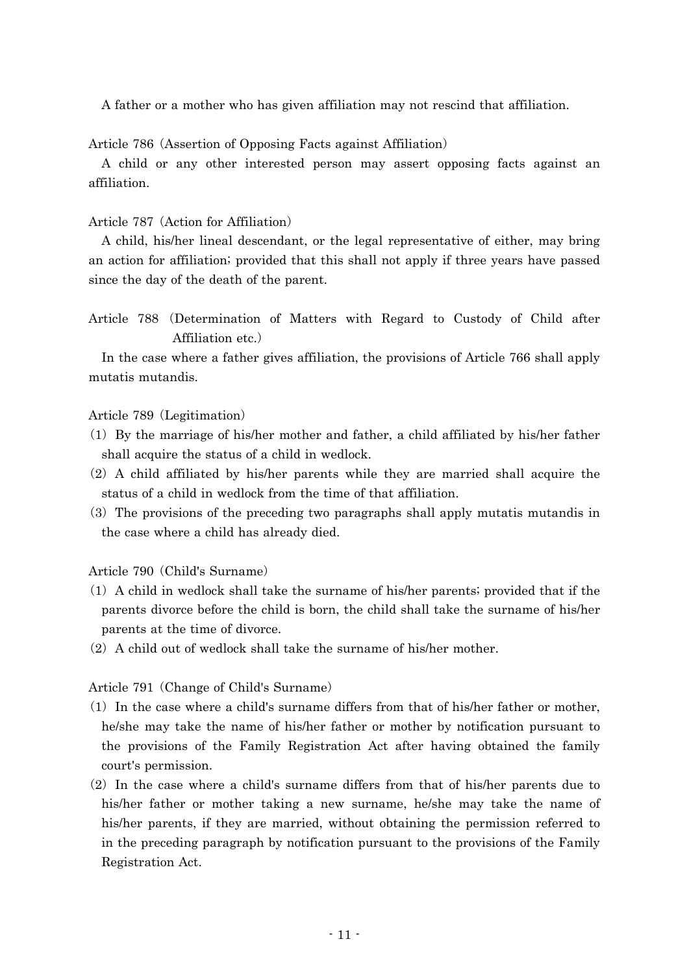A father or a mother who has given affiliation may not rescind that affiliation.

Article 786 (Assertion of Opposing Facts against Affiliation)

A child or any other interested person may assert opposing facts against an affiliation.

## Article 787 (Action for Affiliation)

A child, his/her lineal descendant, or the legal representative of either, may bring an action for affiliation; provided that this shall not apply if three years have passed since the day of the death of the parent.

Article 788 (Determination of Matters with Regard to Custody of Child after Affiliation etc.)

In the case where a father gives affiliation, the provisions of Article 766 shall apply mutatis mutandis.

### Article 789 (Legitimation)

- $(1)$  By the marriage of his/her mother and father, a child affiliated by his/her father shall acquire the status of a child in wedlock.
- $(2)$  A child affiliated by his/her parents while they are married shall acquire the status of a child in wedlock from the time of that affiliation.
- ( )3 The provisions of the preceding two paragraphs shall apply mutatis mutandis in the case where a child has already died.

Article 790 (Child's Surname)

- $(1)$  A child in wedlock shall take the surname of his/her parents; provided that if the parents divorce before the child is born, the child shall take the surname of his/her parents at the time of divorce.
- $(2)$  A child out of wedlock shall take the surname of his/her mother.

Article 791 (Change of Child's Surname)

- $(1)$  In the case where a child's surname differs from that of his/her father or mother, he/she may take the name of his/her father or mother by notification pursuant to the provisions of the Family Registration Act after having obtained the family court's permission.
- $(2)$  In the case where a child's surname differs from that of his/her parents due to his/her father or mother taking a new surname, he/she may take the name of his/her parents, if they are married, without obtaining the permission referred to in the preceding paragraph by notification pursuant to the provisions of the Family Registration Act.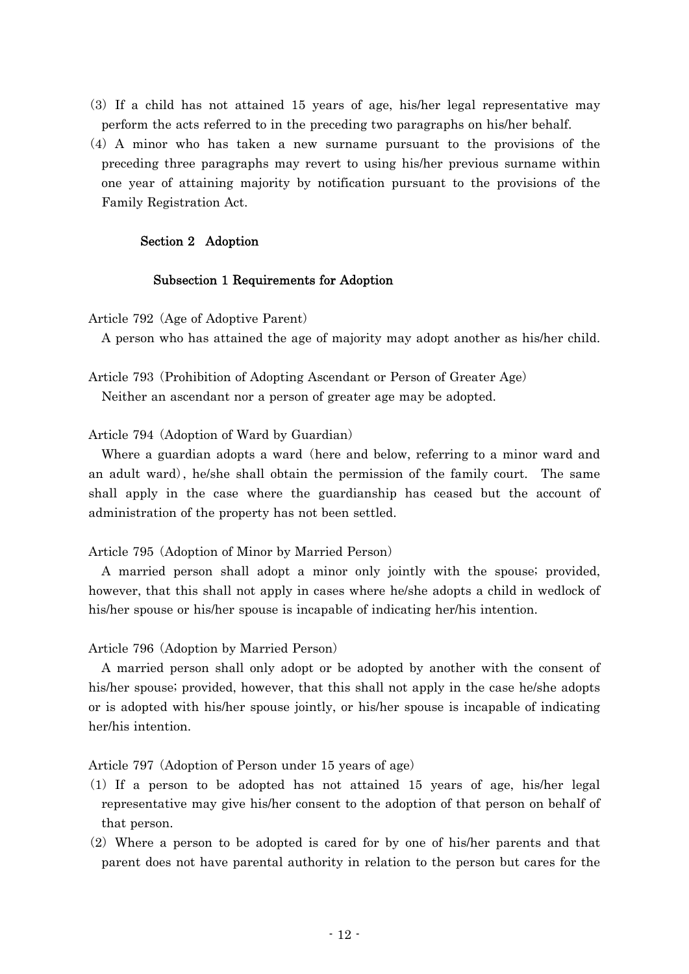- ( )3 If a child has not attained 15 years of age, his/her legal representative may perform the acts referred to in the preceding two paragraphs on his/her behalf.
- (4) A minor who has taken a new surname pursuant to the provisions of the preceding three paragraphs may revert to using his/her previous surname within one year of attaining majority by notification pursuant to the provisions of the Family Registration Act.

## Section 2 Adoption

### Subsection 1 Requirements for Adoption

Article 792 (Age of Adoptive Parent)

A person who has attained the age of majority may adopt another as his/her child.

Article 793 (Prohibition of Adopting Ascendant or Person of Greater Age) Neither an ascendant nor a person of greater age may be adopted.

Article 794 (Adoption of Ward by Guardian)

Where a guardian adopts a ward (here and below, referring to a minor ward and an adult ward), he/she shall obtain the permission of the family court. The same shall apply in the case where the guardianship has ceased but the account of administration of the property has not been settled.

Article 795 (Adoption of Minor by Married Person)

A married person shall adopt a minor only jointly with the spouse; provided, however, that this shall not apply in cases where he/she adopts a child in wedlock of his/her spouse or his/her spouse is incapable of indicating her/his intention.

Article 796 (Adoption by Married Person)

A married person shall only adopt or be adopted by another with the consent of his/her spouse; provided, however, that this shall not apply in the case he/she adopts or is adopted with his/her spouse jointly, or his/her spouse is incapable of indicating her/his intention.

Article 797 (Adoption of Person under 15 years of age)

- $(1)$  If a person to be adopted has not attained 15 years of age, his/her legal representative may give his/her consent to the adoption of that person on behalf of that person.
- $(2)$  Where a person to be adopted is cared for by one of his/her parents and that parent does not have parental authority in relation to the person but cares for the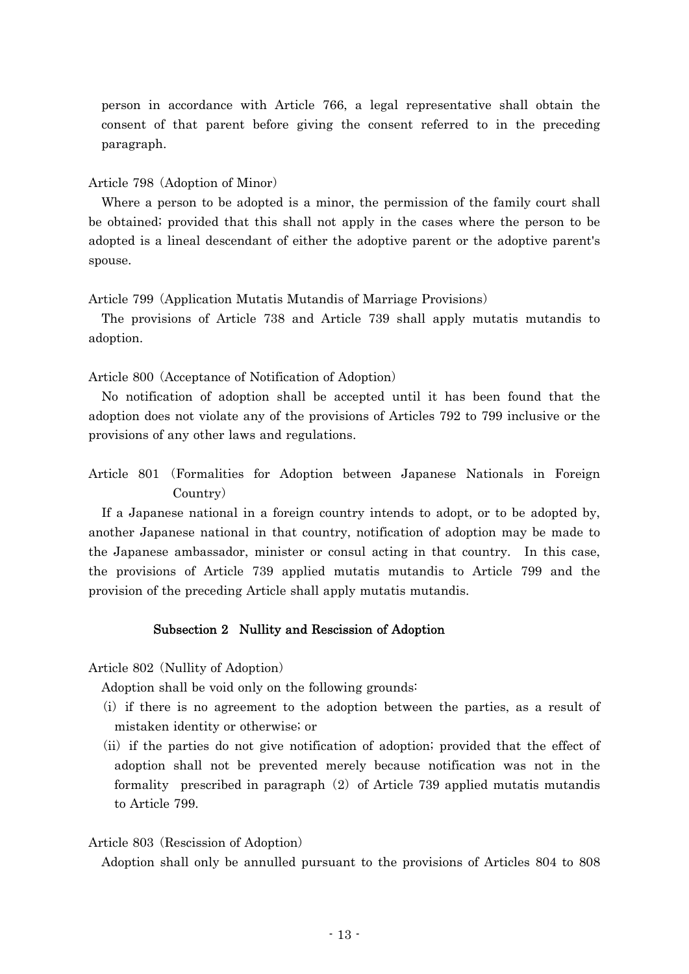person in accordance with Article 766, a legal representative shall obtain the consent of that parent before giving the consent referred to in the preceding paragraph.

Article 798 (Adoption of Minor)

Where a person to be adopted is a minor, the permission of the family court shall be obtained; provided that this shall not apply in the cases where the person to be adopted is a lineal descendant of either the adoptive parent or the adoptive parent's spouse.

Article 799 (Application Mutatis Mutandis of Marriage Provisions)

The provisions of Article 738 and Article 739 shall apply mutatis mutandis to adoption.

Article 800 (Acceptance of Notification of Adoption)

No notification of adoption shall be accepted until it has been found that the adoption does not violate any of the provisions of Articles 792 to 799 inclusive or the provisions of any other laws and regulations.

Article 801 (Formalities for Adoption between Japanese Nationals in Foreign Country)

If a Japanese national in a foreign country intends to adopt, or to be adopted by, another Japanese national in that country, notification of adoption may be made to the Japanese ambassador, minister or consul acting in that country. In this case, the provisions of Article 739 applied mutatis mutandis to Article 799 and the provision of the preceding Article shall apply mutatis mutandis.

## Subsection 2 Nullity and Rescission of Adoption

Article 802 (Nullity of Adoption)

Adoption shall be void only on the following grounds:

- (i) if there is no agreement to the adoption between the parties, as a result of mistaken identity or otherwise; or
- (ii) if the parties do not give notification of adoption; provided that the effect of adoption shall not be prevented merely because notification was not in the formality prescribed in paragraph  $(2)$  of Article 739 applied mutatis mutandis to Article 799.

### Article 803 (Rescission of Adoption)

Adoption shall only be annulled pursuant to the provisions of Articles 804 to 808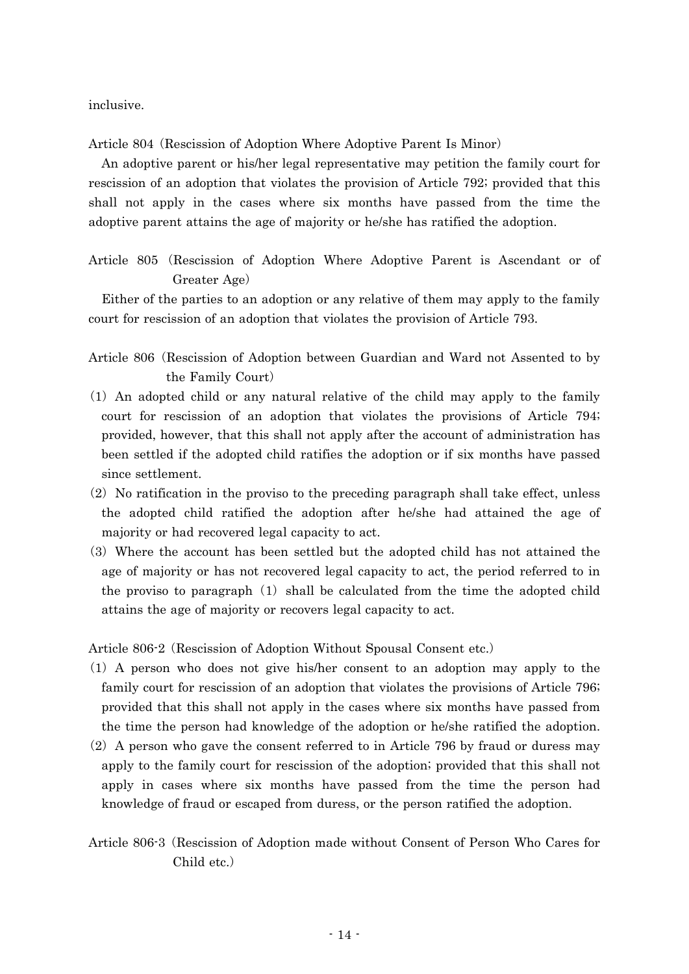inclusive.

Article 804 (Rescission of Adoption Where Adoptive Parent Is Minor)

An adoptive parent or his/her legal representative may petition the family court for rescission of an adoption that violates the provision of Article 792; provided that this shall not apply in the cases where six months have passed from the time the adoptive parent attains the age of majority or he/she has ratified the adoption.

Article 805 Rescission of Adoption Where Adoptive Parent is Ascendant or of ( Greater Age)

Either of the parties to an adoption or any relative of them may apply to the family court for rescission of an adoption that violates the provision of Article 793.

- Article 806 (Rescission of Adoption between Guardian and Ward not Assented to by the Family Court)
- ( )1 An adopted child or any natural relative of the child may apply to the family court for rescission of an adoption that violates the provisions of Article 794; provided, however, that this shall not apply after the account of administration has been settled if the adopted child ratifies the adoption or if six months have passed since settlement.
- $(2)$  No ratification in the proviso to the preceding paragraph shall take effect, unless the adopted child ratified the adoption after he/she had attained the age of majority or had recovered legal capacity to act.
- ( )3 Where the account has been settled but the adopted child has not attained the age of majority or has not recovered legal capacity to act, the period referred to in the proviso to paragraph  $(1)$  shall be calculated from the time the adopted child attains the age of majority or recovers legal capacity to act.

Article 806-2 (Rescission of Adoption Without Spousal Consent etc.)

- $(1)$  A person who does not give his/her consent to an adoption may apply to the family court for rescission of an adoption that violates the provisions of Article 796; provided that this shall not apply in the cases where six months have passed from the time the person had knowledge of the adoption or he/she ratified the adoption.
- $(2)$  A person who gave the consent referred to in Article 796 by fraud or duress may apply to the family court for rescission of the adoption; provided that this shall not apply in cases where six months have passed from the time the person had knowledge of fraud or escaped from duress, or the person ratified the adoption.
- Article 806-3 (Rescission of Adoption made without Consent of Person Who Cares for Child etc.)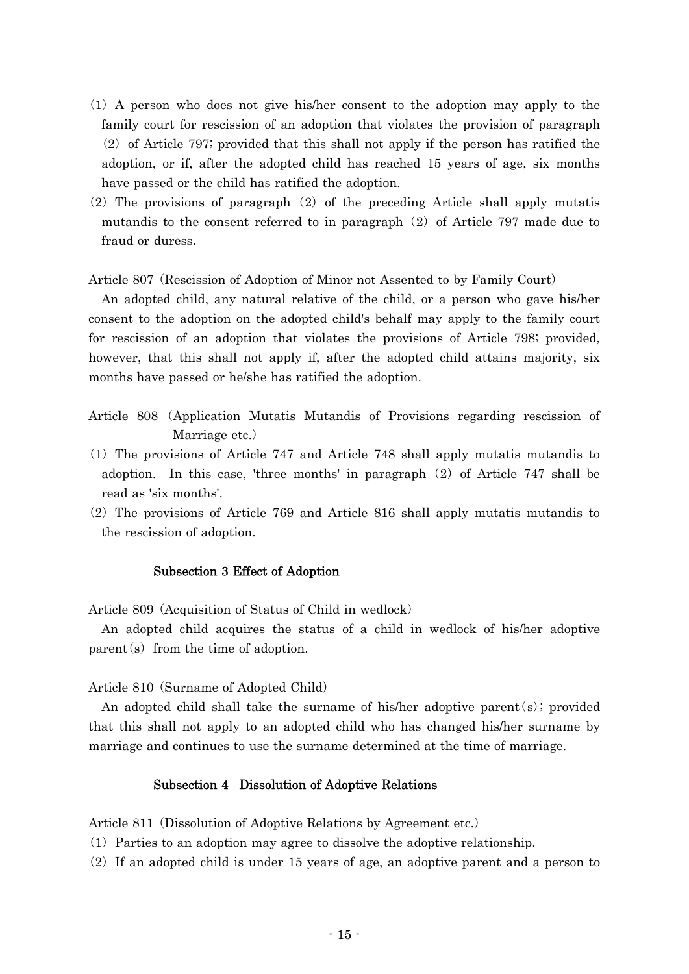- ( )1 A person who does not give his/her consent to the adoption may apply to the family court for rescission of an adoption that violates the provision of paragraph  $(2)$  of Article 797; provided that this shall not apply if the person has ratified the adoption, or if, after the adopted child has reached 15 years of age, six months have passed or the child has ratified the adoption.
- $(2)$  The provisions of paragraph  $(2)$  of the preceding Article shall apply mutatis mutandis to the consent referred to in paragraph  $(2)$  of Article 797 made due to fraud or duress.

Article 807 (Rescission of Adoption of Minor not Assented to by Family Court)

An adopted child, any natural relative of the child, or a person who gave his/her consent to the adoption on the adopted child's behalf may apply to the family court for rescission of an adoption that violates the provisions of Article 798; provided, however, that this shall not apply if, after the adopted child attains majority, six months have passed or he/she has ratified the adoption.

- Article 808 Application Mutatis Mutandis of Provisions regarding rescission of ( Marriage etc.)
- ( )1 The provisions of Article 747 and Article 748 shall apply mutatis mutandis to adoption. In this case, 'three months' in paragraph  $(2)$  of Article 747 shall be read as 'six months'.
- $(2)$  The provisions of Article 769 and Article 816 shall apply mutatis mutandis to the rescission of adoption.

### Subsection 3 Effect of Adoption

Article 809 (Acquisition of Status of Child in wedlock)

An adopted child acquires the status of a child in wedlock of his/her adoptive  $parent(s)$  from the time of adoption.

Article 810 (Surname of Adopted Child)

An adopted child shall take the surname of his/her adoptive parent  $(s)$ ; provided that this shall not apply to an adopted child who has changed his/her surname by marriage and continues to use the surname determined at the time of marriage.

### Subsection 4 Dissolution of Adoptive Relations

Article 811 (Dissolution of Adoptive Relations by Agreement etc.)

- ( )1 Parties to an adoption may agree to dissolve the adoptive relationship.
- $(2)$  If an adopted child is under 15 years of age, an adoptive parent and a person to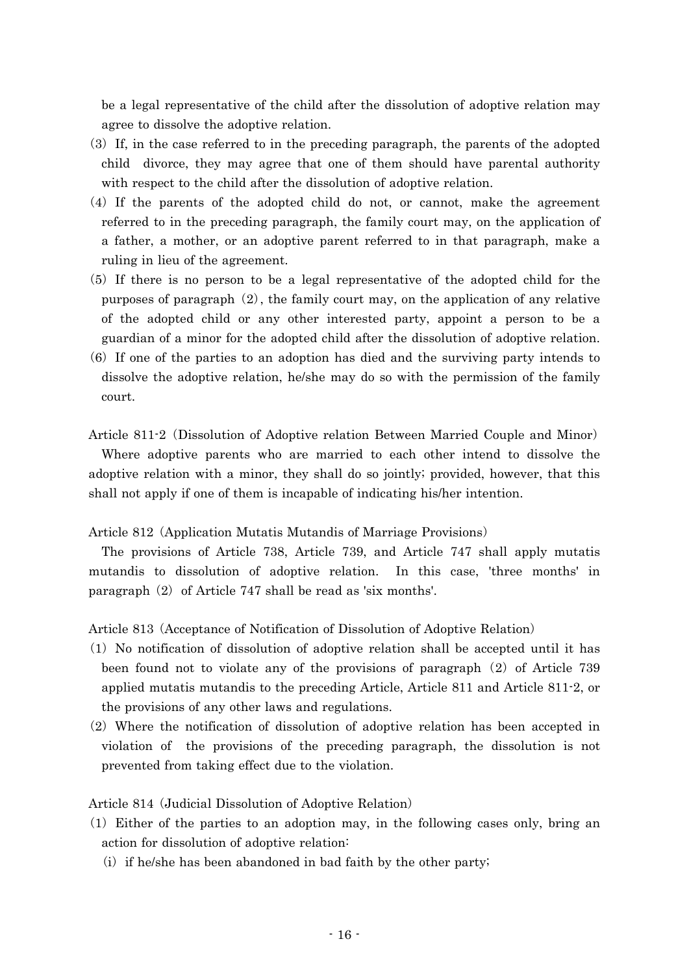be a legal representative of the child after the dissolution of adoptive relation may agree to dissolve the adoptive relation.

- $(3)$  If, in the case referred to in the preceding paragraph, the parents of the adopted child divorce, they may agree that one of them should have parental authority with respect to the child after the dissolution of adoptive relation.
- $(4)$  If the parents of the adopted child do not, or cannot, make the agreement referred to in the preceding paragraph, the family court may, on the application of a father, a mother, or an adoptive parent referred to in that paragraph, make a ruling in lieu of the agreement.
- (5) If there is no person to be a legal representative of the adopted child for the purposes of paragraph  $(2)$ , the family court may, on the application of any relative of the adopted child or any other interested party, appoint a person to be a guardian of a minor for the adopted child after the dissolution of adoptive relation.
- (6) If one of the parties to an adoption has died and the surviving party intends to dissolve the adoptive relation, he/she may do so with the permission of the family court.

Article 811-2 (Dissolution of Adoptive relation Between Married Couple and Minor) Where adoptive parents who are married to each other intend to dissolve the adoptive relation with a minor, they shall do so jointly; provided, however, that this shall not apply if one of them is incapable of indicating his/her intention.

Article 812 (Application Mutatis Mutandis of Marriage Provisions)

The provisions of Article 738, Article 739, and Article 747 shall apply mutatis mutandis to dissolution of adoptive relation. In this case, 'three months' in paragraph  $(2)$  of Article 747 shall be read as 'six months'.

Article 813 (Acceptance of Notification of Dissolution of Adoptive Relation)

- $(1)$  No notification of dissolution of adoptive relation shall be accepted until it has been found not to violate any of the provisions of paragraph  $(2)$  of Article 739 applied mutatis mutandis to the preceding Article, Article 811 and Article 811-2, or the provisions of any other laws and regulations.
- $(2)$  Where the notification of dissolution of adoptive relation has been accepted in violation of the provisions of the preceding paragraph, the dissolution is not prevented from taking effect due to the violation.

Article 814 (Judicial Dissolution of Adoptive Relation)

- $(1)$  Either of the parties to an adoption may, in the following cases only, bring an action for dissolution of adoptive relation:
	- $(i)$  if he/she has been abandoned in bad faith by the other party;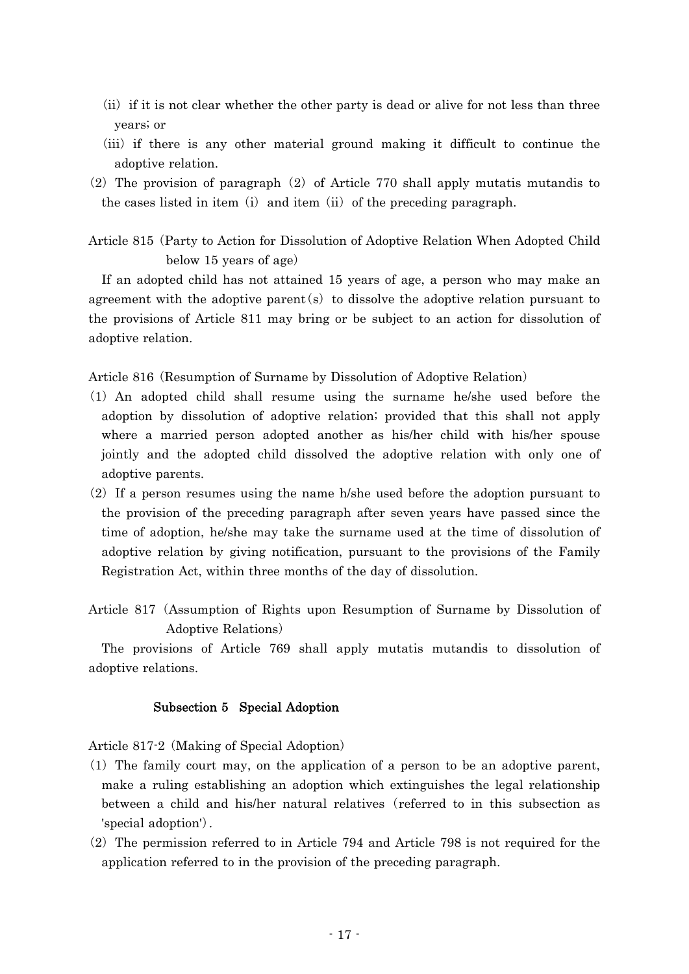- $(i)$  if it is not clear whether the other party is dead or alive for not less than three years; or
- (iii) if there is any other material ground making it difficult to continue the adoptive relation.
- (2) The provision of paragraph (2) of Article 770 shall apply mutatis mutandis to the cases listed in item (i) and item (ii) of the preceding paragraph.

Article 815 (Party to Action for Dissolution of Adoptive Relation When Adopted Child below 15 years of age)

If an adopted child has not attained 15 years of age, a person who may make an agreement with the adoptive parent  $(s)$  to dissolve the adoptive relation pursuant to the provisions of Article 811 may bring or be subject to an action for dissolution of adoptive relation.

Article 816 (Resumption of Surname by Dissolution of Adoptive Relation)

- ( )1 An adopted child shall resume using the surname he/she used before the adoption by dissolution of adoptive relation; provided that this shall not apply where a married person adopted another as his/her child with his/her spouse jointly and the adopted child dissolved the adoptive relation with only one of adoptive parents.
- $(2)$  If a person resumes using the name h/she used before the adoption pursuant to the provision of the preceding paragraph after seven years have passed since the time of adoption, he/she may take the surname used at the time of dissolution of adoptive relation by giving notification, pursuant to the provisions of the Family Registration Act, within three months of the day of dissolution.
- Article 817 (Assumption of Rights upon Resumption of Surname by Dissolution of Adoptive Relations)

The provisions of Article 769 shall apply mutatis mutandis to dissolution of adoptive relations.

### Subsection 5 Special Adoption

Article 817-2 (Making of Special Adoption)

- $(1)$  The family court may, on the application of a person to be an adoptive parent, make a ruling establishing an adoption which extinguishes the legal relationship between a child and his/her natural relatives (referred to in this subsection as 'special adoption'.
- $(2)$  The permission referred to in Article 794 and Article 798 is not required for the application referred to in the provision of the preceding paragraph.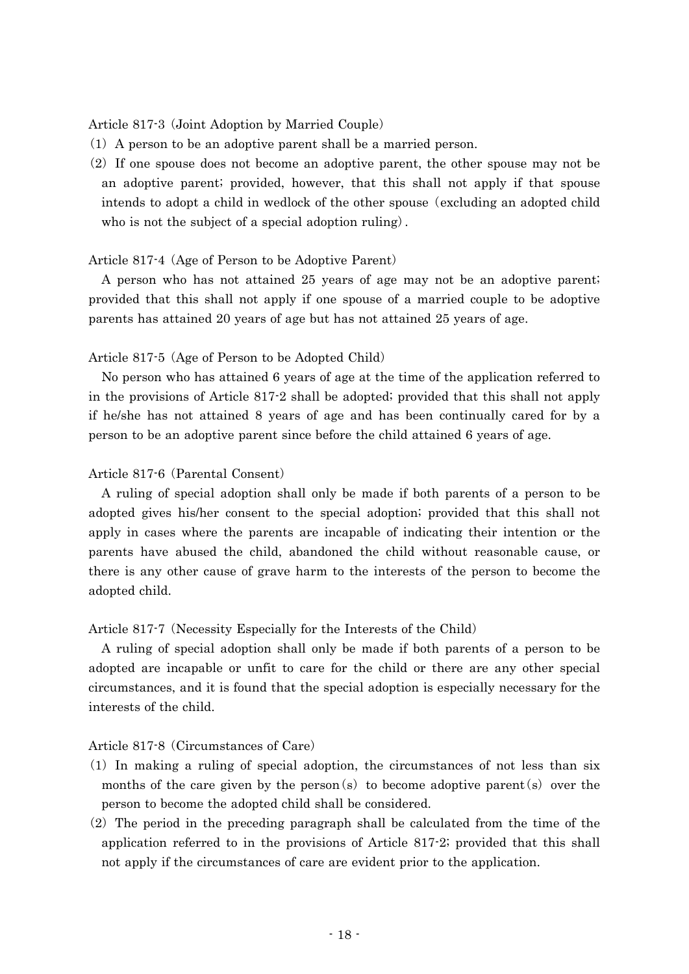Article 817-3 (Joint Adoption by Married Couple)

- $(1)$  A person to be an adoptive parent shall be a married person.
- $(2)$  If one spouse does not become an adoptive parent, the other spouse may not be an adoptive parent; provided, however, that this shall not apply if that spouse intends to adopt a child in wedlock of the other spouse (excluding an adopted child who is not the subject of a special adoption ruling.

### Article 817-4 (Age of Person to be Adoptive Parent)

A person who has not attained 25 years of age may not be an adoptive parent; provided that this shall not apply if one spouse of a married couple to be adoptive parents has attained 20 years of age but has not attained 25 years of age.

### Article 817-5 (Age of Person to be Adopted Child)

No person who has attained 6 years of age at the time of the application referred to in the provisions of Article 817-2 shall be adopted; provided that this shall not apply if he/she has not attained 8 years of age and has been continually cared for by a person to be an adoptive parent since before the child attained 6 years of age.

### Article 817-6 (Parental Consent)

A ruling of special adoption shall only be made if both parents of a person to be adopted gives his/her consent to the special adoption; provided that this shall not apply in cases where the parents are incapable of indicating their intention or the parents have abused the child, abandoned the child without reasonable cause, or there is any other cause of grave harm to the interests of the person to become the adopted child.

### Article 817-7 (Necessity Especially for the Interests of the Child)

A ruling of special adoption shall only be made if both parents of a person to be adopted are incapable or unfit to care for the child or there are any other special circumstances, and it is found that the special adoption is especially necessary for the interests of the child.

### Article 817-8 (Circumstances of Care)

- $(1)$  In making a ruling of special adoption, the circumstances of not less than six months of the care given by the person  $(s)$  to become adoptive parent  $(s)$  over the person to become the adopted child shall be considered.
- $(2)$  The period in the preceding paragraph shall be calculated from the time of the application referred to in the provisions of Article 817-2; provided that this shall not apply if the circumstances of care are evident prior to the application.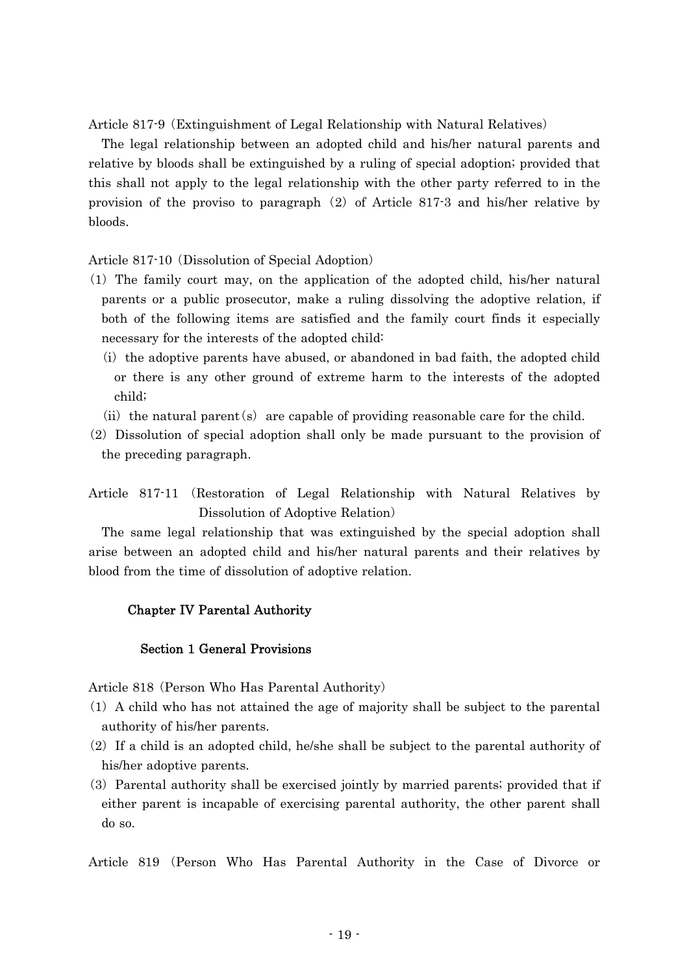Article 817-9 (Extinguishment of Legal Relationship with Natural Relatives)

The legal relationship between an adopted child and his/her natural parents and relative by bloods shall be extinguished by a ruling of special adoption; provided that this shall not apply to the legal relationship with the other party referred to in the provision of the proviso to paragraph  $(2)$  of Article 817-3 and his/her relative by bloods.

Article 817-10 (Dissolution of Special Adoption)

- ( )1 The family court may, on the application of the adopted child, his/her natural parents or a public prosecutor, make a ruling dissolving the adoptive relation, if both of the following items are satisfied and the family court finds it especially necessary for the interests of the adopted child:
	- $(i)$  the adoptive parents have abused, or abandoned in bad faith, the adopted child or there is any other ground of extreme harm to the interests of the adopted child;
	- (ii) the natural parent (s) are capable of providing reasonable care for the child.
- (2) Dissolution of special adoption shall only be made pursuant to the provision of the preceding paragraph.

Article 817-11 (Restoration of Legal Relationship with Natural Relatives by Dissolution of Adoptive Relation)

The same legal relationship that was extinguished by the special adoption shall arise between an adopted child and his/her natural parents and their relatives by blood from the time of dissolution of adoptive relation.

### Chapter IV Parental Authority

### Section 1 General Provisions

Article 818 (Person Who Has Parental Authority)

- $(1)$  A child who has not attained the age of majority shall be subject to the parental authority of his/her parents.
- $(2)$  If a child is an adopted child, he/she shall be subject to the parental authority of his/her adoptive parents.
- (3) Parental authority shall be exercised jointly by married parents; provided that if either parent is incapable of exercising parental authority, the other parent shall do so.

Article 819 (Person Who Has Parental Authority in the Case of Divorce or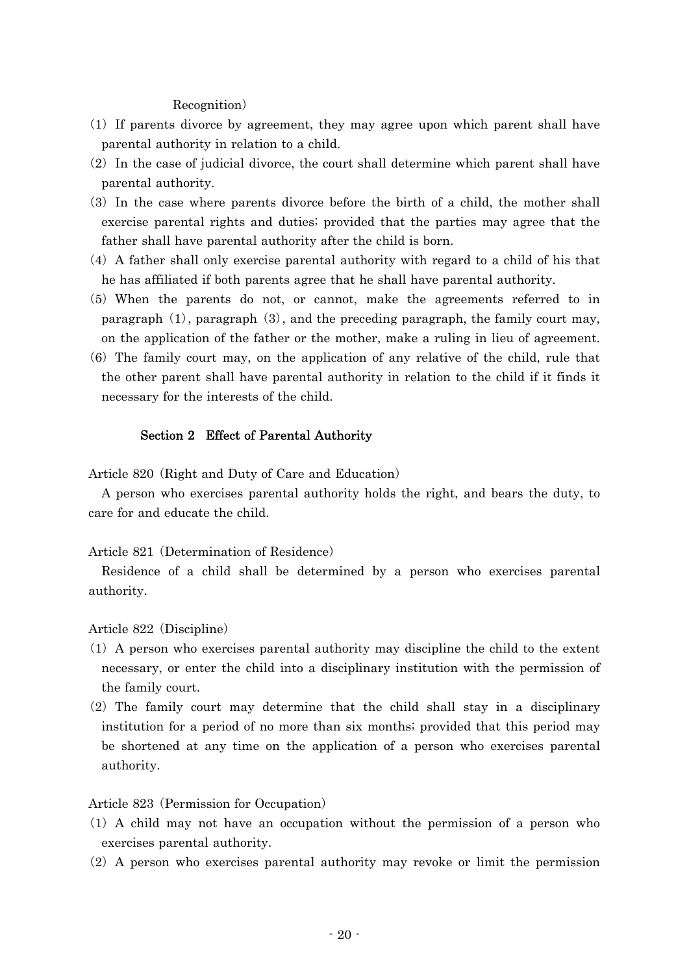### Recognition)

- ( )1 If parents divorce by agreement, they may agree upon which parent shall have parental authority in relation to a child.
- $(2)$  In the case of judicial divorce, the court shall determine which parent shall have parental authority.
- (3) In the case where parents divorce before the birth of a child, the mother shall exercise parental rights and duties; provided that the parties may agree that the father shall have parental authority after the child is born.
- $(4)$  A father shall only exercise parental authority with regard to a child of his that he has affiliated if both parents agree that he shall have parental authority.
- (5) When the parents do not, or cannot, make the agreements referred to in paragraph  $(1)$ , paragraph  $(3)$ , and the preceding paragraph, the family court may, on the application of the father or the mother, make a ruling in lieu of agreement.
- $(6)$  The family court may, on the application of any relative of the child, rule that the other parent shall have parental authority in relation to the child if it finds it necessary for the interests of the child.

### Section 2 Effect of Parental Authority

Article 820 (Right and Duty of Care and Education)

A person who exercises parental authority holds the right, and bears the duty, to care for and educate the child.

### Article 821 (Determination of Residence)

Residence of a child shall be determined by a person who exercises parental authority.

Article 822 (Discipline)

- $(1)$  A person who exercises parental authority may discipline the child to the extent necessary, or enter the child into a disciplinary institution with the permission of the family court.
- $(2)$  The family court may determine that the child shall stay in a disciplinary institution for a period of no more than six months; provided that this period may be shortened at any time on the application of a person who exercises parental authority.

### Article 823 (Permission for Occupation)

- $(1)$  A child may not have an occupation without the permission of a person who exercises parental authority.
- $(2)$  A person who exercises parental authority may revoke or limit the permission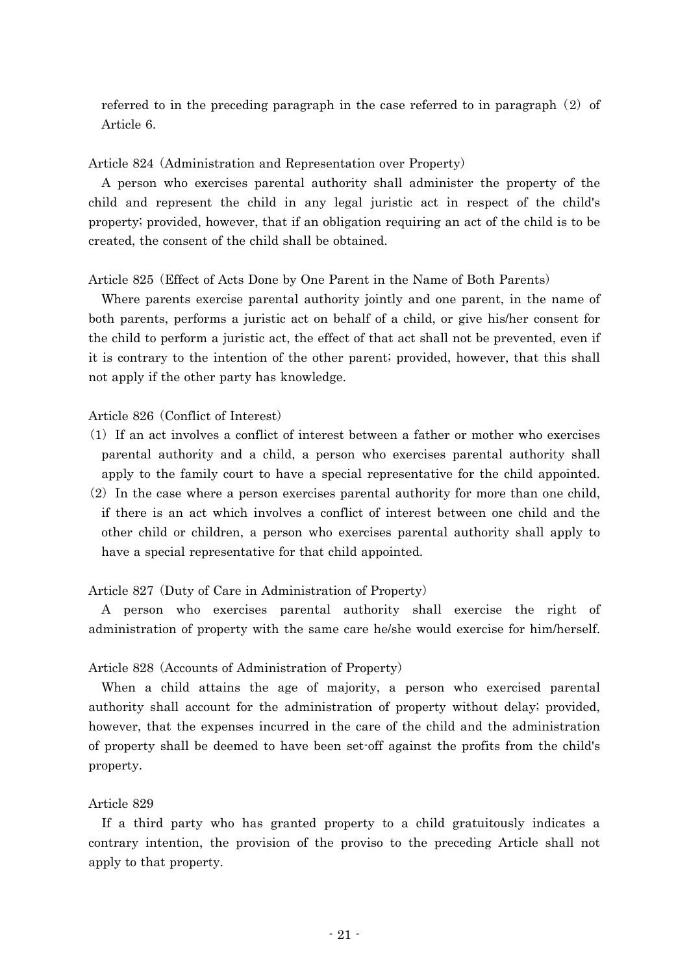referred to in the preceding paragraph in the case referred to in paragraph  $(2)$  of Article 6.

Article 824 (Administration and Representation over Property)

A person who exercises parental authority shall administer the property of the child and represent the child in any legal juristic act in respect of the child's property; provided, however, that if an obligation requiring an act of the child is to be created, the consent of the child shall be obtained.

Article 825 (Effect of Acts Done by One Parent in the Name of Both Parents)

Where parents exercise parental authority jointly and one parent, in the name of both parents, performs a juristic act on behalf of a child, or give his/her consent for the child to perform a juristic act, the effect of that act shall not be prevented, even if it is contrary to the intention of the other parent; provided, however, that this shall not apply if the other party has knowledge.

### Article 826 (Conflict of Interest)

- ( )1 If an act involves a conflict of interest between a father or mother who exercises parental authority and a child, a person who exercises parental authority shall apply to the family court to have a special representative for the child appointed.
- $(2)$  In the case where a person exercises parental authority for more than one child, if there is an act which involves a conflict of interest between one child and the other child or children, a person who exercises parental authority shall apply to have a special representative for that child appointed.

Article 827 (Duty of Care in Administration of Property)

A person who exercises parental authority shall exercise the right of administration of property with the same care he/she would exercise for him/herself.

### Article 828 (Accounts of Administration of Property)

When a child attains the age of majority, a person who exercised parental authority shall account for the administration of property without delay; provided, however, that the expenses incurred in the care of the child and the administration of property shall be deemed to have been set-off against the profits from the child's property.

### Article 829

If a third party who has granted property to a child gratuitously indicates a contrary intention, the provision of the proviso to the preceding Article shall not apply to that property.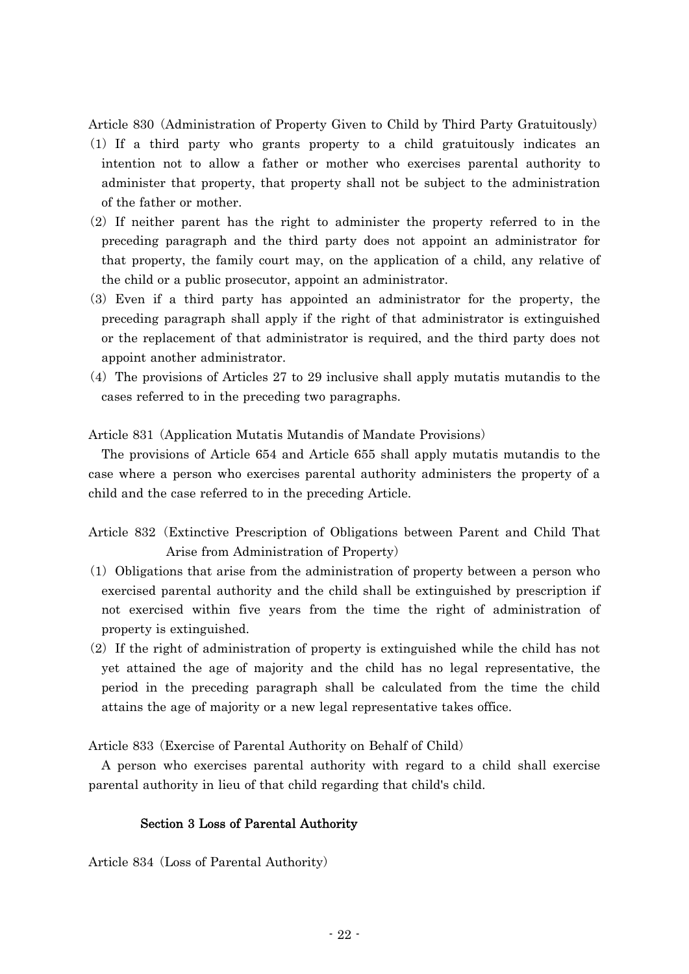Article 830 (Administration of Property Given to Child by Third Party Gratuitously)

- ( )1 If a third party who grants property to a child gratuitously indicates an intention not to allow a father or mother who exercises parental authority to administer that property, that property shall not be subject to the administration of the father or mother.
- $(2)$  If neither parent has the right to administer the property referred to in the preceding paragraph and the third party does not appoint an administrator for that property, the family court may, on the application of a child, any relative of the child or a public prosecutor, appoint an administrator.
- ( )3 Even if a third party has appointed an administrator for the property, the preceding paragraph shall apply if the right of that administrator is extinguished or the replacement of that administrator is required, and the third party does not appoint another administrator.
- $(4)$  The provisions of Articles 27 to 29 inclusive shall apply mutatis mutandis to the cases referred to in the preceding two paragraphs.

Article 831 (Application Mutatis Mutandis of Mandate Provisions)

The provisions of Article 654 and Article 655 shall apply mutatis mutandis to the case where a person who exercises parental authority administers the property of a child and the case referred to in the preceding Article.

- Article 832 (Extinctive Prescription of Obligations between Parent and Child That Arise from Administration of Property)
- $(1)$  Obligations that arise from the administration of property between a person who exercised parental authority and the child shall be extinguished by prescription if not exercised within five years from the time the right of administration of property is extinguished.
- $(2)$  If the right of administration of property is extinguished while the child has not yet attained the age of majority and the child has no legal representative, the period in the preceding paragraph shall be calculated from the time the child attains the age of majority or a new legal representative takes office.

Article 833 (Exercise of Parental Authority on Behalf of Child)

A person who exercises parental authority with regard to a child shall exercise parental authority in lieu of that child regarding that child's child.

### Section 3 Loss of Parental Authority

Article 834 (Loss of Parental Authority)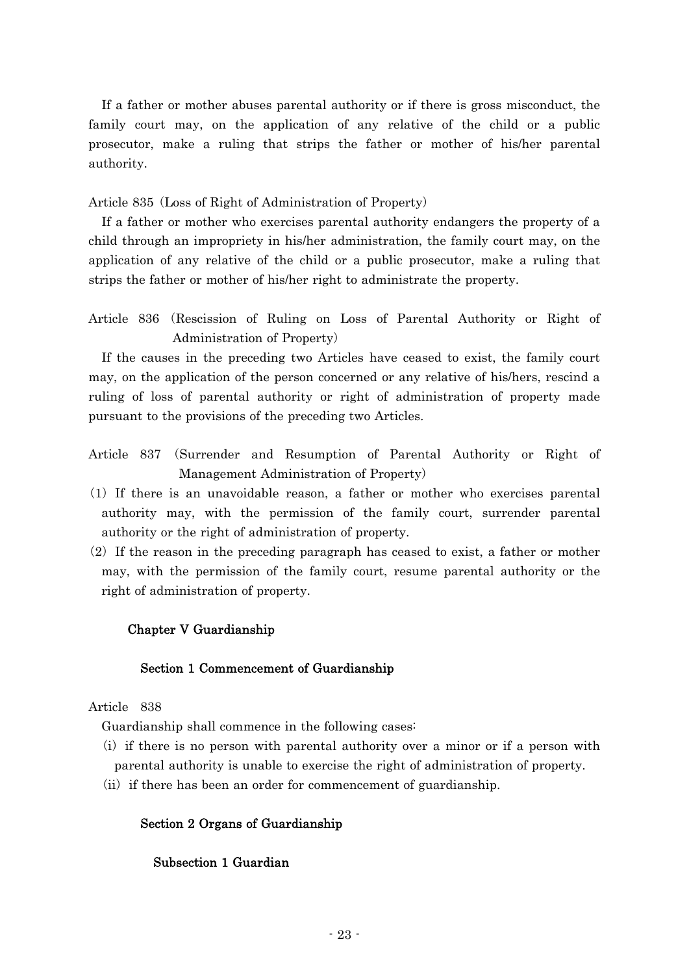If a father or mother abuses parental authority or if there is gross misconduct, the family court may, on the application of any relative of the child or a public prosecutor, make a ruling that strips the father or mother of his/her parental authority.

Article 835 (Loss of Right of Administration of Property)

If a father or mother who exercises parental authority endangers the property of a child through an impropriety in his/her administration, the family court may, on the application of any relative of the child or a public prosecutor, make a ruling that strips the father or mother of his/her right to administrate the property.

Article 836 (Rescission of Ruling on Loss of Parental Authority or Right of Administration of Property)

If the causes in the preceding two Articles have ceased to exist, the family court may, on the application of the person concerned or any relative of his/hers, rescind a ruling of loss of parental authority or right of administration of property made pursuant to the provisions of the preceding two Articles.

- Article 837 (Surrender and Resumption of Parental Authority or Right of Management Administration of Property)
- $(1)$  If there is an unavoidable reason, a father or mother who exercises parental authority may, with the permission of the family court, surrender parental authority or the right of administration of property.
- $(2)$  If the reason in the preceding paragraph has ceased to exist, a father or mother may, with the permission of the family court, resume parental authority or the right of administration of property.

## Chapter V Guardianship

### Section 1 Commencement of Guardianship

## Article 838

Guardianship shall commence in the following cases:

- $(i)$  if there is no person with parental authority over a minor or if a person with parental authority is unable to exercise the right of administration of property.
- (ii) if there has been an order for commencement of guardianship.

## Section 2 Organs of Guardianship

## Subsection 1 Guardian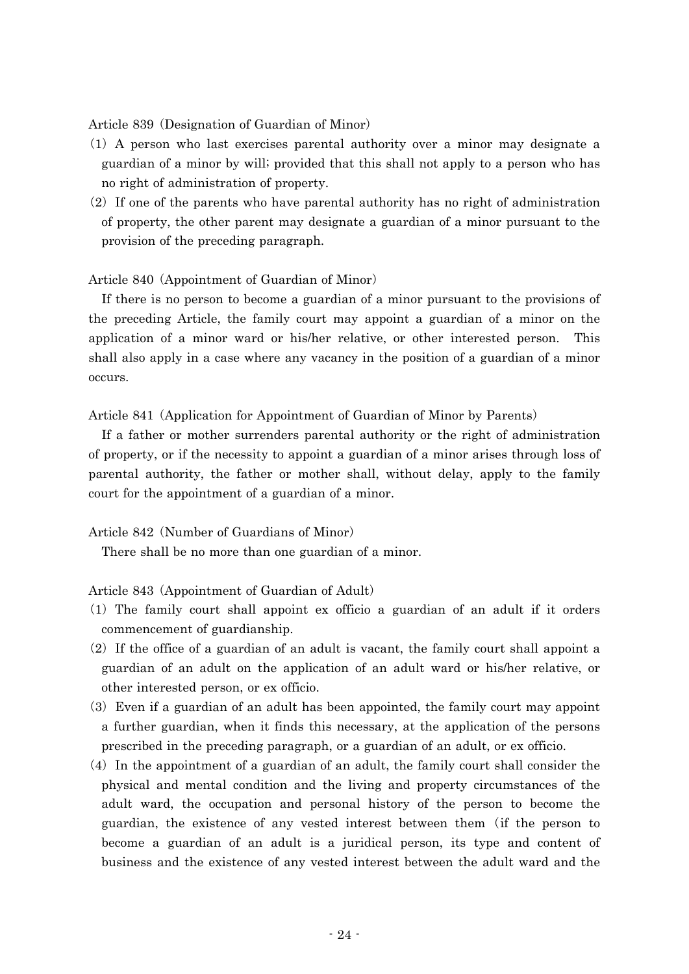Article 839 (Designation of Guardian of Minor)

- ( )1 A person who last exercises parental authority over a minor may designate a guardian of a minor by will; provided that this shall not apply to a person who has no right of administration of property.
- $(2)$  If one of the parents who have parental authority has no right of administration of property, the other parent may designate a guardian of a minor pursuant to the provision of the preceding paragraph.

### Article 840 (Appointment of Guardian of Minor)

If there is no person to become a guardian of a minor pursuant to the provisions of the preceding Article, the family court may appoint a guardian of a minor on the application of a minor ward or his/her relative, or other interested person. This shall also apply in a case where any vacancy in the position of a guardian of a minor occurs.

Article 841 (Application for Appointment of Guardian of Minor by Parents)

If a father or mother surrenders parental authority or the right of administration of property, or if the necessity to appoint a guardian of a minor arises through loss of parental authority, the father or mother shall, without delay, apply to the family court for the appointment of a guardian of a minor.

Article 842 (Number of Guardians of Minor)

There shall be no more than one guardian of a minor.

Article 843 (Appointment of Guardian of Adult)

- ( )1 The family court shall appoint ex officio a guardian of an adult if it orders commencement of guardianship.
- $(2)$  If the office of a guardian of an adult is vacant, the family court shall appoint a guardian of an adult on the application of an adult ward or his/her relative, or other interested person, or ex officio.
- $(3)$  Even if a guardian of an adult has been appointed, the family court may appoint a further guardian, when it finds this necessary, at the application of the persons prescribed in the preceding paragraph, or a guardian of an adult, or ex officio.
- $(4)$  In the appointment of a guardian of an adult, the family court shall consider the physical and mental condition and the living and property circumstances of the adult ward, the occupation and personal history of the person to become the guardian, the existence of any vested interest between them (if the person to become a guardian of an adult is a juridical person, its type and content of business and the existence of any vested interest between the adult ward and the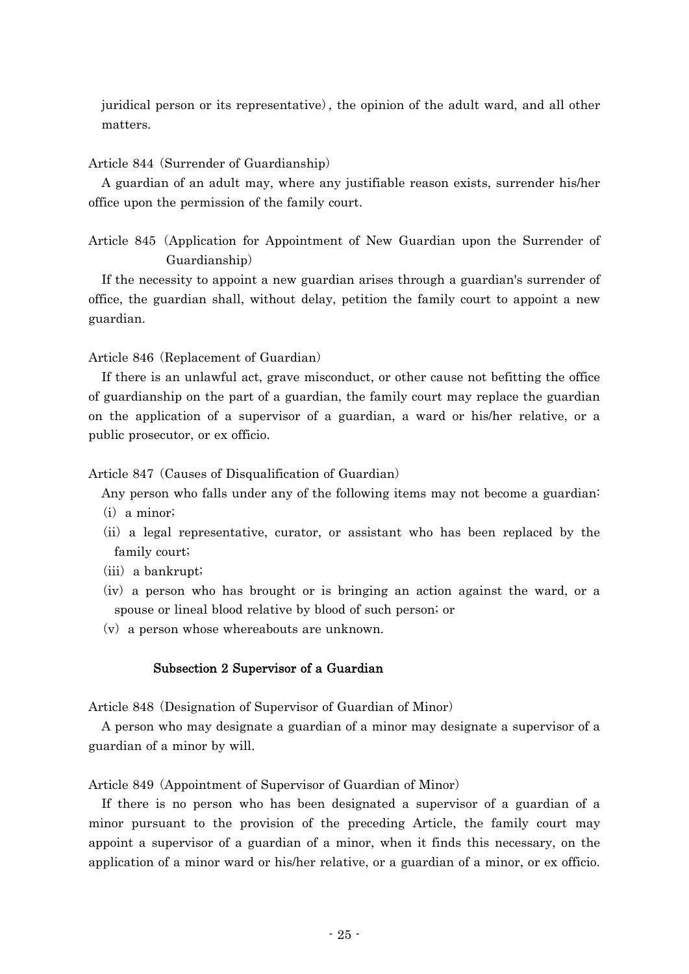juridical person or its representative), the opinion of the adult ward, and all other matters.

### Article 844 (Surrender of Guardianship)

A guardian of an adult may, where any justifiable reason exists, surrender his/her office upon the permission of the family court.

Article 845 (Application for Appointment of New Guardian upon the Surrender of Guardianship)

If the necessity to appoint a new guardian arises through a guardian's surrender of office, the guardian shall, without delay, petition the family court to appoint a new guardian.

Article 846 (Replacement of Guardian)

If there is an unlawful act, grave misconduct, or other cause not befitting the office of guardianship on the part of a guardian, the family court may replace the guardian on the application of a supervisor of a guardian, a ward or his/her relative, or a public prosecutor, or ex officio.

Article 847 (Causes of Disqualification of Guardian)

Any person who falls under any of the following items may not become a guardian:

- $(i)$  a minor;
- (ii) a legal representative, curator, or assistant who has been replaced by the family court;
- $(iii)$  a bankrupt;
- $(iv)$  a person who has brought or is bringing an action against the ward, or a spouse or lineal blood relative by blood of such person; or
- $(v)$  a person whose whereabouts are unknown.

### Subsection 2 Supervisor of a Guardian

Article 848 (Designation of Supervisor of Guardian of Minor)

A person who may designate a guardian of a minor may designate a supervisor of a guardian of a minor by will.

Article 849 (Appointment of Supervisor of Guardian of Minor)

If there is no person who has been designated a supervisor of a guardian of a minor pursuant to the provision of the preceding Article, the family court may appoint a supervisor of a guardian of a minor, when it finds this necessary, on the application of a minor ward or his/her relative, or a guardian of a minor, or ex officio.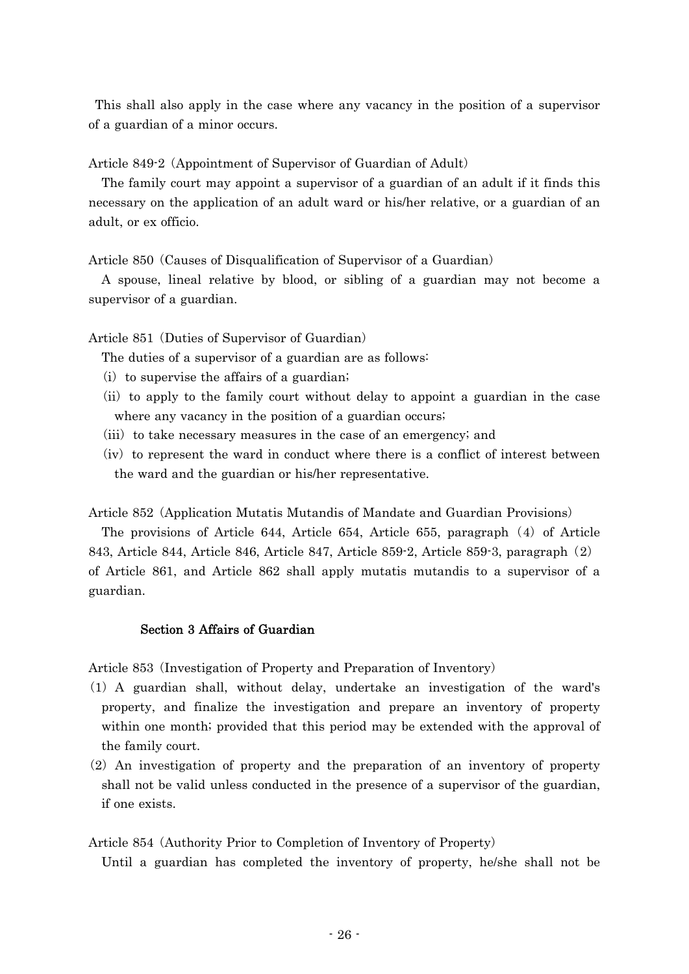This shall also apply in the case where any vacancy in the position of a supervisor of a guardian of a minor occurs.

Article 849-2 (Appointment of Supervisor of Guardian of Adult)

The family court may appoint a supervisor of a guardian of an adult if it finds this necessary on the application of an adult ward or his/her relative, or a guardian of an adult, or ex officio.

Article 850 (Causes of Disqualification of Supervisor of a Guardian)

A spouse, lineal relative by blood, or sibling of a guardian may not become a supervisor of a guardian.

Article 851 (Duties of Supervisor of Guardian)

The duties of a supervisor of a guardian are as follows:

- $(i)$  to supervise the affairs of a guardian;
- (ii) to apply to the family court without delay to appoint a guardian in the case where any vacancy in the position of a guardian occurs;
- (iii) to take necessary measures in the case of an emergency; and
- $(iv)$  to represent the ward in conduct where there is a conflict of interest between the ward and the guardian or his/her representative.

Article 852 (Application Mutatis Mutandis of Mandate and Guardian Provisions)

The provisions of Article 644, Article 654, Article 655, paragraph  $(4)$  of Article 843, Article 844, Article 846, Article 847, Article 859-2, Article 859-3, paragraph (2) of Article 861, and Article 862 shall apply mutatis mutandis to a supervisor of a guardian.

# Section 3 Affairs of Guardian

Article 853 (Investigation of Property and Preparation of Inventory)

- ( )1 A guardian shall, without delay, undertake an investigation of the ward's property, and finalize the investigation and prepare an inventory of property within one month; provided that this period may be extended with the approval of the family court.
- $(2)$  An investigation of property and the preparation of an inventory of property shall not be valid unless conducted in the presence of a supervisor of the guardian, if one exists.

Article 854 (Authority Prior to Completion of Inventory of Property)

Until a guardian has completed the inventory of property, he/she shall not be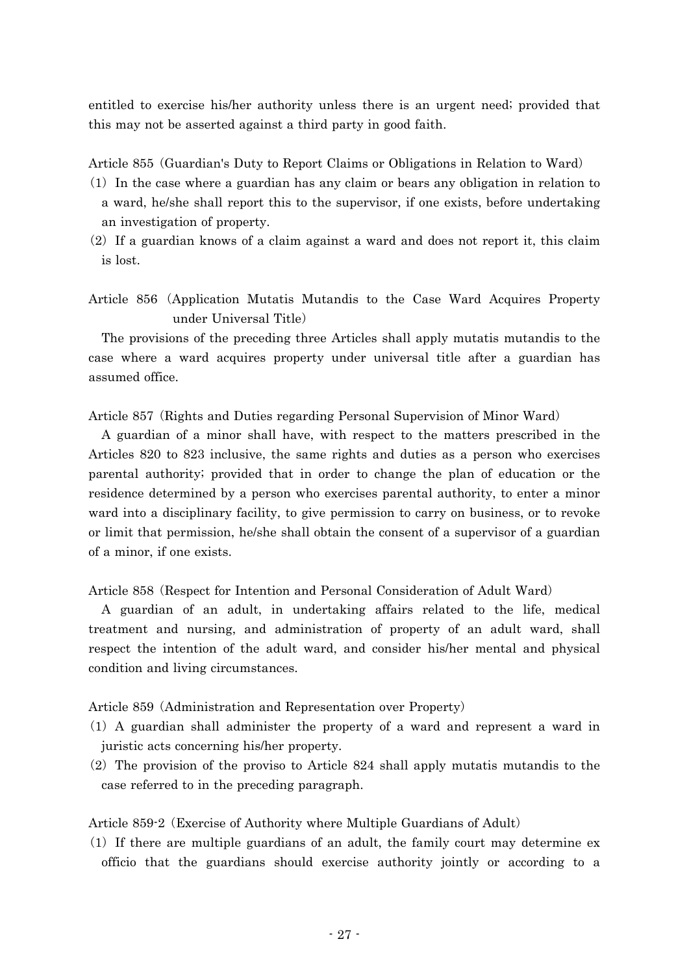entitled to exercise his/her authority unless there is an urgent need; provided that this may not be asserted against a third party in good faith.

Article 855 (Guardian's Duty to Report Claims or Obligations in Relation to Ward)

- $(1)$  In the case where a guardian has any claim or bears any obligation in relation to a ward, he/she shall report this to the supervisor, if one exists, before undertaking an investigation of property.
- $(2)$  If a guardian knows of a claim against a ward and does not report it, this claim is lost.

Article 856 Application Mutatis Mutandis to the Case Ward Acquires Property ( under Universal Title)

The provisions of the preceding three Articles shall apply mutatis mutandis to the case where a ward acquires property under universal title after a guardian has assumed office.

Article 857 (Rights and Duties regarding Personal Supervision of Minor Ward)

A guardian of a minor shall have, with respect to the matters prescribed in the Articles 820 to 823 inclusive, the same rights and duties as a person who exercises parental authority; provided that in order to change the plan of education or the residence determined by a person who exercises parental authority, to enter a minor ward into a disciplinary facility, to give permission to carry on business, or to revoke or limit that permission, he/she shall obtain the consent of a supervisor of a guardian of a minor, if one exists.

Article 858 (Respect for Intention and Personal Consideration of Adult Ward)

A guardian of an adult, in undertaking affairs related to the life, medical treatment and nursing, and administration of property of an adult ward, shall respect the intention of the adult ward, and consider his/her mental and physical condition and living circumstances.

Article 859 (Administration and Representation over Property)

- ( )1 A guardian shall administer the property of a ward and represent a ward in juristic acts concerning his/her property.
- $(2)$  The provision of the proviso to Article 824 shall apply mutatis mutandis to the case referred to in the preceding paragraph.

Article 859-2 (Exercise of Authority where Multiple Guardians of Adult)

 $(1)$  If there are multiple guardians of an adult, the family court may determine ex officio that the guardians should exercise authority jointly or according to a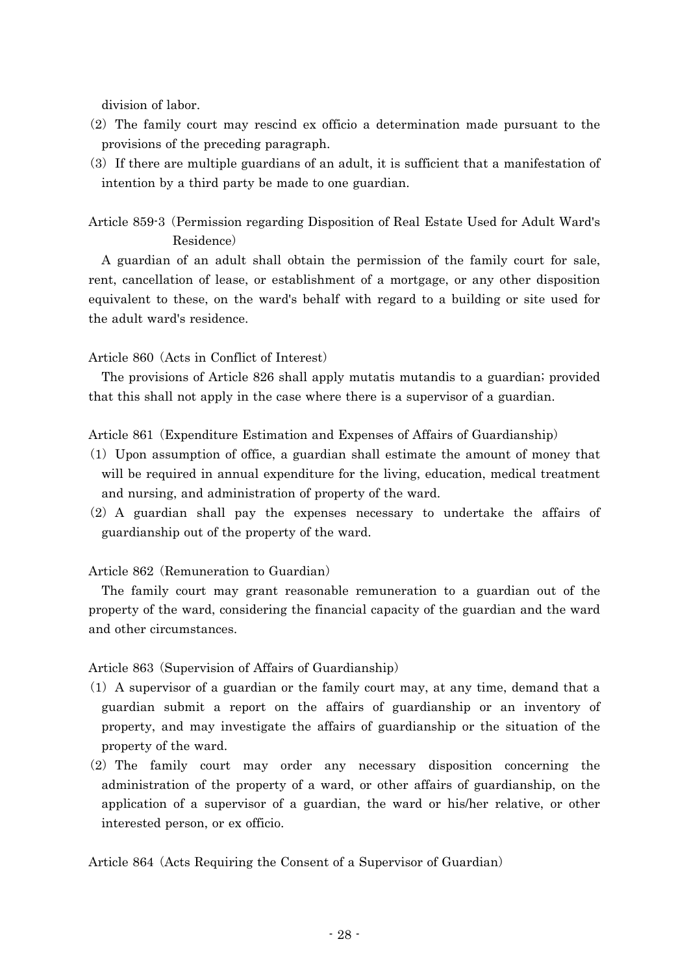division of labor.

- $(2)$  The family court may rescind ex officio a determination made pursuant to the provisions of the preceding paragraph.
- $(3)$  If there are multiple guardians of an adult, it is sufficient that a manifestation of intention by a third party be made to one guardian.
- Article 859-3 (Permission regarding Disposition of Real Estate Used for Adult Ward's Residence)

A guardian of an adult shall obtain the permission of the family court for sale, rent, cancellation of lease, or establishment of a mortgage, or any other disposition equivalent to these, on the ward's behalf with regard to a building or site used for the adult ward's residence.

Article 860 (Acts in Conflict of Interest)

The provisions of Article 826 shall apply mutatis mutandis to a guardian; provided that this shall not apply in the case where there is a supervisor of a guardian.

Article 861 (Expenditure Estimation and Expenses of Affairs of Guardianship)

- ( )1 Upon assumption of office, a guardian shall estimate the amount of money that will be required in annual expenditure for the living, education, medical treatment and nursing, and administration of property of the ward.
- $(2)$  A guardian shall pay the expenses necessary to undertake the affairs of guardianship out of the property of the ward.

Article 862 (Remuneration to Guardian)

The family court may grant reasonable remuneration to a guardian out of the property of the ward, considering the financial capacity of the guardian and the ward and other circumstances.

Article 863 (Supervision of Affairs of Guardianship)

- $(1)$  A supervisor of a guardian or the family court may, at any time, demand that a guardian submit a report on the affairs of guardianship or an inventory of property, and may investigate the affairs of guardianship or the situation of the property of the ward.
- $(2)$  The family court may order any necessary disposition concerning the administration of the property of a ward, or other affairs of guardianship, on the application of a supervisor of a guardian, the ward or his/her relative, or other interested person, or ex officio.

Article 864 (Acts Requiring the Consent of a Supervisor of Guardian)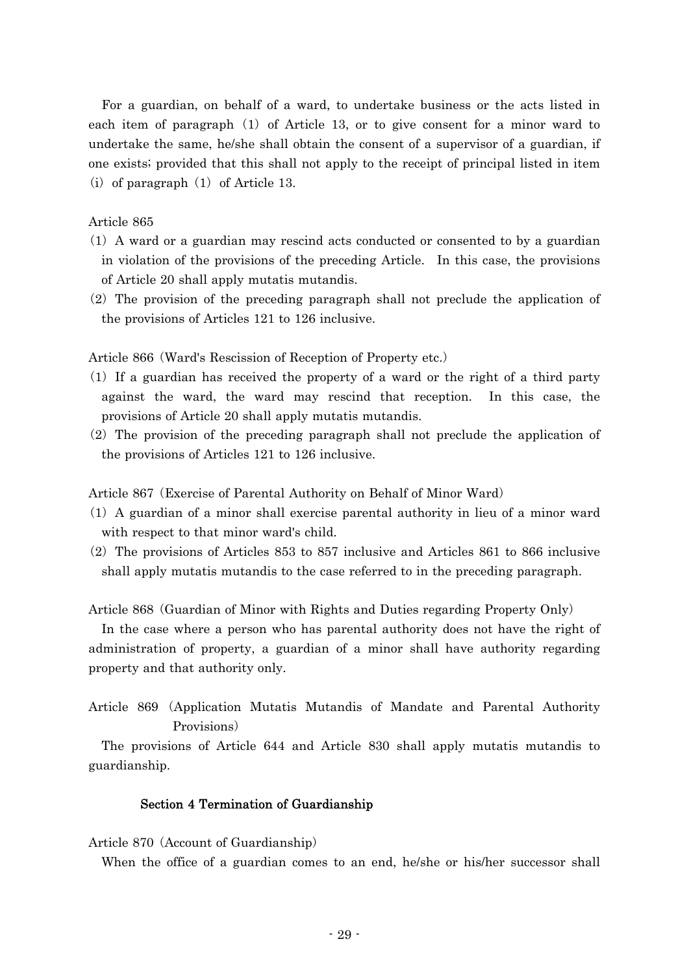For a guardian, on behalf of a ward, to undertake business or the acts listed in each item of paragraph  $(1)$  of Article 13, or to give consent for a minor ward to undertake the same, he/she shall obtain the consent of a supervisor of a guardian, if one exists; provided that this shall not apply to the receipt of principal listed in item (i) of paragraph  $(1)$  of Article 13.

## Article 865

- ( )1 A ward or a guardian may rescind acts conducted or consented to by a guardian in violation of the provisions of the preceding Article. In this case, the provisions of Article 20 shall apply mutatis mutandis.
- $(2)$  The provision of the preceding paragraph shall not preclude the application of the provisions of Articles 121 to 126 inclusive.

Article 866 (Ward's Rescission of Reception of Property etc.)

- $(1)$  If a guardian has received the property of a ward or the right of a third party against the ward, the ward may rescind that reception. In this case, the provisions of Article 20 shall apply mutatis mutandis.
- $(2)$  The provision of the preceding paragraph shall not preclude the application of the provisions of Articles 121 to 126 inclusive.

Article 867 (Exercise of Parental Authority on Behalf of Minor Ward)

- $(1)$  A guardian of a minor shall exercise parental authority in lieu of a minor ward with respect to that minor ward's child.
- $(2)$  The provisions of Articles 853 to 857 inclusive and Articles 861 to 866 inclusive shall apply mutatis mutandis to the case referred to in the preceding paragraph.

Article 868 (Guardian of Minor with Rights and Duties regarding Property Only)

In the case where a person who has parental authority does not have the right of administration of property, a guardian of a minor shall have authority regarding property and that authority only.

```
Article 869 Application Mutatis Mutandis of Mandate and Parental Authority (
Provisions)
```
The provisions of Article 644 and Article 830 shall apply mutatis mutandis to guardianship.

### Section 4 Termination of Guardianship

Article 870 (Account of Guardianship)

When the office of a guardian comes to an end, he/she or his/her successor shall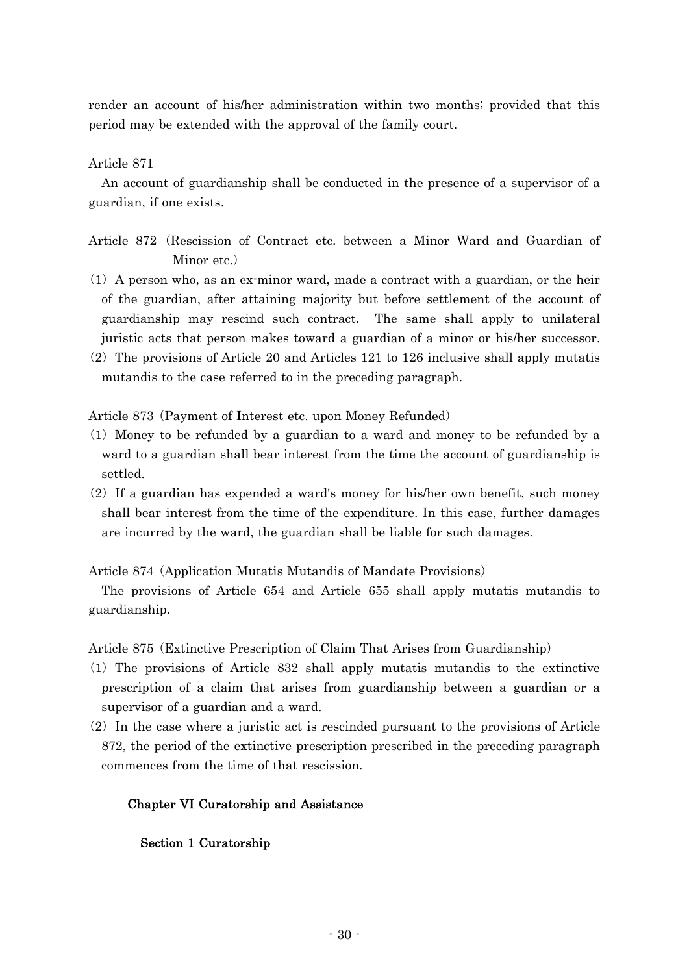render an account of his/her administration within two months; provided that this period may be extended with the approval of the family court.

Article 871

An account of guardianship shall be conducted in the presence of a supervisor of a guardian, if one exists.

- Article 872 (Rescission of Contract etc. between a Minor Ward and Guardian of Minor etc.)
- $(1)$  A person who, as an ex-minor ward, made a contract with a guardian, or the heir of the guardian, after attaining majority but before settlement of the account of guardianship may rescind such contract. The same shall apply to unilateral juristic acts that person makes toward a guardian of a minor or his/her successor.
- $(2)$  The provisions of Article 20 and Articles 121 to 126 inclusive shall apply mutatis mutandis to the case referred to in the preceding paragraph.

Article 873 (Payment of Interest etc. upon Money Refunded)

- ( )1 Money to be refunded by a guardian to a ward and money to be refunded by a ward to a guardian shall bear interest from the time the account of guardianship is settled.
- $(2)$  If a guardian has expended a ward's money for his/her own benefit, such money shall bear interest from the time of the expenditure. In this case, further damages are incurred by the ward, the guardian shall be liable for such damages.

Article 874 (Application Mutatis Mutandis of Mandate Provisions)

The provisions of Article 654 and Article 655 shall apply mutatis mutandis to guardianship.

Article 875 (Extinctive Prescription of Claim That Arises from Guardianship)

- ( )1 The provisions of Article 832 shall apply mutatis mutandis to the extinctive prescription of a claim that arises from guardianship between a guardian or a supervisor of a guardian and a ward.
- $(2)$  In the case where a juristic act is rescinded pursuant to the provisions of Article 872, the period of the extinctive prescription prescribed in the preceding paragraph commences from the time of that rescission.

# Chapter VI Curatorship and Assistance

# Section 1 Curatorship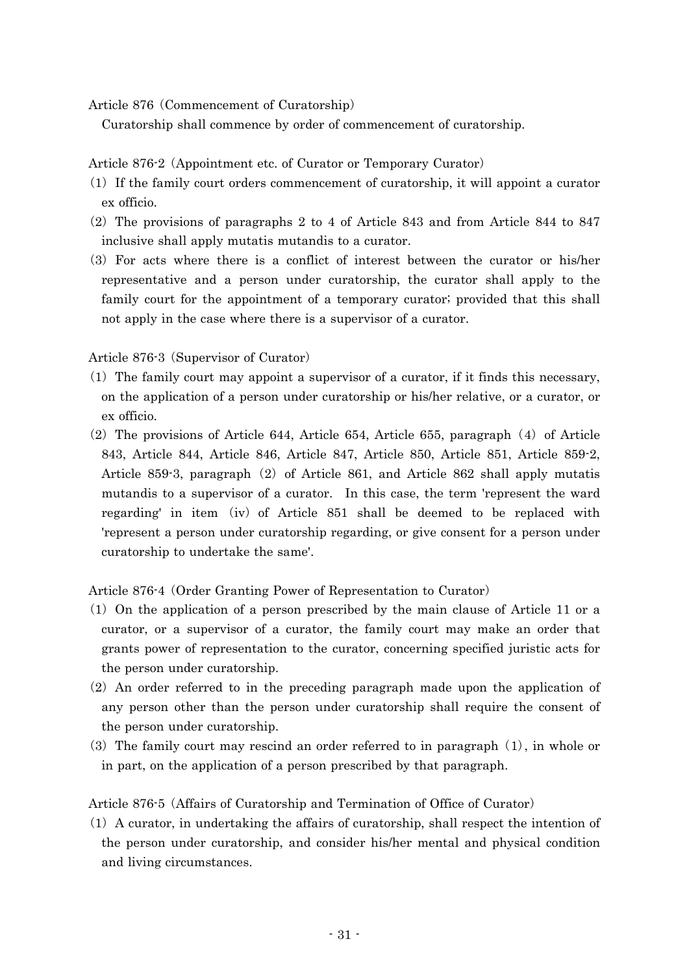Article 876 (Commencement of Curatorship)

Curatorship shall commence by order of commencement of curatorship.

Article 876-2 (Appointment etc. of Curator or Temporary Curator)

- ( )1 If the family court orders commencement of curatorship, it will appoint a curator ex officio.
- $(2)$  The provisions of paragraphs 2 to 4 of Article 843 and from Article 844 to 847 inclusive shall apply mutatis mutandis to a curator.
- ( )3 For acts where there is a conflict of interest between the curator or his/her representative and a person under curatorship, the curator shall apply to the family court for the appointment of a temporary curator; provided that this shall not apply in the case where there is a supervisor of a curator.

Article 876-3 (Supervisor of Curator)

- $(1)$  The family court may appoint a supervisor of a curator, if it finds this necessary, on the application of a person under curatorship or his/her relative, or a curator, or ex officio.
- $(2)$  The provisions of Article 644, Article 654, Article 655, paragraph  $(4)$  of Article 843, Article 844, Article 846, Article 847, Article 850, Article 851, Article 859-2, Article 859-3, paragraph  $(2)$  of Article 861, and Article 862 shall apply mutatis mutandis to a supervisor of a curator. In this case, the term 'represent the ward regarding' in item  $(iv)$  of Article 851 shall be deemed to be replaced with 'represent a person under curatorship regarding, or give consent for a person under curatorship to undertake the same'.

Article 876-4 (Order Granting Power of Representation to Curator)

- $(1)$  On the application of a person prescribed by the main clause of Article 11 or a curator, or a supervisor of a curator, the family court may make an order that grants power of representation to the curator, concerning specified juristic acts for the person under curatorship.
- $(2)$  An order referred to in the preceding paragraph made upon the application of any person other than the person under curatorship shall require the consent of the person under curatorship.
- (3) The family court may rescind an order referred to in paragraph  $(1)$ , in whole or in part, on the application of a person prescribed by that paragraph.

Article 876-5 (Affairs of Curatorship and Termination of Office of Curator)

 $(1)$  A curator, in undertaking the affairs of curatorship, shall respect the intention of the person under curatorship, and consider his/her mental and physical condition and living circumstances.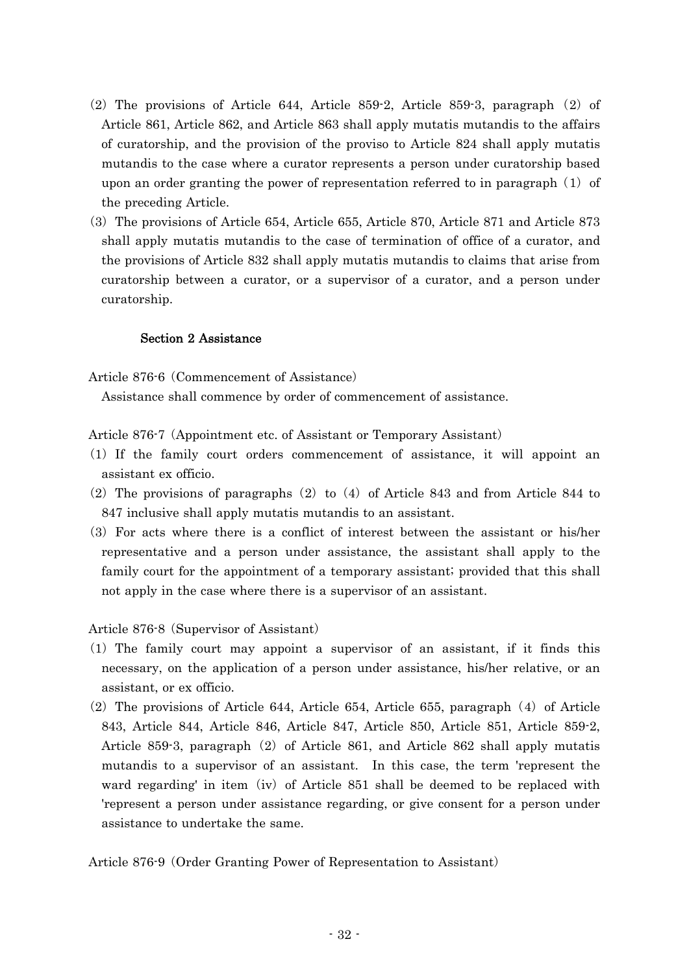- $(2)$  The provisions of Article 644, Article 859-2, Article 859-3, paragraph  $(2)$  of Article 861, Article 862, and Article 863 shall apply mutatis mutandis to the affairs of curatorship, and the provision of the proviso to Article 824 shall apply mutatis mutandis to the case where a curator represents a person under curatorship based upon an order granting the power of representation referred to in paragraph  $(1)$  of the preceding Article.
- ( )3 The provisions of Article 654, Article 655, Article 870, Article 871 and Article 873 shall apply mutatis mutandis to the case of termination of office of a curator, and the provisions of Article 832 shall apply mutatis mutandis to claims that arise from curatorship between a curator, or a supervisor of a curator, and a person under curatorship.

## Section 2 Assistance

Article 876-6 (Commencement of Assistance)

Assistance shall commence by order of commencement of assistance.

Article 876-7 (Appointment etc. of Assistant or Temporary Assistant)

- ( )1 If the family court orders commencement of assistance, it will appoint an assistant ex officio.
- (2) The provisions of paragraphs  $(2)$  to  $(4)$  of Article 843 and from Article 844 to 847 inclusive shall apply mutatis mutandis to an assistant.
- ( )3 For acts where there is a conflict of interest between the assistant or his/her representative and a person under assistance, the assistant shall apply to the family court for the appointment of a temporary assistant; provided that this shall not apply in the case where there is a supervisor of an assistant.

Article 876-8 (Supervisor of Assistant)

- ( )1 The family court may appoint a supervisor of an assistant, if it finds this necessary, on the application of a person under assistance, his/her relative, or an assistant, or ex officio.
- $(2)$  The provisions of Article 644, Article 654, Article 655, paragraph  $(4)$  of Article 843, Article 844, Article 846, Article 847, Article 850, Article 851, Article 859-2, Article 859-3, paragraph  $(2)$  of Article 861, and Article 862 shall apply mutatis mutandis to a supervisor of an assistant. In this case, the term 'represent the ward regarding' in item (iv) of Article  $851$  shall be deemed to be replaced with 'represent a person under assistance regarding, or give consent for a person under assistance to undertake the same.

Article 876-9 (Order Granting Power of Representation to Assistant)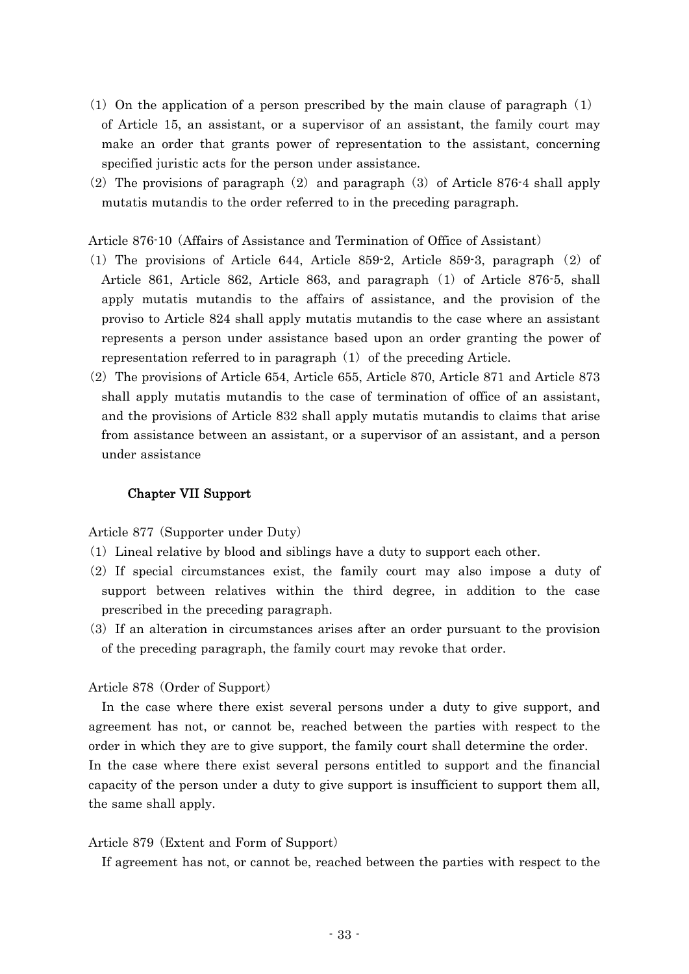- (1) On the application of a person prescribed by the main clause of paragraph  $(1)$ of Article 15, an assistant, or a supervisor of an assistant, the family court may make an order that grants power of representation to the assistant, concerning specified juristic acts for the person under assistance.
- (2) The provisions of paragraph  $(2)$  and paragraph  $(3)$  of Article 876-4 shall apply mutatis mutandis to the order referred to in the preceding paragraph.

Article 876-10 (Affairs of Assistance and Termination of Office of Assistant)

- (1) The provisions of Article 644, Article 859-2, Article 859-3, paragraph  $(2)$  of Article 861, Article 862, Article 863, and paragraph  $(1)$  of Article 876-5, shall apply mutatis mutandis to the affairs of assistance, and the provision of the proviso to Article 824 shall apply mutatis mutandis to the case where an assistant represents a person under assistance based upon an order granting the power of representation referred to in paragraph  $(1)$  of the preceding Article.
- $(2)$  The provisions of Article 654, Article 655, Article 870, Article 871 and Article 873 shall apply mutatis mutandis to the case of termination of office of an assistant, and the provisions of Article 832 shall apply mutatis mutandis to claims that arise from assistance between an assistant, or a supervisor of an assistant, and a person under assistance

### Chapter VII Support

Article 877 (Supporter under Duty)

- ( )1 Lineal relative by blood and siblings have a duty to support each other.
- (2) If special circumstances exist, the family court may also impose a duty of support between relatives within the third degree, in addition to the case prescribed in the preceding paragraph.
- $(3)$  If an alteration in circumstances arises after an order pursuant to the provision of the preceding paragraph, the family court may revoke that order.

### Article 878 (Order of Support)

In the case where there exist several persons under a duty to give support, and agreement has not, or cannot be, reached between the parties with respect to the order in which they are to give support, the family court shall determine the order. In the case where there exist several persons entitled to support and the financial capacity of the person under a duty to give support is insufficient to support them all, the same shall apply.

#### Article 879 (Extent and Form of Support)

If agreement has not, or cannot be, reached between the parties with respect to the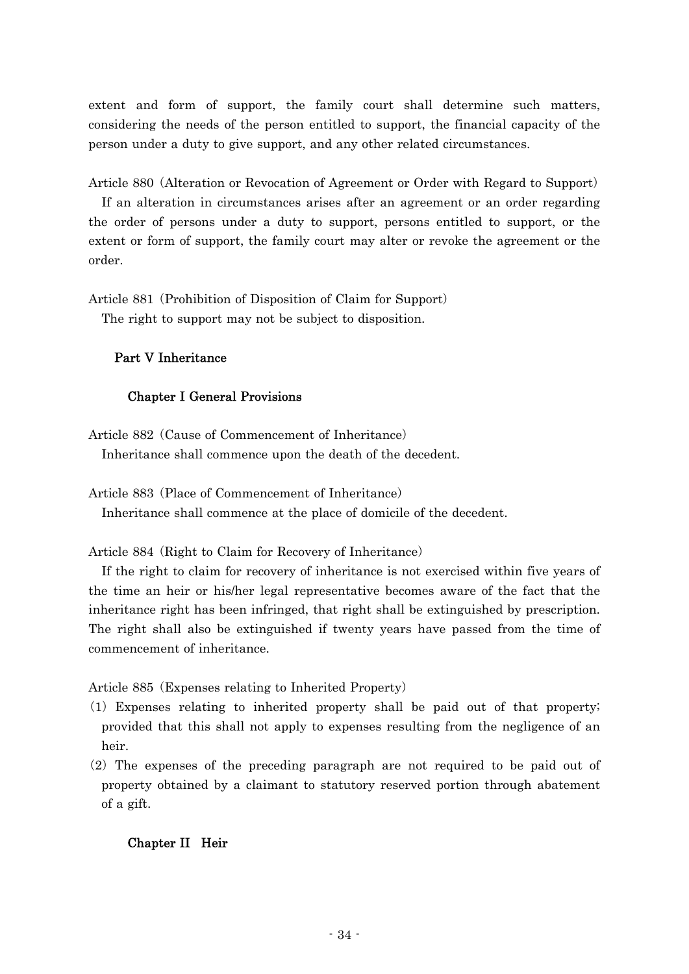extent and form of support, the family court shall determine such matters, considering the needs of the person entitled to support, the financial capacity of the person under a duty to give support, and any other related circumstances.

Article 880 (Alteration or Revocation of Agreement or Order with Regard to Support) If an alteration in circumstances arises after an agreement or an order regarding the order of persons under a duty to support, persons entitled to support, or the extent or form of support, the family court may alter or revoke the agreement or the order.

Article 881 (Prohibition of Disposition of Claim for Support)

The right to support may not be subject to disposition.

# Part V Inheritance

# Chapter I General Provisions

Article 882 (Cause of Commencement of Inheritance) Inheritance shall commence upon the death of the decedent.

Article 883 (Place of Commencement of Inheritance) Inheritance shall commence at the place of domicile of the decedent.

Article 884 (Right to Claim for Recovery of Inheritance)

If the right to claim for recovery of inheritance is not exercised within five years of the time an heir or his/her legal representative becomes aware of the fact that the inheritance right has been infringed, that right shall be extinguished by prescription. The right shall also be extinguished if twenty years have passed from the time of commencement of inheritance.

Article 885 (Expenses relating to Inherited Property)

- ( )1 Expenses relating to inherited property shall be paid out of that property; provided that this shall not apply to expenses resulting from the negligence of an heir.
- $(2)$  The expenses of the preceding paragraph are not required to be paid out of property obtained by a claimant to statutory reserved portion through abatement of a gift.

# Chapter II Heir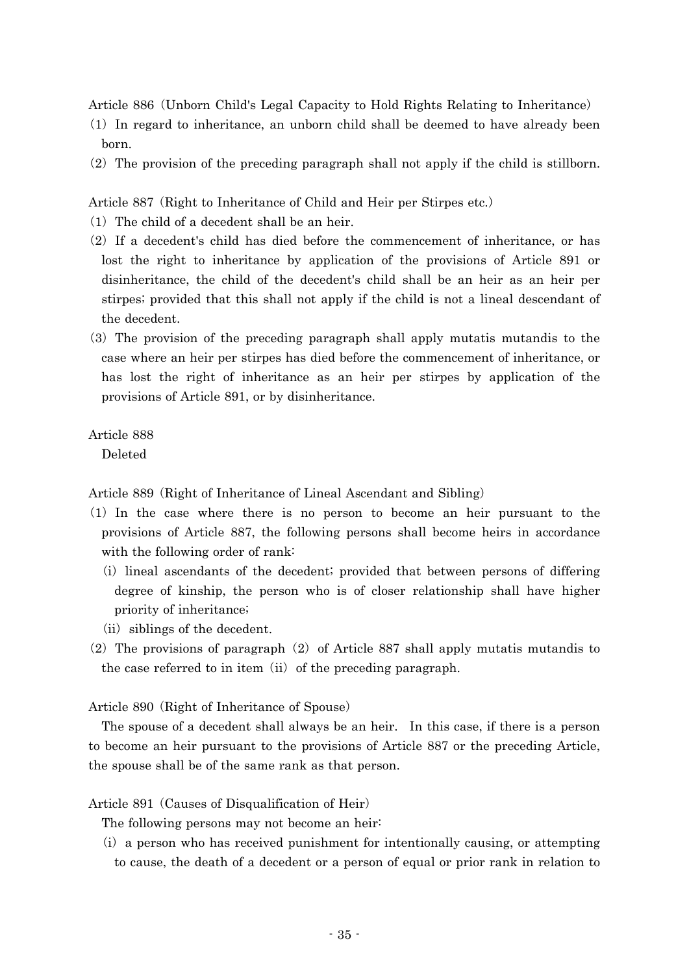Article 886 (Unborn Child's Legal Capacity to Hold Rights Relating to Inheritance)

- ( )1 In regard to inheritance, an unborn child shall be deemed to have already been born.
- $(2)$  The provision of the preceding paragraph shall not apply if the child is stillborn.

Article 887 (Right to Inheritance of Child and Heir per Stirpes etc.)

- $(1)$  The child of a decedent shall be an heir.
- $(2)$  If a decedent's child has died before the commencement of inheritance, or has lost the right to inheritance by application of the provisions of Article 891 or disinheritance, the child of the decedent's child shall be an heir as an heir per stirpes; provided that this shall not apply if the child is not a lineal descendant of the decedent.
- ( )3 The provision of the preceding paragraph shall apply mutatis mutandis to the case where an heir per stirpes has died before the commencement of inheritance, or has lost the right of inheritance as an heir per stirpes by application of the provisions of Article 891, or by disinheritance.

Article 888

Deleted

Article 889 (Right of Inheritance of Lineal Ascendant and Sibling)

- ( )1 In the case where there is no person to become an heir pursuant to the provisions of Article 887, the following persons shall become heirs in accordance with the following order of rank:
	- (i) lineal ascendants of the decedent; provided that between persons of differing degree of kinship, the person who is of closer relationship shall have higher priority of inheritance;
	- $(ii)$  siblings of the decedent.
- (2) The provisions of paragraph  $(2)$  of Article 887 shall apply mutatis mutandis to the case referred to in item  $(ii)$  of the preceding paragraph.

Article 890 (Right of Inheritance of Spouse)

The spouse of a decedent shall always be an heir. In this case, if there is a person to become an heir pursuant to the provisions of Article 887 or the preceding Article, the spouse shall be of the same rank as that person.

### Article 891 (Causes of Disqualification of Heir)

The following persons may not become an heir:

 $(i)$  a person who has received punishment for intentionally causing, or attempting to cause, the death of a decedent or a person of equal or prior rank in relation to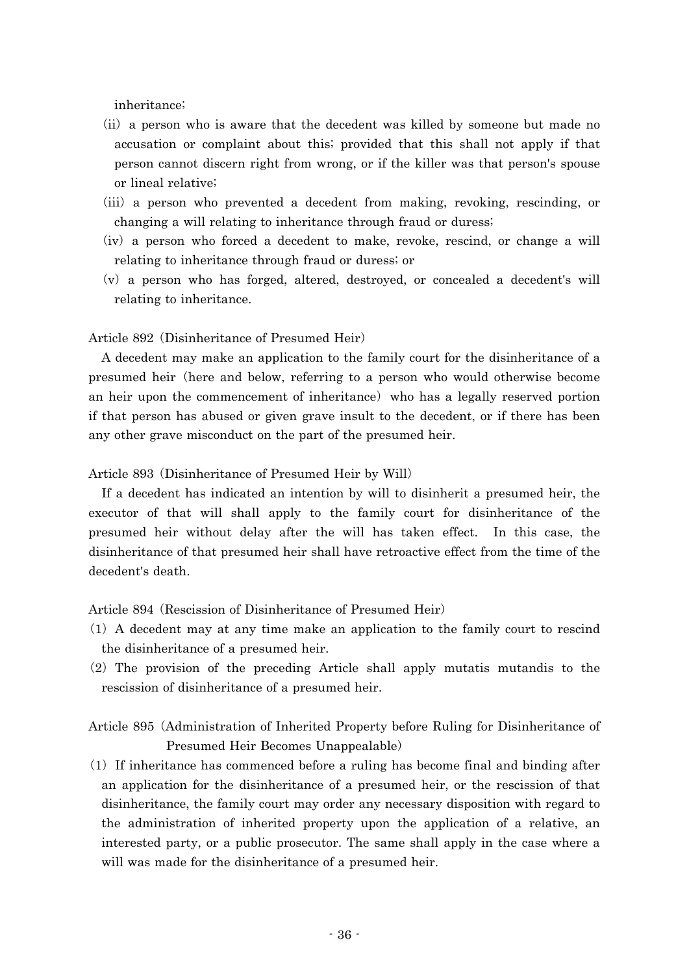inheritance;

- (ii) a person who is aware that the decedent was killed by someone but made no accusation or complaint about this; provided that this shall not apply if that person cannot discern right from wrong, or if the killer was that person's spouse or lineal relative;
- (iii) a person who prevented a decedent from making, revoking, rescinding, or changing a will relating to inheritance through fraud or duress;
- (iv) a person who forced a decedent to make, revoke, rescind, or change a will relating to inheritance through fraud or duress; or
- $(v)$  a person who has forged, altered, destroyed, or concealed a decedent's will relating to inheritance.

### Article 892 (Disinheritance of Presumed Heir)

A decedent may make an application to the family court for the disinheritance of a presumed heir (here and below, referring to a person who would otherwise become an heir upon the commencement of inheritance) who has a legally reserved portion if that person has abused or given grave insult to the decedent, or if there has been any other grave misconduct on the part of the presumed heir.

Article 893 (Disinheritance of Presumed Heir by Will)

If a decedent has indicated an intention by will to disinherit a presumed heir, the executor of that will shall apply to the family court for disinheritance of the presumed heir without delay after the will has taken effect. In this case, the disinheritance of that presumed heir shall have retroactive effect from the time of the decedent's death.

Article 894 (Rescission of Disinheritance of Presumed Heir)

- ( )1 A decedent may at any time make an application to the family court to rescind the disinheritance of a presumed heir.
- $(2)$  The provision of the preceding Article shall apply mutatis mutandis to the rescission of disinheritance of a presumed heir.

# Article 895 (Administration of Inherited Property before Ruling for Disinheritance of Presumed Heir Becomes Unappealable)

 $(1)$  If inheritance has commenced before a ruling has become final and binding after an application for the disinheritance of a presumed heir, or the rescission of that disinheritance, the family court may order any necessary disposition with regard to the administration of inherited property upon the application of a relative, an interested party, or a public prosecutor. The same shall apply in the case where a will was made for the disinheritance of a presumed heir.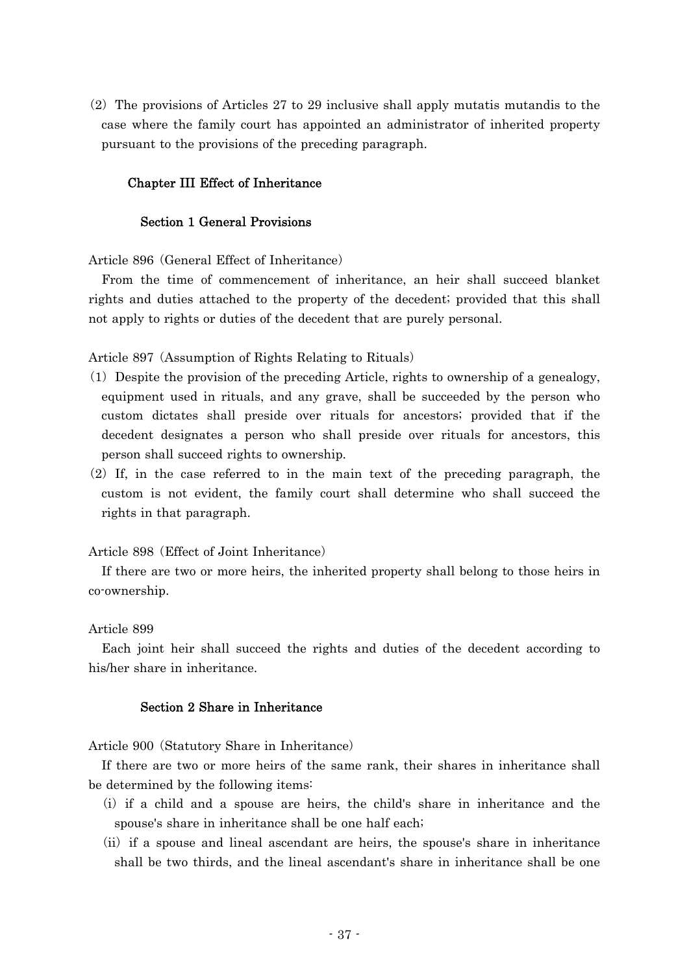$(2)$  The provisions of Articles 27 to 29 inclusive shall apply mutatis mutandis to the case where the family court has appointed an administrator of inherited property pursuant to the provisions of the preceding paragraph.

## Chapter III Effect of Inheritance

## Section 1 General Provisions

Article 896 (General Effect of Inheritance)

From the time of commencement of inheritance, an heir shall succeed blanket rights and duties attached to the property of the decedent; provided that this shall not apply to rights or duties of the decedent that are purely personal.

Article 897 (Assumption of Rights Relating to Rituals)

- ( )1 Despite the provision of the preceding Article, rights to ownership of a genealogy, equipment used in rituals, and any grave, shall be succeeded by the person who custom dictates shall preside over rituals for ancestors; provided that if the decedent designates a person who shall preside over rituals for ancestors, this person shall succeed rights to ownership.
- $(2)$  If, in the case referred to in the main text of the preceding paragraph, the custom is not evident, the family court shall determine who shall succeed the rights in that paragraph.

### Article 898 (Effect of Joint Inheritance)

If there are two or more heirs, the inherited property shall belong to those heirs in co-ownership.

### Article 899

Each joint heir shall succeed the rights and duties of the decedent according to his/her share in inheritance.

## Section 2 Share in Inheritance

Article 900 (Statutory Share in Inheritance)

If there are two or more heirs of the same rank, their shares in inheritance shall be determined by the following items:

- (i) if a child and a spouse are heirs, the child's share in inheritance and the spouse's share in inheritance shall be one half each;
- $(i)$  if a spouse and lineal ascendant are heirs, the spouse's share in inheritance shall be two thirds, and the lineal ascendant's share in inheritance shall be one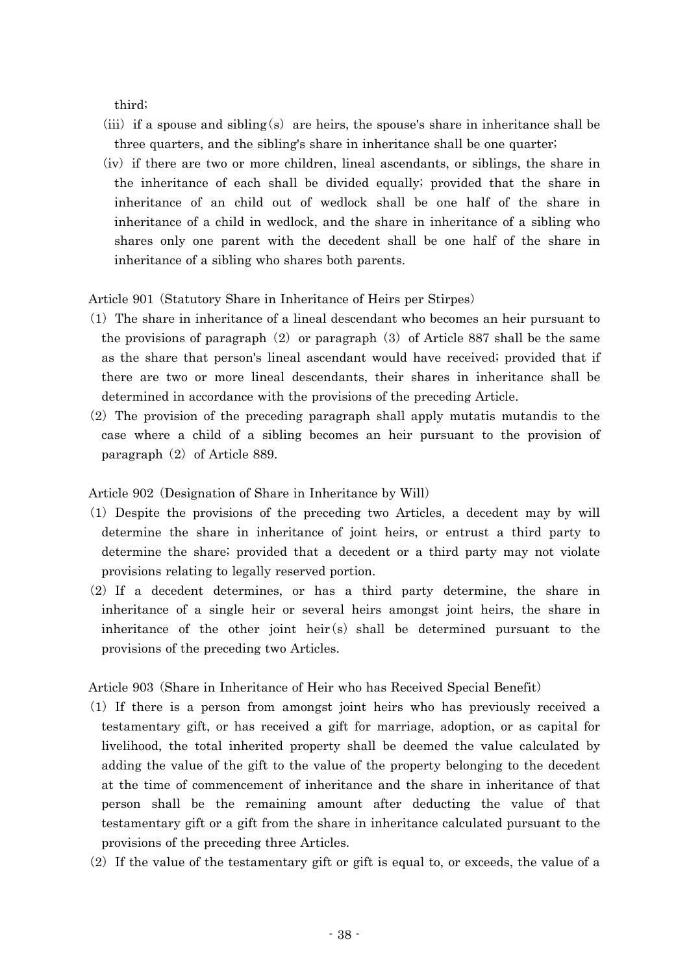third;

- (iii) if a spouse and sibling (s) are heirs, the spouse's share in inheritance shall be three quarters, and the sibling's share in inheritance shall be one quarter;
- (iv) if there are two or more children, lineal ascendants, or siblings, the share in the inheritance of each shall be divided equally; provided that the share in inheritance of an child out of wedlock shall be one half of the share in inheritance of a child in wedlock, and the share in inheritance of a sibling who shares only one parent with the decedent shall be one half of the share in inheritance of a sibling who shares both parents.

Article 901 (Statutory Share in Inheritance of Heirs per Stirpes)

- $(1)$  The share in inheritance of a lineal descendant who becomes an heir pursuant to the provisions of paragraph  $(2)$  or paragraph  $(3)$  of Article 887 shall be the same as the share that person's lineal ascendant would have received; provided that if there are two or more lineal descendants, their shares in inheritance shall be determined in accordance with the provisions of the preceding Article.
- $(2)$  The provision of the preceding paragraph shall apply mutatis mutandis to the case where a child of a sibling becomes an heir pursuant to the provision of paragraph  $(2)$  of Article 889.

Article 902 (Designation of Share in Inheritance by Will)

- ( )1 Despite the provisions of the preceding two Articles, a decedent may by will determine the share in inheritance of joint heirs, or entrust a third party to determine the share; provided that a decedent or a third party may not violate provisions relating to legally reserved portion.
- $(2)$  If a decedent determines, or has a third party determine, the share in inheritance of a single heir or several heirs amongst joint heirs, the share in inheritance of the other joint heir $(s)$  shall be determined pursuant to the provisions of the preceding two Articles.

Article 903 (Share in Inheritance of Heir who has Received Special Benefit)

- ( )1 If there is a person from amongst joint heirs who has previously received a testamentary gift, or has received a gift for marriage, adoption, or as capital for livelihood, the total inherited property shall be deemed the value calculated by adding the value of the gift to the value of the property belonging to the decedent at the time of commencement of inheritance and the share in inheritance of that person shall be the remaining amount after deducting the value of that testamentary gift or a gift from the share in inheritance calculated pursuant to the provisions of the preceding three Articles.
- $(2)$  If the value of the testamentary gift or gift is equal to, or exceeds, the value of a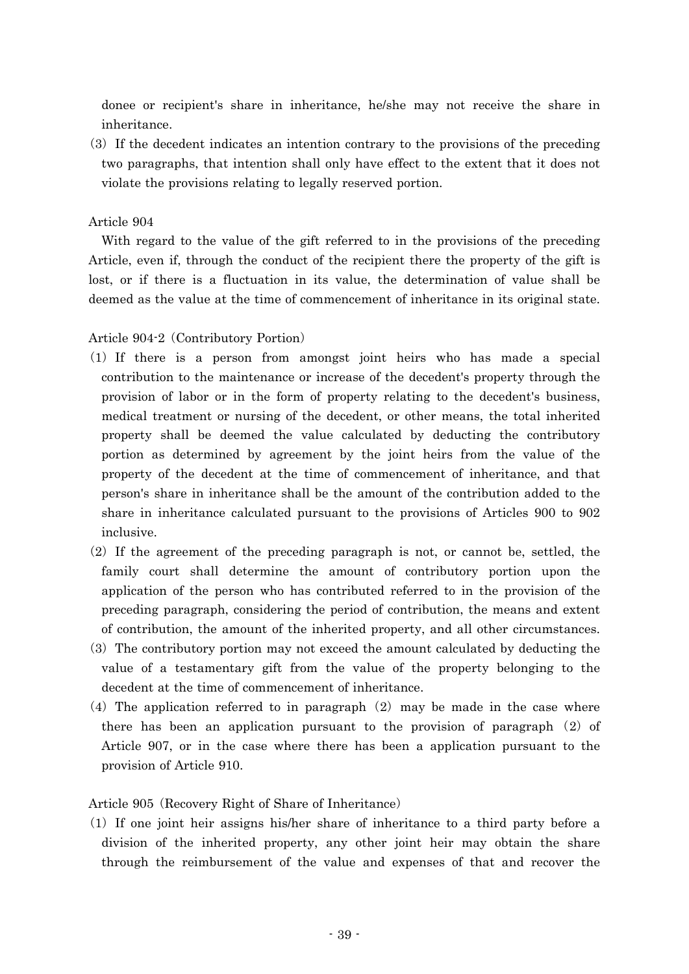donee or recipient's share in inheritance, he/she may not receive the share in inheritance.

(3) If the decedent indicates an intention contrary to the provisions of the preceding two paragraphs, that intention shall only have effect to the extent that it does not violate the provisions relating to legally reserved portion.

## Article 904

With regard to the value of the gift referred to in the provisions of the preceding Article, even if, through the conduct of the recipient there the property of the gift is lost, or if there is a fluctuation in its value, the determination of value shall be deemed as the value at the time of commencement of inheritance in its original state.

### Article 904-2 (Contributory Portion)

- ( )1 If there is a person from amongst joint heirs who has made a special contribution to the maintenance or increase of the decedent's property through the provision of labor or in the form of property relating to the decedent's business, medical treatment or nursing of the decedent, or other means, the total inherited property shall be deemed the value calculated by deducting the contributory portion as determined by agreement by the joint heirs from the value of the property of the decedent at the time of commencement of inheritance, and that person's share in inheritance shall be the amount of the contribution added to the share in inheritance calculated pursuant to the provisions of Articles 900 to 902 inclusive.
- $(2)$  If the agreement of the preceding paragraph is not, or cannot be, settled, the family court shall determine the amount of contributory portion upon the application of the person who has contributed referred to in the provision of the preceding paragraph, considering the period of contribution, the means and extent of contribution, the amount of the inherited property, and all other circumstances.
- ( )3 The contributory portion may not exceed the amount calculated by deducting the value of a testamentary gift from the value of the property belonging to the decedent at the time of commencement of inheritance.
- (4) The application referred to in paragraph  $(2)$  may be made in the case where there has been an application pursuant to the provision of paragraph  $(2)$  of Article 907, or in the case where there has been a application pursuant to the provision of Article 910.

### Article 905 (Recovery Right of Share of Inheritance)

 $(1)$  If one joint heir assigns his/her share of inheritance to a third party before a division of the inherited property, any other joint heir may obtain the share through the reimbursement of the value and expenses of that and recover the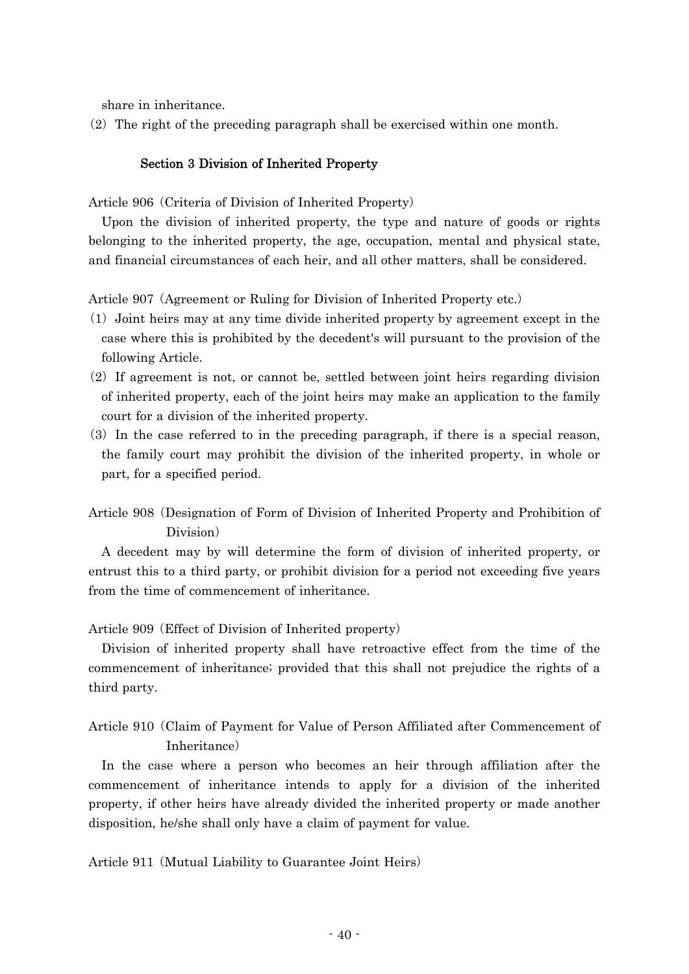share in inheritance.

 $(2)$  The right of the preceding paragraph shall be exercised within one month.

## Section 3 Division of Inherited Property

Article 906 (Criteria of Division of Inherited Property)

Upon the division of inherited property, the type and nature of goods or rights belonging to the inherited property, the age, occupation, mental and physical state, and financial circumstances of each heir, and all other matters, shall be considered.

Article 907 (Agreement or Ruling for Division of Inherited Property etc.)

- ( )1 Joint heirs may at any time divide inherited property by agreement except in the case where this is prohibited by the decedent's will pursuant to the provision of the following Article.
- $(2)$  If agreement is not, or cannot be, settled between joint heirs regarding division of inherited property, each of the joint heirs may make an application to the family court for a division of the inherited property.
- $(3)$  In the case referred to in the preceding paragraph, if there is a special reason, the family court may prohibit the division of the inherited property, in whole or part, for a specified period.
- Article 908 (Designation of Form of Division of Inherited Property and Prohibition of Division)

A decedent may by will determine the form of division of inherited property, or entrust this to a third party, or prohibit division for a period not exceeding five years from the time of commencement of inheritance.

Article 909 (Effect of Division of Inherited property)

Division of inherited property shall have retroactive effect from the time of the commencement of inheritance; provided that this shall not prejudice the rights of a third party.

# Article 910 Claim of Payment for Value of Person Affiliated after Commencement of ( Inheritance)

In the case where a person who becomes an heir through affiliation after the commencement of inheritance intends to apply for a division of the inherited property, if other heirs have already divided the inherited property or made another disposition, he/she shall only have a claim of payment for value.

Article 911 (Mutual Liability to Guarantee Joint Heirs)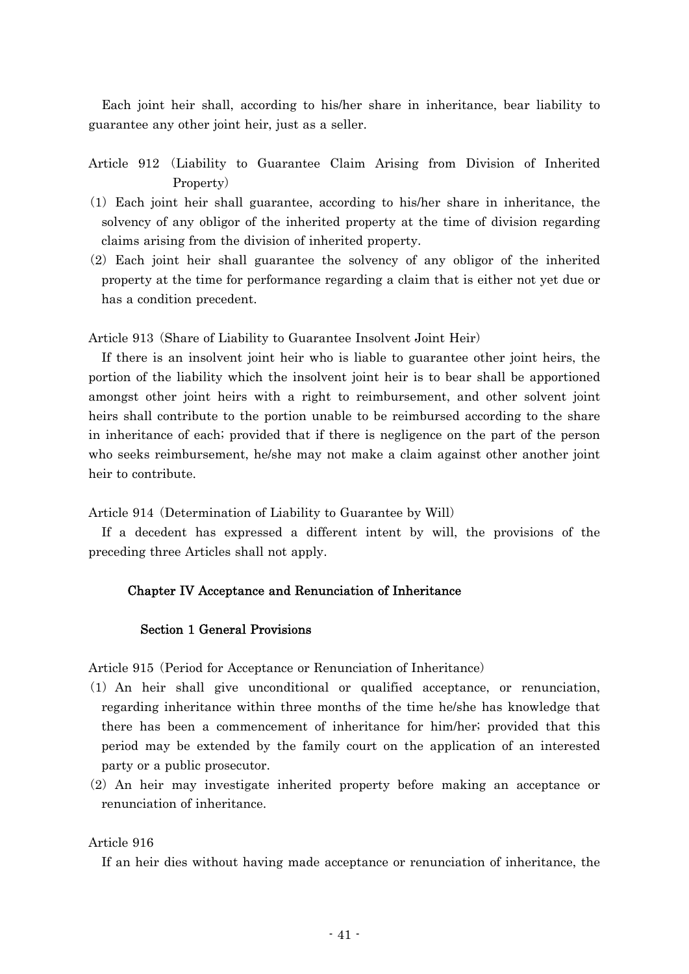Each joint heir shall, according to his/her share in inheritance, bear liability to guarantee any other joint heir, just as a seller.

Article 912 (Liability to Guarantee Claim Arising from Division of Inherited Property)

- ( )1 Each joint heir shall guarantee, according to his/her share in inheritance, the solvency of any obligor of the inherited property at the time of division regarding claims arising from the division of inherited property.
- $(2)$  Each joint heir shall guarantee the solvency of any obligor of the inherited property at the time for performance regarding a claim that is either not yet due or has a condition precedent.

Article 913 (Share of Liability to Guarantee Insolvent Joint Heir)

If there is an insolvent joint heir who is liable to guarantee other joint heirs, the portion of the liability which the insolvent joint heir is to bear shall be apportioned amongst other joint heirs with a right to reimbursement, and other solvent joint heirs shall contribute to the portion unable to be reimbursed according to the share in inheritance of each; provided that if there is negligence on the part of the person who seeks reimbursement, he/she may not make a claim against other another joint heir to contribute.

Article 914 (Determination of Liability to Guarantee by Will)

If a decedent has expressed a different intent by will, the provisions of the preceding three Articles shall not apply.

### Chapter IV Acceptance and Renunciation of Inheritance

## Section 1 General Provisions

Article 915 (Period for Acceptance or Renunciation of Inheritance)

- ( )1 An heir shall give unconditional or qualified acceptance, or renunciation, regarding inheritance within three months of the time he/she has knowledge that there has been a commencement of inheritance for him/her; provided that this period may be extended by the family court on the application of an interested party or a public prosecutor.
- (2) An heir may investigate inherited property before making an acceptance or renunciation of inheritance.

### Article 916

If an heir dies without having made acceptance or renunciation of inheritance, the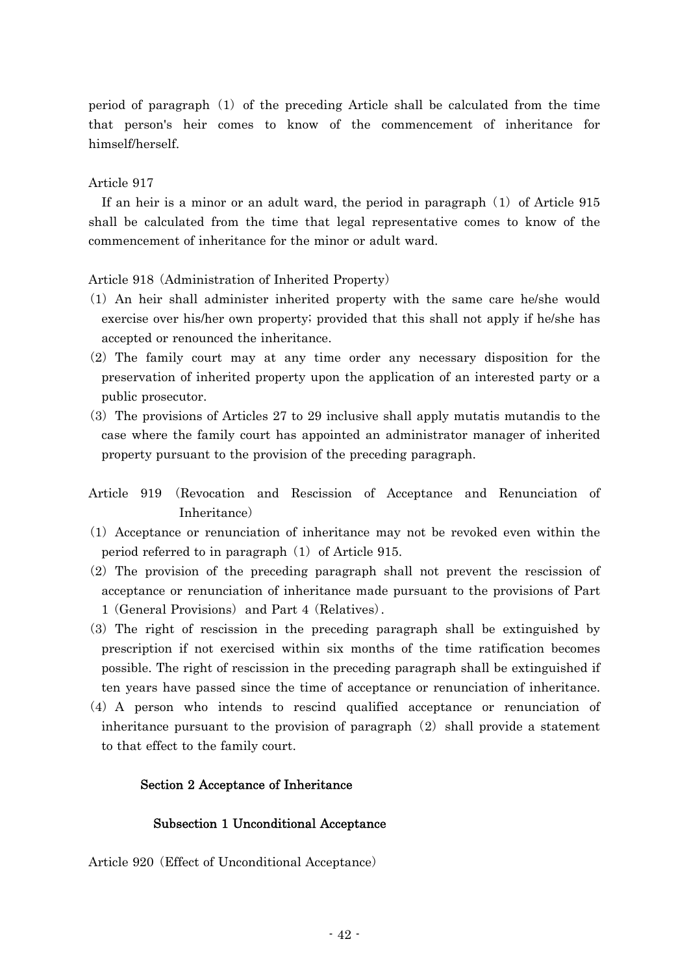period of paragraph  $(1)$  of the preceding Article shall be calculated from the time that person's heir comes to know of the commencement of inheritance for himself/herself.

## Article 917

If an heir is a minor or an adult ward, the period in paragraph  $(1)$  of Article 915 shall be calculated from the time that legal representative comes to know of the commencement of inheritance for the minor or adult ward.

Article 918 (Administration of Inherited Property)

- ( )1 An heir shall administer inherited property with the same care he/she would exercise over his/her own property; provided that this shall not apply if he/she has accepted or renounced the inheritance.
- (2) The family court may at any time order any necessary disposition for the preservation of inherited property upon the application of an interested party or a public prosecutor.
- $(3)$  The provisions of Articles 27 to 29 inclusive shall apply mutatis mutandis to the case where the family court has appointed an administrator manager of inherited property pursuant to the provision of the preceding paragraph.
- Article 919 (Revocation and Rescission of Acceptance and Renunciation of Inheritance)
- ( )1 Acceptance or renunciation of inheritance may not be revoked even within the period referred to in paragraph  $(1)$  of Article 915.
- $(2)$  The provision of the preceding paragraph shall not prevent the rescission of acceptance or renunciation of inheritance made pursuant to the provisions of Part 1 (General Provisions) and Part 4 (Relatives).
- (3) The right of rescission in the preceding paragraph shall be extinguished by prescription if not exercised within six months of the time ratification becomes possible. The right of rescission in the preceding paragraph shall be extinguished if ten years have passed since the time of acceptance or renunciation of inheritance.
- (4) A person who intends to rescind qualified acceptance or renunciation of inheritance pursuant to the provision of paragraph  $(2)$  shall provide a statement to that effect to the family court.

### Section 2 Acceptance of Inheritance

### Subsection 1 Unconditional Acceptance

Article 920 (Effect of Unconditional Acceptance)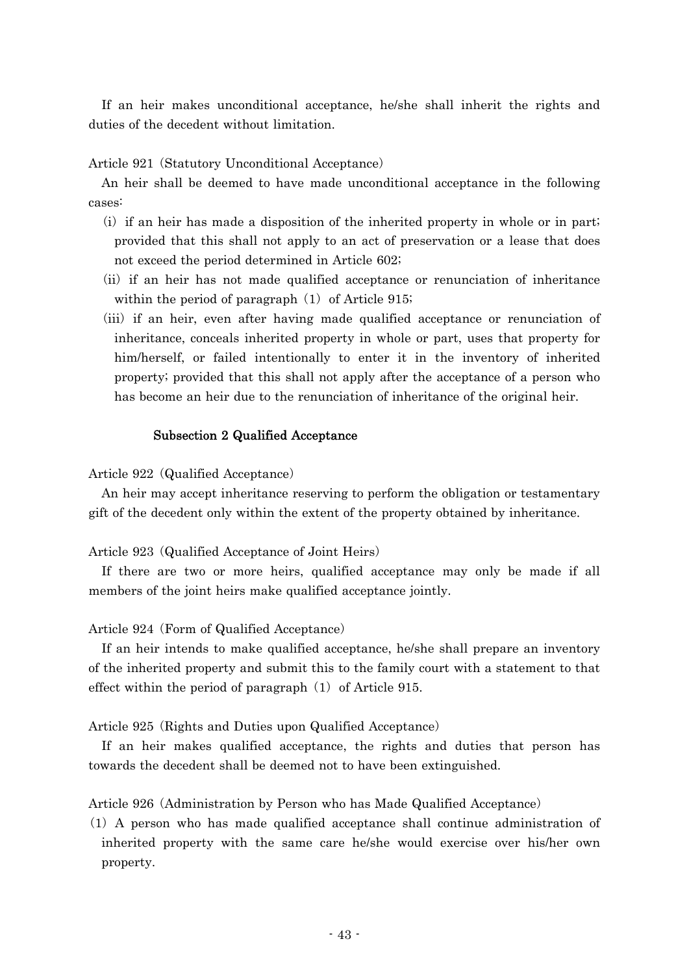If an heir makes unconditional acceptance, he/she shall inherit the rights and duties of the decedent without limitation.

Article 921 (Statutory Unconditional Acceptance)

An heir shall be deemed to have made unconditional acceptance in the following cases:

- $(i)$  if an heir has made a disposition of the inherited property in whole or in part; provided that this shall not apply to an act of preservation or a lease that does not exceed the period determined in Article 602;
- (ii) if an heir has not made qualified acceptance or renunciation of inheritance within the period of paragraph  $(1)$  of Article 915;
- (iii) if an heir, even after having made qualified acceptance or renunciation of inheritance, conceals inherited property in whole or part, uses that property for him/herself, or failed intentionally to enter it in the inventory of inherited property; provided that this shall not apply after the acceptance of a person who has become an heir due to the renunciation of inheritance of the original heir.

## Subsection 2 Qualified Acceptance

Article 922 (Qualified Acceptance)

An heir may accept inheritance reserving to perform the obligation or testamentary gift of the decedent only within the extent of the property obtained by inheritance.

Article 923 (Qualified Acceptance of Joint Heirs)

If there are two or more heirs, qualified acceptance may only be made if all members of the joint heirs make qualified acceptance jointly.

Article 924 (Form of Qualified Acceptance)

If an heir intends to make qualified acceptance, he/she shall prepare an inventory of the inherited property and submit this to the family court with a statement to that effect within the period of paragraph  $(1)$  of Article 915.

Article 925 (Rights and Duties upon Qualified Acceptance)

If an heir makes qualified acceptance, the rights and duties that person has towards the decedent shall be deemed not to have been extinguished.

Article 926 (Administration by Person who has Made Qualified Acceptance)

( )1 A person who has made qualified acceptance shall continue administration of inherited property with the same care he/she would exercise over his/her own property.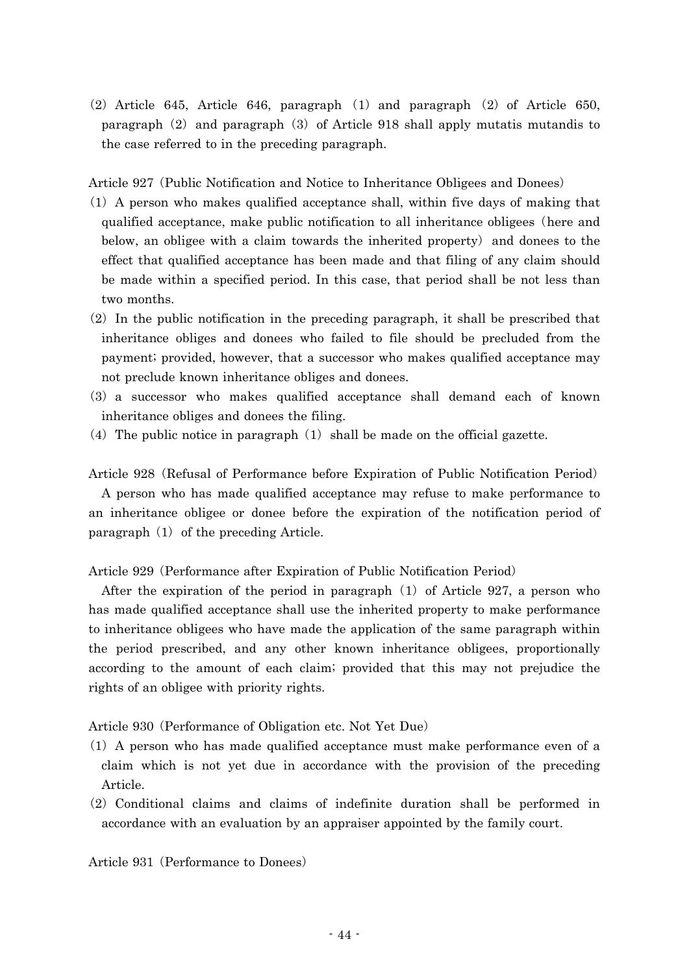$(2)$  Article 645, Article 646, paragraph  $(1)$  and paragraph  $(2)$  of Article 650, paragraph  $(2)$  and paragraph  $(3)$  of Article 918 shall apply mutatis mutandis to the case referred to in the preceding paragraph.

Article 927 (Public Notification and Notice to Inheritance Obligees and Donees)

- $(1)$  A person who makes qualified acceptance shall, within five days of making that qualified acceptance, make public notification to all inheritance obligees (here and below, an obligee with a claim towards the inherited property) and donees to the effect that qualified acceptance has been made and that filing of any claim should be made within a specified period. In this case, that period shall be not less than two months.
- $(2)$  In the public notification in the preceding paragraph, it shall be prescribed that inheritance obliges and donees who failed to file should be precluded from the payment; provided, however, that a successor who makes qualified acceptance may not preclude known inheritance obliges and donees.
- (3) a successor who makes qualified acceptance shall demand each of known inheritance obliges and donees the filing.
- (4) The public notice in paragraph  $(1)$  shall be made on the official gazette.

Article 928 (Refusal of Performance before Expiration of Public Notification Period)

A person who has made qualified acceptance may refuse to make performance to an inheritance obligee or donee before the expiration of the notification period of paragraph  $(1)$  of the preceding Article.

Article 929 (Performance after Expiration of Public Notification Period)

After the expiration of the period in paragraph  $(1)$  of Article 927, a person who has made qualified acceptance shall use the inherited property to make performance to inheritance obligees who have made the application of the same paragraph within the period prescribed, and any other known inheritance obligees, proportionally according to the amount of each claim; provided that this may not prejudice the rights of an obligee with priority rights.

Article 930 (Performance of Obligation etc. Not Yet Due)

- $(1)$  A person who has made qualified acceptance must make performance even of a claim which is not yet due in accordance with the provision of the preceding Article.
- $(2)$  Conditional claims and claims of indefinite duration shall be performed in accordance with an evaluation by an appraiser appointed by the family court.

Article 931 (Performance to Donees)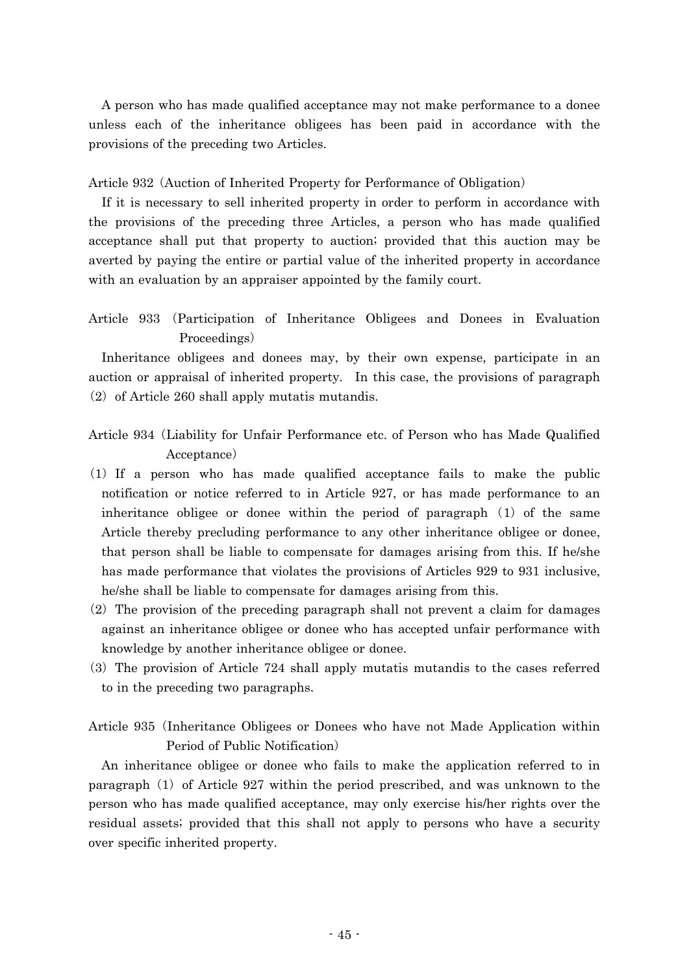A person who has made qualified acceptance may not make performance to a donee unless each of the inheritance obligees has been paid in accordance with the provisions of the preceding two Articles.

Article 932 (Auction of Inherited Property for Performance of Obligation)

If it is necessary to sell inherited property in order to perform in accordance with the provisions of the preceding three Articles, a person who has made qualified acceptance shall put that property to auction; provided that this auction may be averted by paying the entire or partial value of the inherited property in accordance with an evaluation by an appraiser appointed by the family court.

Article 933 (Participation of Inheritance Obligees and Donees in Evaluation Proceedings)

Inheritance obligees and donees may, by their own expense, participate in an auction or appraisal of inherited property. In this case, the provisions of paragraph  $(2)$  of Article 260 shall apply mutatis mutandis.

- Article 934 (Liability for Unfair Performance etc. of Person who has Made Qualified Acceptance)
- $(1)$  If a person who has made qualified acceptance fails to make the public notification or notice referred to in Article 927, or has made performance to an inheritance obligee or donee within the period of paragraph  $(1)$  of the same Article thereby precluding performance to any other inheritance obligee or donee, that person shall be liable to compensate for damages arising from this. If he/she has made performance that violates the provisions of Articles 929 to 931 inclusive, he/she shall be liable to compensate for damages arising from this.
- $(2)$  The provision of the preceding paragraph shall not prevent a claim for damages against an inheritance obligee or donee who has accepted unfair performance with knowledge by another inheritance obligee or donee.
- ( )3 The provision of Article 724 shall apply mutatis mutandis to the cases referred to in the preceding two paragraphs.
- Article 935 (Inheritance Obligees or Donees who have not Made Application within Period of Public Notification)

An inheritance obligee or donee who fails to make the application referred to in paragraph  $(1)$  of Article 927 within the period prescribed, and was unknown to the person who has made qualified acceptance, may only exercise his/her rights over the residual assets; provided that this shall not apply to persons who have a security over specific inherited property.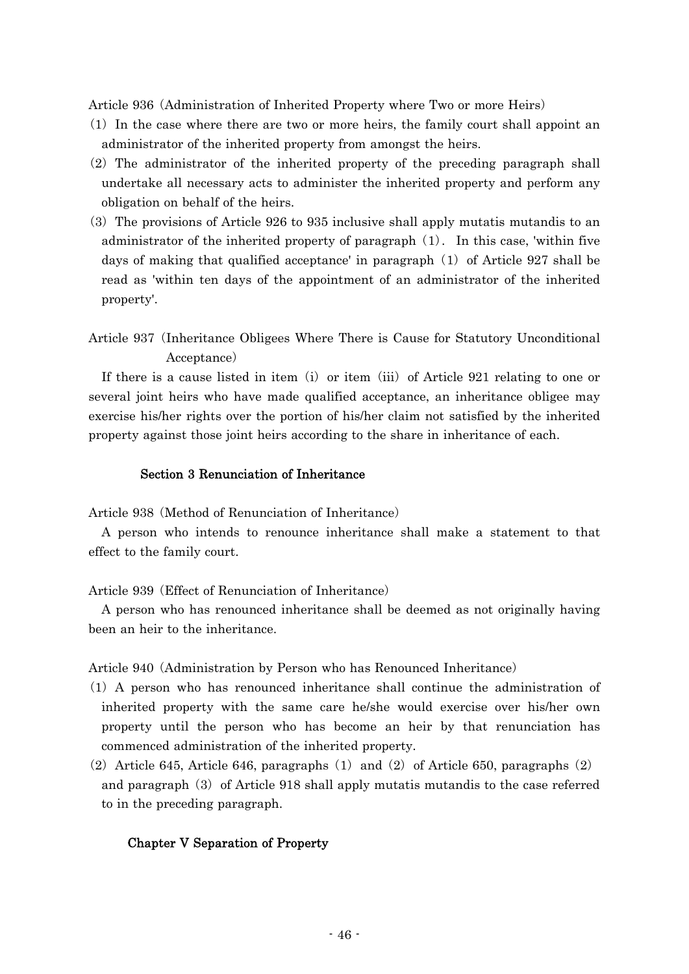Article 936 (Administration of Inherited Property where Two or more Heirs)

- ( )1 In the case where there are two or more heirs, the family court shall appoint an administrator of the inherited property from amongst the heirs.
- $(2)$  The administrator of the inherited property of the preceding paragraph shall undertake all necessary acts to administer the inherited property and perform any obligation on behalf of the heirs.
- ( )3 The provisions of Article 926 to 935 inclusive shall apply mutatis mutandis to an administrator of the inherited property of paragraph  $(1)$ . In this case, 'within five days of making that qualified acceptance' in paragraph  $(1)$  of Article 927 shall be read as 'within ten days of the appointment of an administrator of the inherited property'.
- Article 937 (Inheritance Obligees Where There is Cause for Statutory Unconditional Acceptance)

If there is a cause listed in item (i) or item (iii) of Article  $921$  relating to one or several joint heirs who have made qualified acceptance, an inheritance obligee may exercise his/her rights over the portion of his/her claim not satisfied by the inherited property against those joint heirs according to the share in inheritance of each.

## Section 3 Renunciation of Inheritance

Article 938 (Method of Renunciation of Inheritance)

A person who intends to renounce inheritance shall make a statement to that effect to the family court.

Article 939 (Effect of Renunciation of Inheritance)

A person who has renounced inheritance shall be deemed as not originally having been an heir to the inheritance.

Article 940 (Administration by Person who has Renounced Inheritance)

- $(1)$  A person who has renounced inheritance shall continue the administration of inherited property with the same care he/she would exercise over his/her own property until the person who has become an heir by that renunciation has commenced administration of the inherited property.
- (2) Article 645, Article 646, paragraphs  $(1)$  and  $(2)$  of Article 650, paragraphs  $(2)$ and paragraph  $(3)$  of Article 918 shall apply mutatis mutandis to the case referred to in the preceding paragraph.

### Chapter V Separation of Property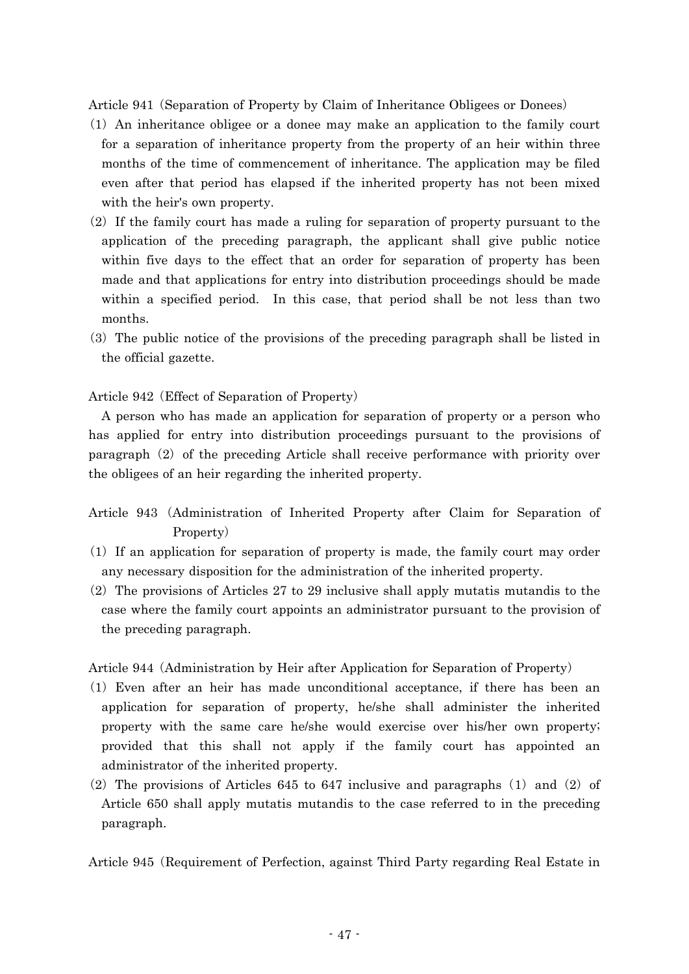Article 941 (Separation of Property by Claim of Inheritance Obligees or Donees)

- ( )1 An inheritance obligee or a donee may make an application to the family court for a separation of inheritance property from the property of an heir within three months of the time of commencement of inheritance. The application may be filed even after that period has elapsed if the inherited property has not been mixed with the heir's own property.
- $(2)$  If the family court has made a ruling for separation of property pursuant to the application of the preceding paragraph, the applicant shall give public notice within five days to the effect that an order for separation of property has been made and that applications for entry into distribution proceedings should be made within a specified period. In this case, that period shall be not less than two months.
- ( )3 The public notice of the provisions of the preceding paragraph shall be listed in the official gazette.

Article 942 (Effect of Separation of Property)

A person who has made an application for separation of property or a person who has applied for entry into distribution proceedings pursuant to the provisions of paragraph  $(2)$  of the preceding Article shall receive performance with priority over the obligees of an heir regarding the inherited property.

- Article 943 (Administration of Inherited Property after Claim for Separation of Property)
- $(1)$  If an application for separation of property is made, the family court may order any necessary disposition for the administration of the inherited property.
- $(2)$  The provisions of Articles 27 to 29 inclusive shall apply mutatis mutandis to the case where the family court appoints an administrator pursuant to the provision of the preceding paragraph.

Article 944 (Administration by Heir after Application for Separation of Property)

- ( )1 Even after an heir has made unconditional acceptance, if there has been an application for separation of property, he/she shall administer the inherited property with the same care he/she would exercise over his/her own property; provided that this shall not apply if the family court has appointed an administrator of the inherited property.
- (2) The provisions of Articles 645 to 647 inclusive and paragraphs  $(1)$  and  $(2)$  of Article 650 shall apply mutatis mutandis to the case referred to in the preceding paragraph.

Article 945 (Requirement of Perfection, against Third Party regarding Real Estate in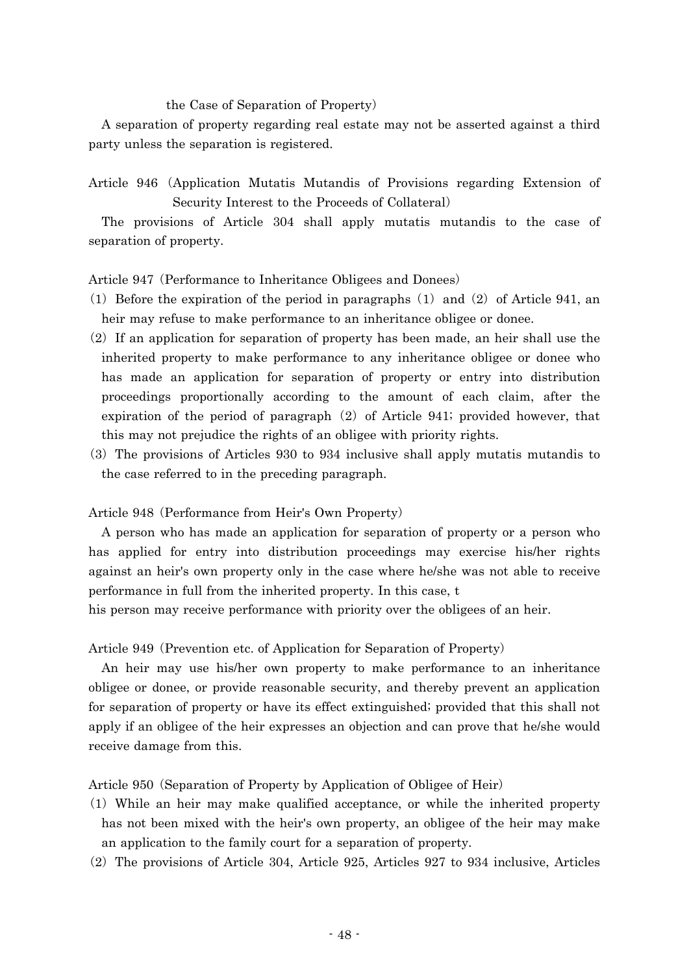### the Case of Separation of Property)

A separation of property regarding real estate may not be asserted against a third party unless the separation is registered.

Article 946 (Application Mutatis Mutandis of Provisions regarding Extension of Security Interest to the Proceeds of Collateral)

The provisions of Article 304 shall apply mutatis mutandis to the case of separation of property.

Article 947 (Performance to Inheritance Obligees and Donees)

- (1) Before the expiration of the period in paragraphs  $(1)$  and  $(2)$  of Article 941, and heir may refuse to make performance to an inheritance obligee or donee.
- $(2)$  If an application for separation of property has been made, an heir shall use the inherited property to make performance to any inheritance obligee or donee who has made an application for separation of property or entry into distribution proceedings proportionally according to the amount of each claim, after the expiration of the period of paragraph  $(2)$  of Article 941; provided however, that this may not prejudice the rights of an obligee with priority rights.
- ( )3 The provisions of Articles 930 to 934 inclusive shall apply mutatis mutandis to the case referred to in the preceding paragraph.

Article 948 (Performance from Heir's Own Property)

A person who has made an application for separation of property or a person who has applied for entry into distribution proceedings may exercise his/her rights against an heir's own property only in the case where he/she was not able to receive performance in full from the inherited property. In this case, t

his person may receive performance with priority over the obligees of an heir.

Article 949 (Prevention etc. of Application for Separation of Property)

An heir may use his/her own property to make performance to an inheritance obligee or donee, or provide reasonable security, and thereby prevent an application for separation of property or have its effect extinguished; provided that this shall not apply if an obligee of the heir expresses an objection and can prove that he/she would receive damage from this.

Article 950 (Separation of Property by Application of Obligee of Heir)

- ( )1 While an heir may make qualified acceptance, or while the inherited property has not been mixed with the heir's own property, an obligee of the heir may make an application to the family court for a separation of property.
- $(2)$  The provisions of Article 304, Article 925, Articles 927 to 934 inclusive, Articles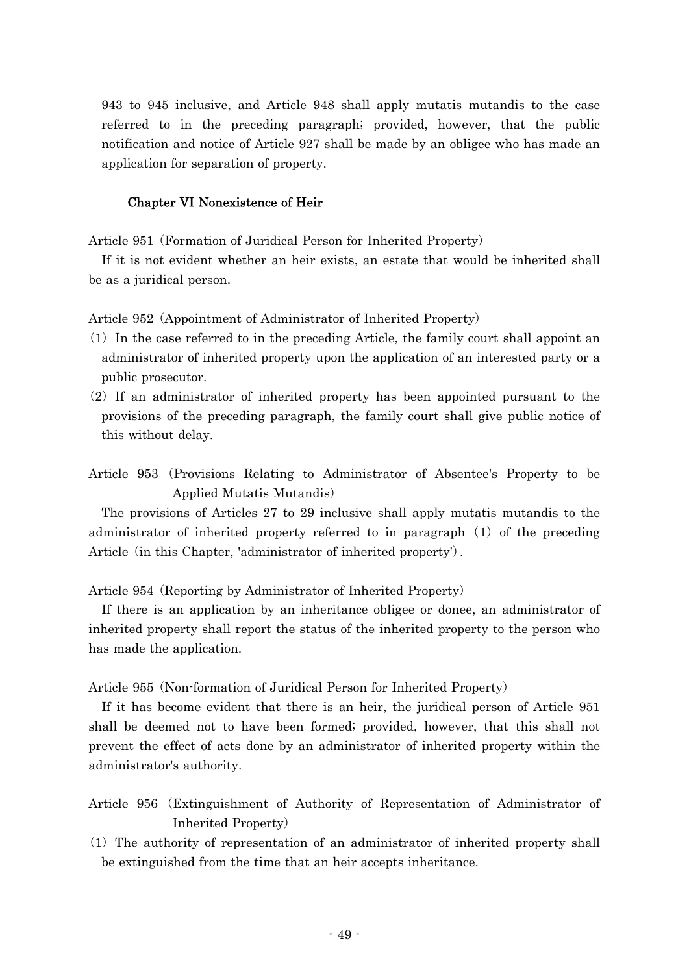943 to 945 inclusive, and Article 948 shall apply mutatis mutandis to the case referred to in the preceding paragraph; provided, however, that the public notification and notice of Article 927 shall be made by an obligee who has made an application for separation of property.

## Chapter VI Nonexistence of Heir

Article 951 (Formation of Juridical Person for Inherited Property)

If it is not evident whether an heir exists, an estate that would be inherited shall be as a juridical person.

Article 952 (Appointment of Administrator of Inherited Property)

- ( )1 In the case referred to in the preceding Article, the family court shall appoint an administrator of inherited property upon the application of an interested party or a public prosecutor.
- $(2)$  If an administrator of inherited property has been appointed pursuant to the provisions of the preceding paragraph, the family court shall give public notice of this without delay.
- Article 953 (Provisions Relating to Administrator of Absentee's Property to be Applied Mutatis Mutandis)

The provisions of Articles 27 to 29 inclusive shall apply mutatis mutandis to the administrator of inherited property referred to in paragraph  $(1)$  of the preceding Article (in this Chapter, 'administrator of inherited property').

Article 954 (Reporting by Administrator of Inherited Property)

If there is an application by an inheritance obligee or donee, an administrator of inherited property shall report the status of the inherited property to the person who has made the application.

Article 955 (Non-formation of Juridical Person for Inherited Property)

If it has become evident that there is an heir, the juridical person of Article 951 shall be deemed not to have been formed; provided, however, that this shall not prevent the effect of acts done by an administrator of inherited property within the administrator's authority.

- Article 956 (Extinguishment of Authority of Representation of Administrator of Inherited Property)
- ( )1 The authority of representation of an administrator of inherited property shall be extinguished from the time that an heir accepts inheritance.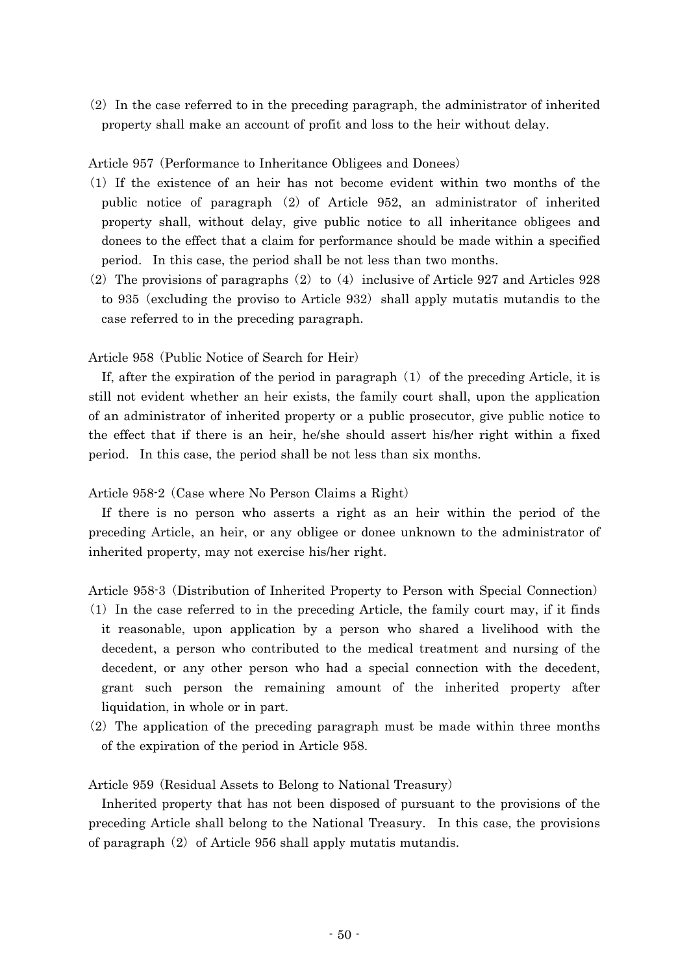$(2)$  In the case referred to in the preceding paragraph, the administrator of inherited property shall make an account of profit and loss to the heir without delay.

## Article 957 (Performance to Inheritance Obligees and Donees)

- ( )1 If the existence of an heir has not become evident within two months of the public notice of paragraph  $(2)$  of Article 952, an administrator of inherited property shall, without delay, give public notice to all inheritance obligees and donees to the effect that a claim for performance should be made within a specified period. In this case, the period shall be not less than two months.
- (2) The provisions of paragraphs  $(2)$  to  $(4)$  inclusive of Article 927 and Articles 928 to 935 (excluding the proviso to Article 932) shall apply mutatis mutandis to the case referred to in the preceding paragraph.

## Article 958 (Public Notice of Search for Heir)

If, after the expiration of the period in paragraph  $(1)$  of the preceding Article, it is still not evident whether an heir exists, the family court shall, upon the application of an administrator of inherited property or a public prosecutor, give public notice to the effect that if there is an heir, he/she should assert his/her right within a fixed period. In this case, the period shall be not less than six months.

Article 958-2 (Case where No Person Claims a Right)

If there is no person who asserts a right as an heir within the period of the preceding Article, an heir, or any obligee or donee unknown to the administrator of inherited property, may not exercise his/her right.

Article 958-3 (Distribution of Inherited Property to Person with Special Connection)

- $(1)$  In the case referred to in the preceding Article, the family court may, if it finds it reasonable, upon application by a person who shared a livelihood with the decedent, a person who contributed to the medical treatment and nursing of the decedent, or any other person who had a special connection with the decedent, grant such person the remaining amount of the inherited property after liquidation, in whole or in part.
- $(2)$  The application of the preceding paragraph must be made within three months of the expiration of the period in Article 958.

Article 959 (Residual Assets to Belong to National Treasury)

Inherited property that has not been disposed of pursuant to the provisions of the preceding Article shall belong to the National Treasury. In this case, the provisions of paragraph  $(2)$  of Article 956 shall apply mutatis mutandis.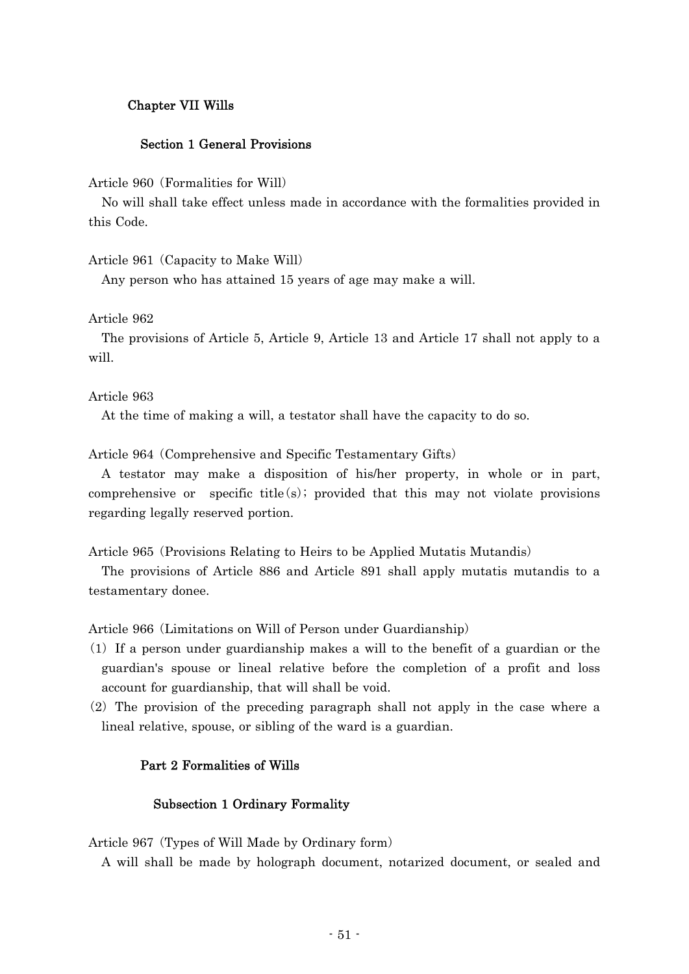# Chapter VII Wills

## Section 1 General Provisions

Article 960 (Formalities for Will)

No will shall take effect unless made in accordance with the formalities provided in this Code.

Article 961 (Capacity to Make Will)

Any person who has attained 15 years of age may make a will.

Article 962

The provisions of Article 5, Article 9, Article 13 and Article 17 shall not apply to a will.

Article 963

At the time of making a will, a testator shall have the capacity to do so.

Article 964 (Comprehensive and Specific Testamentary Gifts)

A testator may make a disposition of his/her property, in whole or in part, comprehensive or specific title  $(s)$ ; provided that this may not violate provisions regarding legally reserved portion.

Article 965 (Provisions Relating to Heirs to be Applied Mutatis Mutandis)

The provisions of Article 886 and Article 891 shall apply mutatis mutandis to a testamentary donee.

Article 966 (Limitations on Will of Person under Guardianship)

- $(1)$  If a person under guardianship makes a will to the benefit of a guardian or the guardian's spouse or lineal relative before the completion of a profit and loss account for guardianship, that will shall be void.
- $(2)$  The provision of the preceding paragraph shall not apply in the case where a lineal relative, spouse, or sibling of the ward is a guardian.

## Part 2 Formalities of Wills

### Subsection 1 Ordinary Formality

Article 967 (Types of Will Made by Ordinary form)

A will shall be made by holograph document, notarized document, or sealed and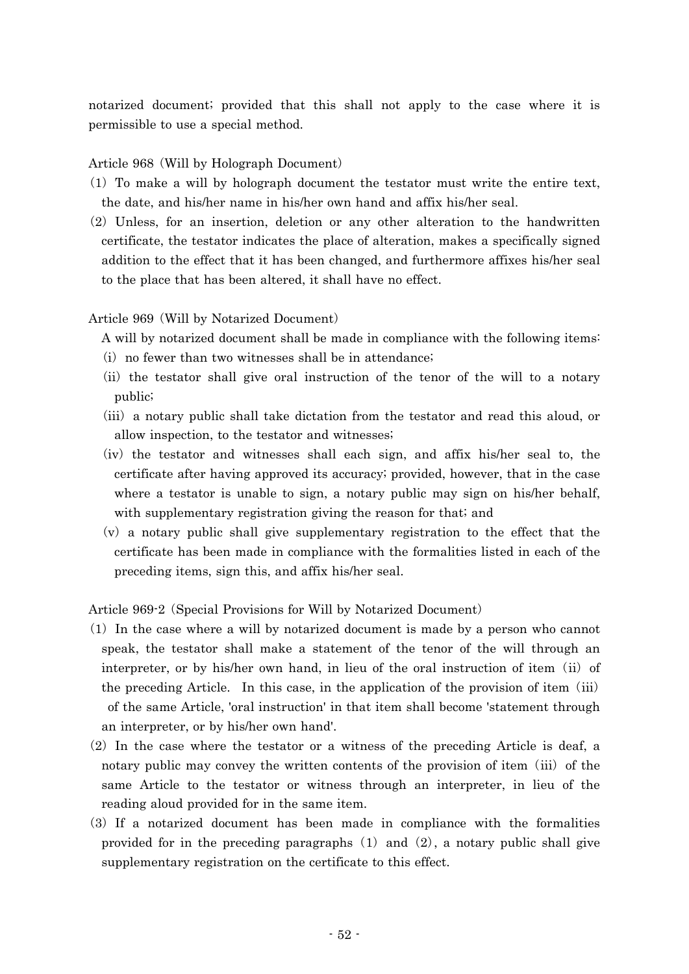notarized document; provided that this shall not apply to the case where it is permissible to use a special method.

Article 968 (Will by Holograph Document)

- ( )1 To make a will by holograph document the testator must write the entire text, the date, and his/her name in his/her own hand and affix his/her seal.
- $(2)$  Unless, for an insertion, deletion or any other alteration to the handwritten certificate, the testator indicates the place of alteration, makes a specifically signed addition to the effect that it has been changed, and furthermore affixes his/her seal to the place that has been altered, it shall have no effect.

# Article 969 (Will by Notarized Document)

A will by notarized document shall be made in compliance with the following items:

- $(i)$  no fewer than two witnesses shall be in attendance;
- (ii) the testator shall give oral instruction of the tenor of the will to a notary public;
- (iii) a notary public shall take dictation from the testator and read this aloud, or allow inspection, to the testator and witnesses;
- $(iv)$  the testator and witnesses shall each sign, and affix his/her seal to, the certificate after having approved its accuracy; provided, however, that in the case where a testator is unable to sign, a notary public may sign on his/her behalf, with supplementary registration giving the reason for that; and
- $(v)$  a notary public shall give supplementary registration to the effect that the certificate has been made in compliance with the formalities listed in each of the preceding items, sign this, and affix his/her seal.

Article 969-2 (Special Provisions for Will by Notarized Document)

- $(1)$  In the case where a will by notarized document is made by a person who cannot speak, the testator shall make a statement of the tenor of the will through an interpreter, or by his/her own hand, in lieu of the oral instruction of item  $(ii)$  of the preceding Article. In this case, in the application of the provision of item  $(iii)$ of the same Article, 'oral instruction' in that item shall become 'statement through an interpreter, or by his/her own hand'.
- $(2)$  In the case where the testator or a witness of the preceding Article is deaf, a notary public may convey the written contents of the provision of item  $(iii)$  of the same Article to the testator or witness through an interpreter, in lieu of the reading aloud provided for in the same item.
- ( )3 If a notarized document has been made in compliance with the formalities provided for in the preceding paragraphs  $(1)$  and  $(2)$ , a notary public shall give supplementary registration on the certificate to this effect.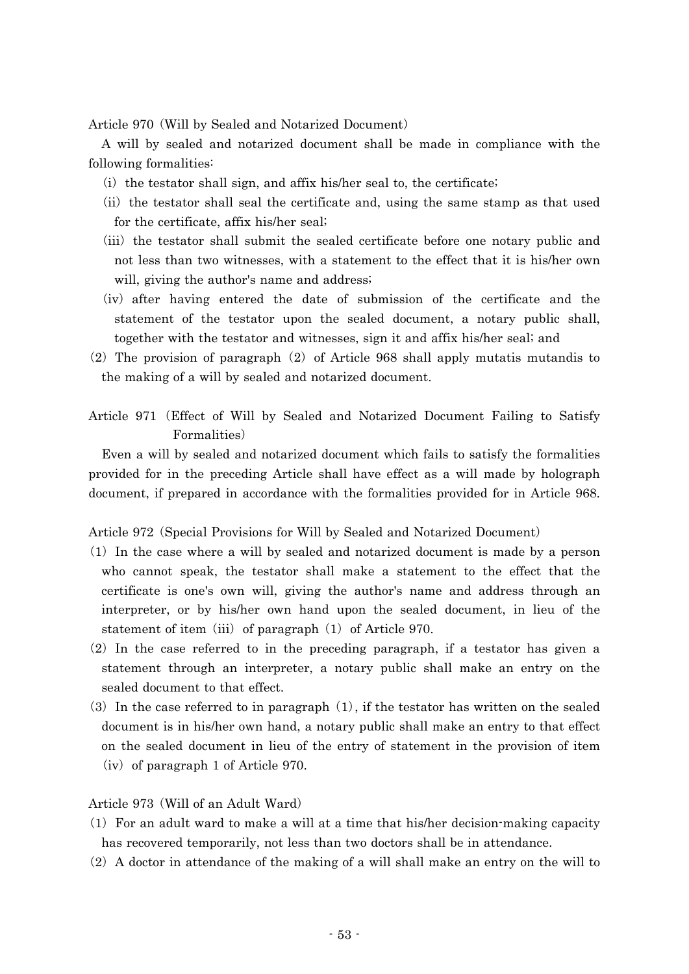Article 970 (Will by Sealed and Notarized Document)

A will by sealed and notarized document shall be made in compliance with the following formalities:

- $(i)$  the testator shall sign, and affix his/her seal to, the certificate;
- (ii) the testator shall seal the certificate and, using the same stamp as that used for the certificate, affix his/her seal;
- (iii) the testator shall submit the sealed certificate before one notary public and not less than two witnesses, with a statement to the effect that it is his/her own will, giving the author's name and address;
- (iv) after having entered the date of submission of the certificate and the statement of the testator upon the sealed document, a notary public shall, together with the testator and witnesses, sign it and affix his/her seal; and
- $(2)$  The provision of paragraph  $(2)$  of Article 968 shall apply mutatis mutandis to the making of a will by sealed and notarized document.
- Article 971 (Effect of Will by Sealed and Notarized Document Failing to Satisfy Formalities)

Even a will by sealed and notarized document which fails to satisfy the formalities provided for in the preceding Article shall have effect as a will made by holograph document, if prepared in accordance with the formalities provided for in Article 968.

Article 972 (Special Provisions for Will by Sealed and Notarized Document)

- ( )1 In the case where a will by sealed and notarized document is made by a person who cannot speak, the testator shall make a statement to the effect that the certificate is one's own will, giving the author's name and address through an interpreter, or by his/her own hand upon the sealed document, in lieu of the statement of item (iii) of paragraph  $(1)$  of Article 970.
- $(2)$  In the case referred to in the preceding paragraph, if a testator has given a statement through an interpreter, a notary public shall make an entry on the sealed document to that effect.
- (3) In the case referred to in paragraph  $(1)$ , if the testator has written on the sealed document is in his/her own hand, a notary public shall make an entry to that effect on the sealed document in lieu of the entry of statement in the provision of item  $(iv)$  of paragraph 1 of Article 970.

Article 973 (Will of an Adult Ward)

- $(1)$  For an adult ward to make a will at a time that his/her decision-making capacity has recovered temporarily, not less than two doctors shall be in attendance.
- $(2)$  A doctor in attendance of the making of a will shall make an entry on the will to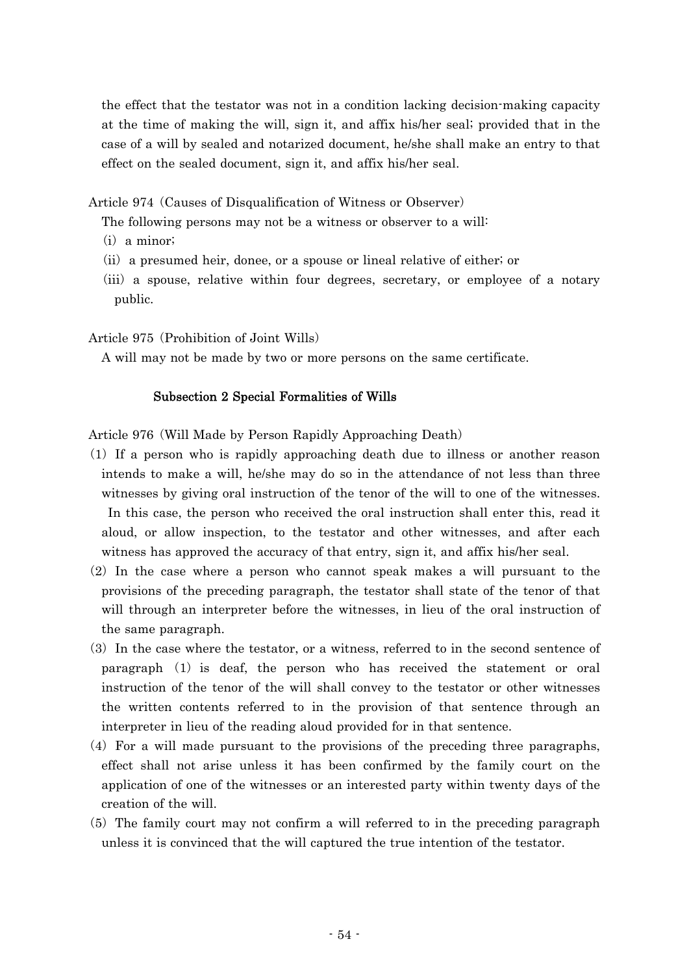the effect that the testator was not in a condition lacking decision-making capacity at the time of making the will, sign it, and affix his/her seal; provided that in the case of a will by sealed and notarized document, he/she shall make an entry to that effect on the sealed document, sign it, and affix his/her seal.

Article 974 (Causes of Disqualification of Witness or Observer)

The following persons may not be a witness or observer to a will:

- $(i)$  a minor;
- $(i)$  a presumed heir, donee, or a spouse or lineal relative of either; or
- (iii) a spouse, relative within four degrees, secretary, or employee of a notary public.

Article 975 (Prohibition of Joint Wills)

A will may not be made by two or more persons on the same certificate.

### Subsection 2 Special Formalities of Wills

Article 976 (Will Made by Person Rapidly Approaching Death)

- ( )1 If a person who is rapidly approaching death due to illness or another reason intends to make a will, he/she may do so in the attendance of not less than three witnesses by giving oral instruction of the tenor of the will to one of the witnesses. In this case, the person who received the oral instruction shall enter this, read it aloud, or allow inspection, to the testator and other witnesses, and after each witness has approved the accuracy of that entry, sign it, and affix his/her seal.
- $(2)$  In the case where a person who cannot speak makes a will pursuant to the provisions of the preceding paragraph, the testator shall state of the tenor of that will through an interpreter before the witnesses, in lieu of the oral instruction of the same paragraph.
- (3) In the case where the testator, or a witness, referred to in the second sentence of paragraph  $(1)$  is deaf, the person who has received the statement or oral instruction of the tenor of the will shall convey to the testator or other witnesses the written contents referred to in the provision of that sentence through an interpreter in lieu of the reading aloud provided for in that sentence.
- $(4)$  For a will made pursuant to the provisions of the preceding three paragraphs, effect shall not arise unless it has been confirmed by the family court on the application of one of the witnesses or an interested party within twenty days of the creation of the will.
- $(5)$  The family court may not confirm a will referred to in the preceding paragraph unless it is convinced that the will captured the true intention of the testator.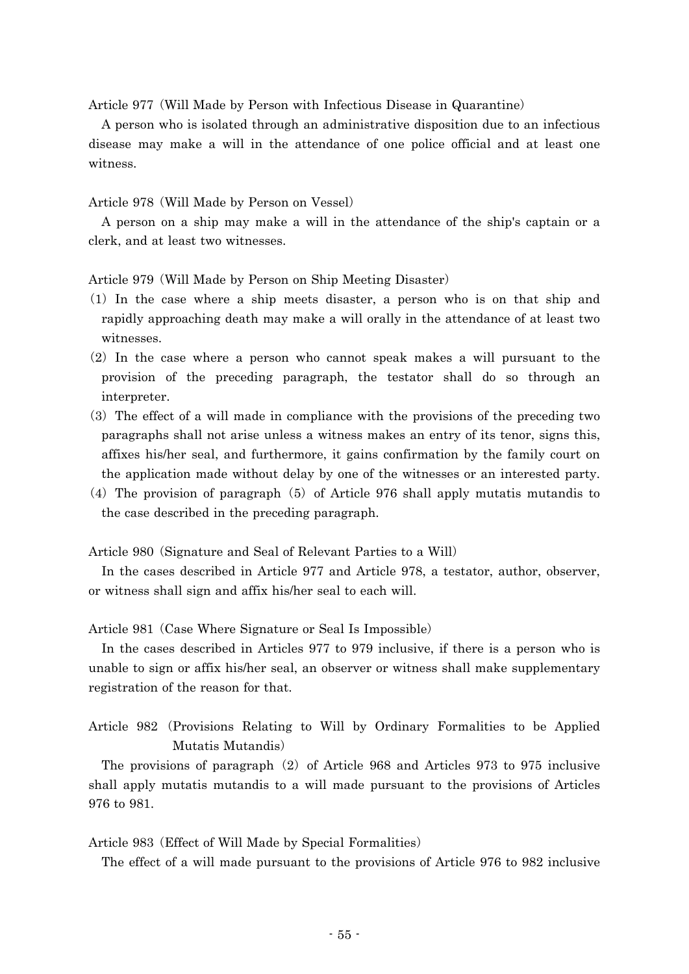Article 977 (Will Made by Person with Infectious Disease in Quarantine)

A person who is isolated through an administrative disposition due to an infectious disease may make a will in the attendance of one police official and at least one witness.

Article 978 (Will Made by Person on Vessel)

A person on a ship may make a will in the attendance of the ship's captain or a clerk, and at least two witnesses.

Article 979 (Will Made by Person on Ship Meeting Disaster)

- ( )1 In the case where a ship meets disaster, a person who is on that ship and rapidly approaching death may make a will orally in the attendance of at least two witnesses.
- $(2)$  In the case where a person who cannot speak makes a will pursuant to the provision of the preceding paragraph, the testator shall do so through an interpreter.
- $(3)$  The effect of a will made in compliance with the provisions of the preceding two paragraphs shall not arise unless a witness makes an entry of its tenor, signs this, affixes his/her seal, and furthermore, it gains confirmation by the family court on the application made without delay by one of the witnesses or an interested party.
- (4) The provision of paragraph  $(5)$  of Article 976 shall apply mutatis mutandis to the case described in the preceding paragraph.

Article 980 (Signature and Seal of Relevant Parties to a Will)

In the cases described in Article 977 and Article 978, a testator, author, observer, or witness shall sign and affix his/her seal to each will.

Article 981 (Case Where Signature or Seal Is Impossible)

In the cases described in Articles 977 to 979 inclusive, if there is a person who is unable to sign or affix his/her seal, an observer or witness shall make supplementary registration of the reason for that.

Article 982 (Provisions Relating to Will by Ordinary Formalities to be Applied Mutatis Mutandis)

The provisions of paragraph  $(2)$  of Article 968 and Articles 973 to 975 inclusive shall apply mutatis mutandis to a will made pursuant to the provisions of Articles 976 to 981.

Article 983 (Effect of Will Made by Special Formalities)

The effect of a will made pursuant to the provisions of Article 976 to 982 inclusive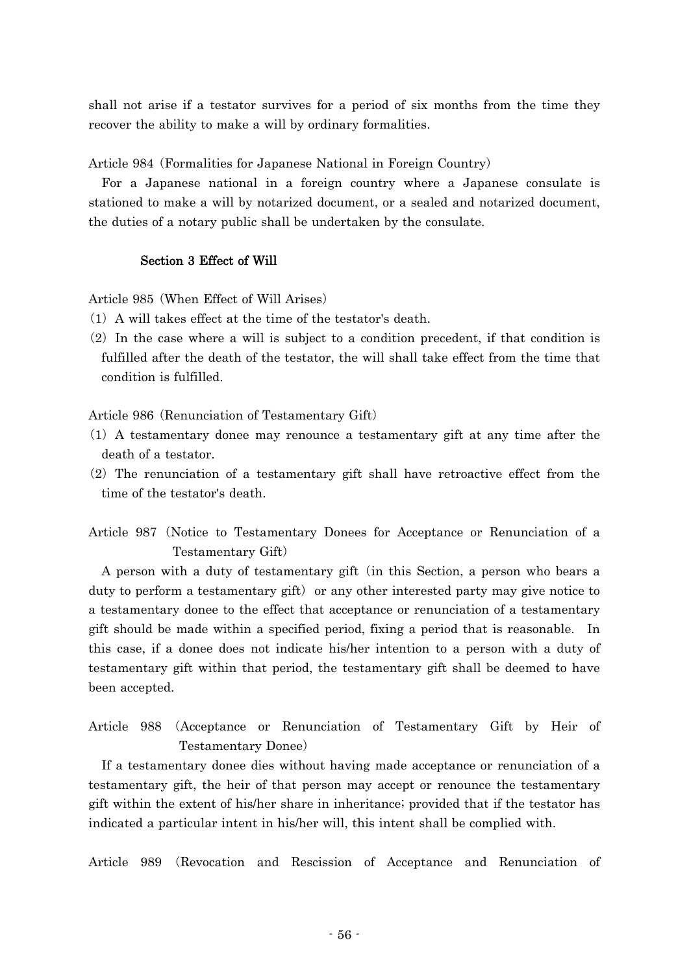shall not arise if a testator survives for a period of six months from the time they recover the ability to make a will by ordinary formalities.

Article 984 (Formalities for Japanese National in Foreign Country)

For a Japanese national in a foreign country where a Japanese consulate is stationed to make a will by notarized document, or a sealed and notarized document, the duties of a notary public shall be undertaken by the consulate.

## Section 3 Effect of Will

Article 985 (When Effect of Will Arises)

- $(1)$  A will takes effect at the time of the testator's death.
- $(2)$  In the case where a will is subject to a condition precedent, if that condition is fulfilled after the death of the testator, the will shall take effect from the time that condition is fulfilled.

Article 986 (Renunciation of Testamentary Gift)

- ( )1 A testamentary donee may renounce a testamentary gift at any time after the death of a testator.
- $(2)$  The renunciation of a testamentary gift shall have retroactive effect from the time of the testator's death.

Article 987 (Notice to Testamentary Donees for Acceptance or Renunciation of a Testamentary Gift)

A person with a duty of testamentary gift (in this Section, a person who bears a duty to perform a testamentary gift) or any other interested party may give notice to a testamentary donee to the effect that acceptance or renunciation of a testamentary gift should be made within a specified period, fixing a period that is reasonable. In this case, if a donee does not indicate his/her intention to a person with a duty of testamentary gift within that period, the testamentary gift shall be deemed to have been accepted.

Article 988 (Acceptance or Renunciation of Testamentary Gift by Heir of Testamentary Donee)

If a testamentary donee dies without having made acceptance or renunciation of a testamentary gift, the heir of that person may accept or renounce the testamentary gift within the extent of his/her share in inheritance; provided that if the testator has indicated a particular intent in his/her will, this intent shall be complied with.

Article 989 (Revocation and Rescission of Acceptance and Renunciation of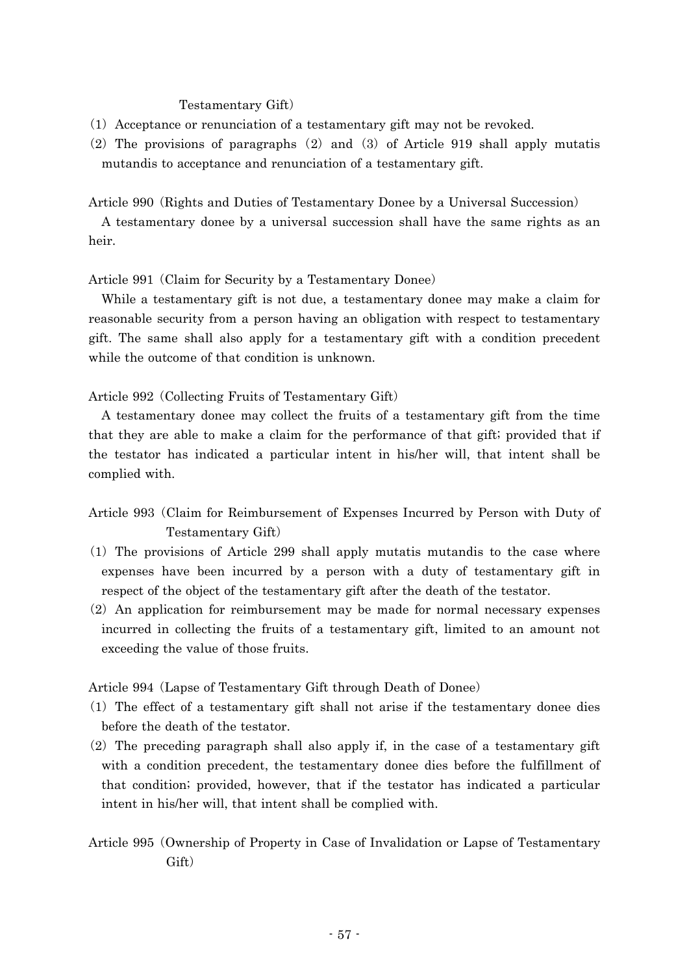### Testamentary Gift)

- ( )1 Acceptance or renunciation of a testamentary gift may not be revoked.
- (2) The provisions of paragraphs  $(2)$  and  $(3)$  of Article 919 shall apply mutatis mutandis to acceptance and renunciation of a testamentary gift.

Article 990 (Rights and Duties of Testamentary Donee by a Universal Succession)

A testamentary donee by a universal succession shall have the same rights as an heir.

Article 991 (Claim for Security by a Testamentary Donee)

While a testamentary gift is not due, a testamentary donee may make a claim for reasonable security from a person having an obligation with respect to testamentary gift. The same shall also apply for a testamentary gift with a condition precedent while the outcome of that condition is unknown.

Article 992 (Collecting Fruits of Testamentary Gift)

A testamentary donee may collect the fruits of a testamentary gift from the time that they are able to make a claim for the performance of that gift; provided that if the testator has indicated a particular intent in his/her will, that intent shall be complied with.

- Article 993 Claim for Reimbursement of Expenses Incurred by Person with Duty of ( Testamentary Gift)
- $(1)$  The provisions of Article 299 shall apply mutatis mutandis to the case where expenses have been incurred by a person with a duty of testamentary gift in respect of the object of the testamentary gift after the death of the testator.
- $(2)$  An application for reimbursement may be made for normal necessary expenses incurred in collecting the fruits of a testamentary gift, limited to an amount not exceeding the value of those fruits.

Article 994 (Lapse of Testamentary Gift through Death of Donee)

- $(1)$  The effect of a testamentary gift shall not arise if the testamentary donee dies before the death of the testator.
- $(2)$  The preceding paragraph shall also apply if, in the case of a testamentary gift with a condition precedent, the testamentary donee dies before the fulfillment of that condition; provided, however, that if the testator has indicated a particular intent in his/her will, that intent shall be complied with.
- Article 995 Ownership of Property in Case of Invalidation or Lapse of Testamentary ( Gift)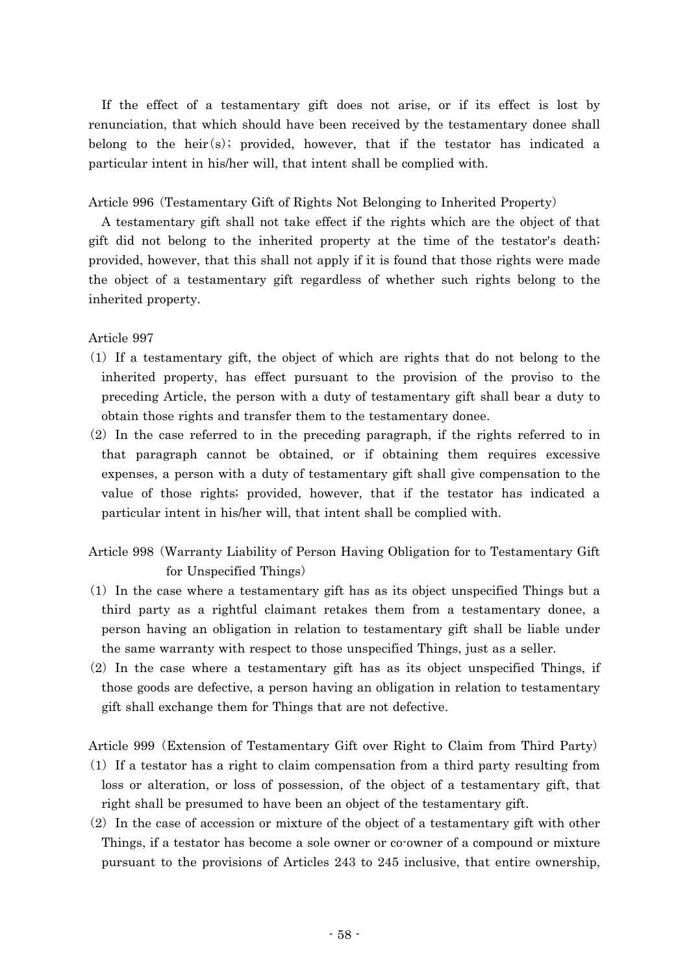If the effect of a testamentary gift does not arise, or if its effect is lost by renunciation, that which should have been received by the testamentary donee shall belong to the heir $(s)$ ; provided, however, that if the testator has indicated a particular intent in his/her will, that intent shall be complied with.

Article 996 (Testamentary Gift of Rights Not Belonging to Inherited Property)

A testamentary gift shall not take effect if the rights which are the object of that gift did not belong to the inherited property at the time of the testator's death; provided, however, that this shall not apply if it is found that those rights were made the object of a testamentary gift regardless of whether such rights belong to the inherited property.

Article 997

- ( )1 If a testamentary gift, the object of which are rights that do not belong to the inherited property, has effect pursuant to the provision of the proviso to the preceding Article, the person with a duty of testamentary gift shall bear a duty to obtain those rights and transfer them to the testamentary donee.
- $(2)$  In the case referred to in the preceding paragraph, if the rights referred to in that paragraph cannot be obtained, or if obtaining them requires excessive expenses, a person with a duty of testamentary gift shall give compensation to the value of those rights; provided, however, that if the testator has indicated a particular intent in his/her will, that intent shall be complied with.
- Article 998 (Warranty Liability of Person Having Obligation for to Testamentary Gift for Unspecified Things)
- $(1)$  In the case where a testamentary gift has as its object unspecified Things but a third party as a rightful claimant retakes them from a testamentary donee, a person having an obligation in relation to testamentary gift shall be liable under the same warranty with respect to those unspecified Things, just as a seller.
- $(2)$  In the case where a testamentary gift has as its object unspecified Things, if those goods are defective, a person having an obligation in relation to testamentary gift shall exchange them for Things that are not defective.

Article 999 (Extension of Testamentary Gift over Right to Claim from Third Party)

- $(1)$  If a testator has a right to claim compensation from a third party resulting from loss or alteration, or loss of possession, of the object of a testamentary gift, that right shall be presumed to have been an object of the testamentary gift.
- $(2)$  In the case of accession or mixture of the object of a testamentary gift with other Things, if a testator has become a sole owner or co-owner of a compound or mixture pursuant to the provisions of Articles 243 to 245 inclusive, that entire ownership,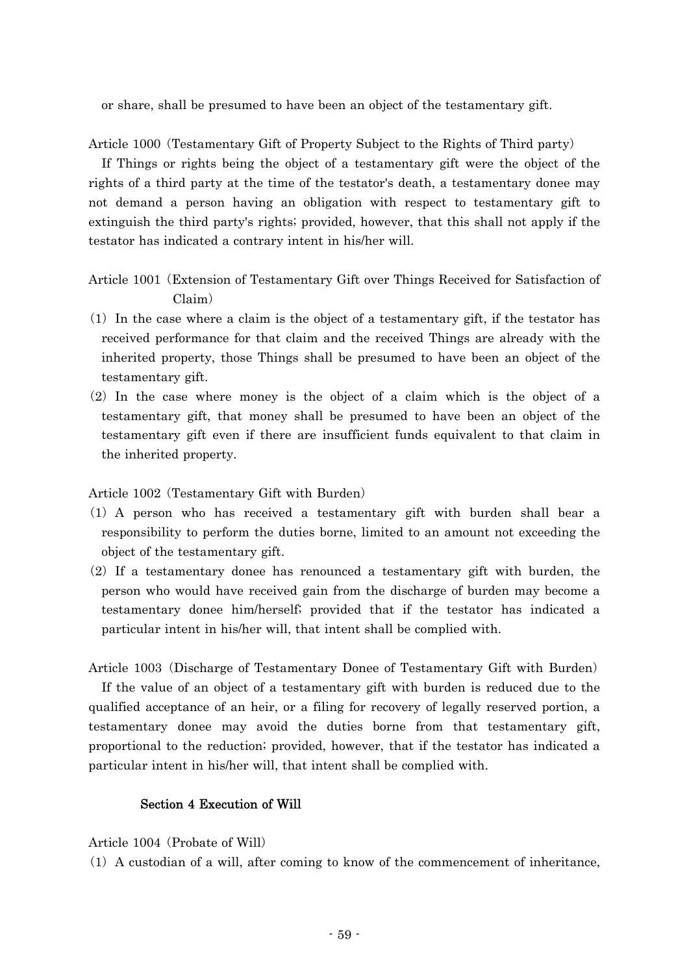or share, shall be presumed to have been an object of the testamentary gift.

Article 1000 (Testamentary Gift of Property Subject to the Rights of Third party)

If Things or rights being the object of a testamentary gift were the object of the rights of a third party at the time of the testator's death, a testamentary donee may not demand a person having an obligation with respect to testamentary gift to extinguish the third party's rights; provided, however, that this shall not apply if the testator has indicated a contrary intent in his/her will.

Article 1001 Extension of Testamentary Gift over Things Received for Satisfaction of ( Claim)

- $(1)$  In the case where a claim is the object of a testamentary gift, if the testator has received performance for that claim and the received Things are already with the inherited property, those Things shall be presumed to have been an object of the testamentary gift.
- $(2)$  In the case where money is the object of a claim which is the object of a testamentary gift, that money shall be presumed to have been an object of the testamentary gift even if there are insufficient funds equivalent to that claim in the inherited property.

Article 1002 (Testamentary Gift with Burden)

- ( )1 A person who has received a testamentary gift with burden shall bear a responsibility to perform the duties borne, limited to an amount not exceeding the object of the testamentary gift.
- $(2)$  If a testamentary donee has renounced a testamentary gift with burden, the person who would have received gain from the discharge of burden may become a testamentary donee him/herself; provided that if the testator has indicated a particular intent in his/her will, that intent shall be complied with.

Article 1003 (Discharge of Testamentary Donee of Testamentary Gift with Burden) If the value of an object of a testamentary gift with burden is reduced due to the qualified acceptance of an heir, or a filing for recovery of legally reserved portion, a testamentary donee may avoid the duties borne from that testamentary gift, proportional to the reduction; provided, however, that if the testator has indicated a particular intent in his/her will, that intent shall be complied with.

## Section 4 Execution of Will

Article 1004 (Probate of Will)

 $(1)$  A custodian of a will, after coming to know of the commencement of inheritance,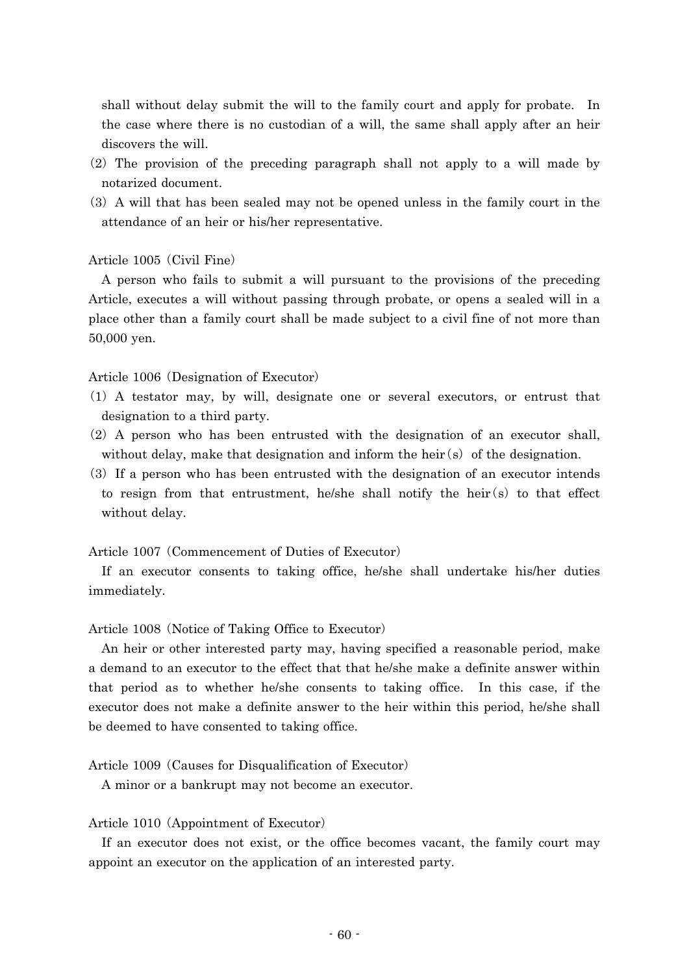shall without delay submit the will to the family court and apply for probate. In the case where there is no custodian of a will, the same shall apply after an heir discovers the will.

- $(2)$  The provision of the preceding paragraph shall not apply to a will made by notarized document.
- (3) A will that has been sealed may not be opened unless in the family court in the attendance of an heir or his/her representative.

### Article 1005 (Civil Fine)

A person who fails to submit a will pursuant to the provisions of the preceding Article, executes a will without passing through probate, or opens a sealed will in a place other than a family court shall be made subject to a civil fine of not more than 50,000 yen.

Article 1006 (Designation of Executor)

- ( )1 A testator may, by will, designate one or several executors, or entrust that designation to a third party.
- $(2)$  A person who has been entrusted with the designation of an executor shall, without delay, make that designation and inform the heir  $(s)$  of the designation.
- (3) If a person who has been entrusted with the designation of an executor intends to resign from that entrustment, he/she shall notify the heir $(s)$  to that effect without delay.

Article 1007 (Commencement of Duties of Executor)

If an executor consents to taking office, he/she shall undertake his/her duties immediately.

Article 1008 (Notice of Taking Office to Executor)

An heir or other interested party may, having specified a reasonable period, make a demand to an executor to the effect that that he/she make a definite answer within that period as to whether he/she consents to taking office. In this case, if the executor does not make a definite answer to the heir within this period, he/she shall be deemed to have consented to taking office.

Article 1009 (Causes for Disqualification of Executor)

A minor or a bankrupt may not become an executor.

### Article 1010 (Appointment of Executor)

If an executor does not exist, or the office becomes vacant, the family court may appoint an executor on the application of an interested party.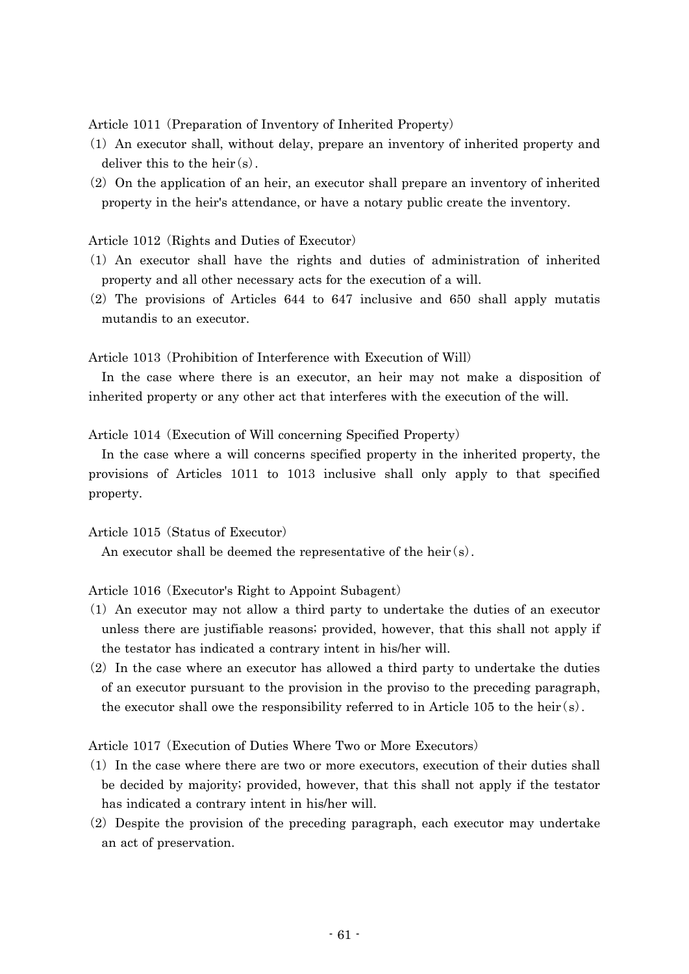Article 1011 (Preparation of Inventory of Inherited Property)

- (1) An executor shall, without delay, prepare an inventory of inherited property and deliver this to the heir  $(s)$ .
- $(2)$  On the application of an heir, an executor shall prepare an inventory of inherited property in the heir's attendance, or have a notary public create the inventory.

Article 1012 (Rights and Duties of Executor)

- ( )1 An executor shall have the rights and duties of administration of inherited property and all other necessary acts for the execution of a will.
- $(2)$  The provisions of Articles 644 to 647 inclusive and 650 shall apply mutatis mutandis to an executor.

Article 1013 (Prohibition of Interference with Execution of Will)

In the case where there is an executor, an heir may not make a disposition of inherited property or any other act that interferes with the execution of the will.

Article 1014 (Execution of Will concerning Specified Property)

In the case where a will concerns specified property in the inherited property, the provisions of Articles 1011 to 1013 inclusive shall only apply to that specified property.

Article 1015 (Status of Executor)

An executor shall be deemed the representative of the heir  $(s)$ .

Article 1016 (Executor's Right to Appoint Subagent)

- ( )1 An executor may not allow a third party to undertake the duties of an executor unless there are justifiable reasons; provided, however, that this shall not apply if the testator has indicated a contrary intent in his/her will.
- $(2)$  In the case where an executor has allowed a third party to undertake the duties of an executor pursuant to the provision in the proviso to the preceding paragraph, the executor shall owe the responsibility referred to in Article 105 to the heir  $(s)$ .

Article 1017 (Execution of Duties Where Two or More Executors)

- (1) In the case where there are two or more executors, execution of their duties shall be decided by majority; provided, however, that this shall not apply if the testator has indicated a contrary intent in his/her will.
- $(2)$  Despite the provision of the preceding paragraph, each executor may undertake an act of preservation.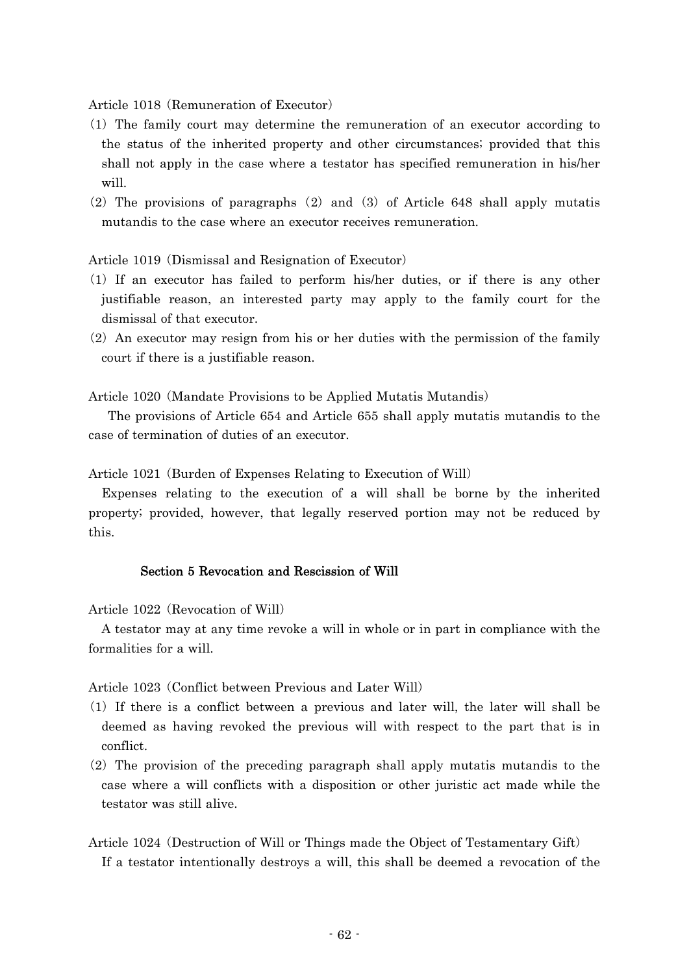Article 1018 (Remuneration of Executor)

- ( )1 The family court may determine the remuneration of an executor according to the status of the inherited property and other circumstances; provided that this shall not apply in the case where a testator has specified remuneration in his/her will.
- (2) The provisions of paragraphs (2) and (3) of Article 648 shall apply mutatis mutandis to the case where an executor receives remuneration.

Article 1019 (Dismissal and Resignation of Executor)

- ( )1 If an executor has failed to perform his/her duties, or if there is any other justifiable reason, an interested party may apply to the family court for the dismissal of that executor.
- $(2)$  An executor may resign from his or her duties with the permission of the family court if there is a justifiable reason.

Article 1020 (Mandate Provisions to be Applied Mutatis Mutandis)

The provisions of Article 654 and Article 655 shall apply mutatis mutandis to the case of termination of duties of an executor.

Article 1021 (Burden of Expenses Relating to Execution of Will)

Expenses relating to the execution of a will shall be borne by the inherited property; provided, however, that legally reserved portion may not be reduced by this.

### Section 5 Revocation and Rescission of Will

Article 1022 (Revocation of Will)

A testator may at any time revoke a will in whole or in part in compliance with the formalities for a will.

Article 1023 (Conflict between Previous and Later Will)

- ( )1 If there is a conflict between a previous and later will, the later will shall be deemed as having revoked the previous will with respect to the part that is in conflict.
- $(2)$  The provision of the preceding paragraph shall apply mutatis mutandis to the case where a will conflicts with a disposition or other juristic act made while the testator was still alive.
- Article 1024 (Destruction of Will or Things made the Object of Testamentary Gift) If a testator intentionally destroys a will, this shall be deemed a revocation of the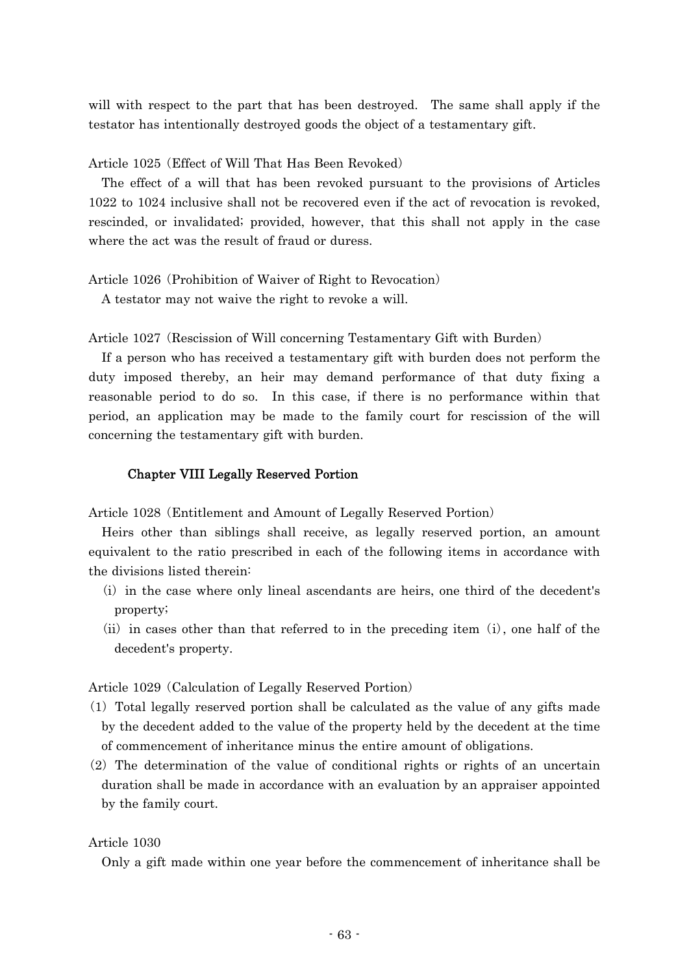will with respect to the part that has been destroyed. The same shall apply if the testator has intentionally destroyed goods the object of a testamentary gift.

Article 1025 (Effect of Will That Has Been Revoked)

The effect of a will that has been revoked pursuant to the provisions of Articles 1022 to 1024 inclusive shall not be recovered even if the act of revocation is revoked, rescinded, or invalidated; provided, however, that this shall not apply in the case where the act was the result of fraud or duress.

Article 1026 (Prohibition of Waiver of Right to Revocation)

A testator may not waive the right to revoke a will.

Article 1027 (Rescission of Will concerning Testamentary Gift with Burden)

If a person who has received a testamentary gift with burden does not perform the duty imposed thereby, an heir may demand performance of that duty fixing a reasonable period to do so. In this case, if there is no performance within that period, an application may be made to the family court for rescission of the will concerning the testamentary gift with burden.

### Chapter VIII Legally Reserved Portion

Article 1028 (Entitlement and Amount of Legally Reserved Portion)

Heirs other than siblings shall receive, as legally reserved portion, an amount equivalent to the ratio prescribed in each of the following items in accordance with the divisions listed therein:

- $(i)$  in the case where only lineal ascendants are heirs, one third of the decedent's property;
- $(i)$  in cases other than that referred to in the preceding item  $(i)$ , one half of the decedent's property.

Article 1029 (Calculation of Legally Reserved Portion)

- $(1)$  Total legally reserved portion shall be calculated as the value of any gifts made by the decedent added to the value of the property held by the decedent at the time of commencement of inheritance minus the entire amount of obligations.
- $(2)$  The determination of the value of conditional rights or rights of an uncertain duration shall be made in accordance with an evaluation by an appraiser appointed by the family court.

### Article 1030

Only a gift made within one year before the commencement of inheritance shall be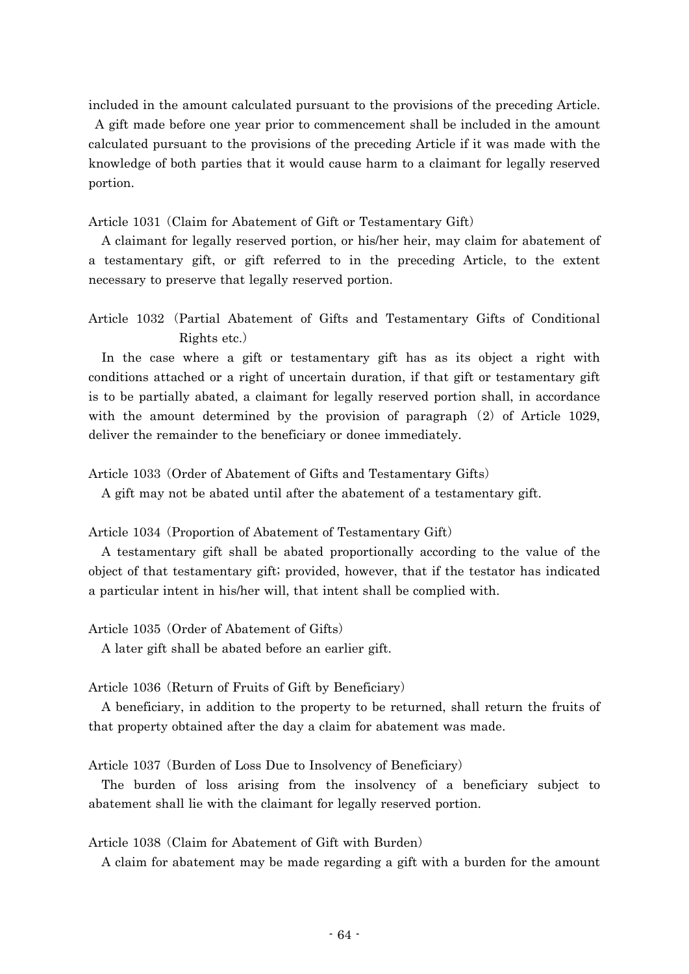included in the amount calculated pursuant to the provisions of the preceding Article.

A gift made before one year prior to commencement shall be included in the amount calculated pursuant to the provisions of the preceding Article if it was made with the knowledge of both parties that it would cause harm to a claimant for legally reserved portion.

Article 1031 (Claim for Abatement of Gift or Testamentary Gift)

A claimant for legally reserved portion, or his/her heir, may claim for abatement of a testamentary gift, or gift referred to in the preceding Article, to the extent necessary to preserve that legally reserved portion.

Article 1032 (Partial Abatement of Gifts and Testamentary Gifts of Conditional Rights etc.)

In the case where a gift or testamentary gift has as its object a right with conditions attached or a right of uncertain duration, if that gift or testamentary gift is to be partially abated, a claimant for legally reserved portion shall, in accordance with the amount determined by the provision of paragraph  $(2)$  of Article 1029, deliver the remainder to the beneficiary or donee immediately.

Article 1033 (Order of Abatement of Gifts and Testamentary Gifts)

A gift may not be abated until after the abatement of a testamentary gift.

Article 1034 (Proportion of Abatement of Testamentary Gift)

A testamentary gift shall be abated proportionally according to the value of the object of that testamentary gift; provided, however, that if the testator has indicated a particular intent in his/her will, that intent shall be complied with.

Article 1035 (Order of Abatement of Gifts)

A later gift shall be abated before an earlier gift.

Article 1036 (Return of Fruits of Gift by Beneficiary)

A beneficiary, in addition to the property to be returned, shall return the fruits of that property obtained after the day a claim for abatement was made.

Article 1037 (Burden of Loss Due to Insolvency of Beneficiary)

The burden of loss arising from the insolvency of a beneficiary subject to abatement shall lie with the claimant for legally reserved portion.

Article 1038 (Claim for Abatement of Gift with Burden)

A claim for abatement may be made regarding a gift with a burden for the amount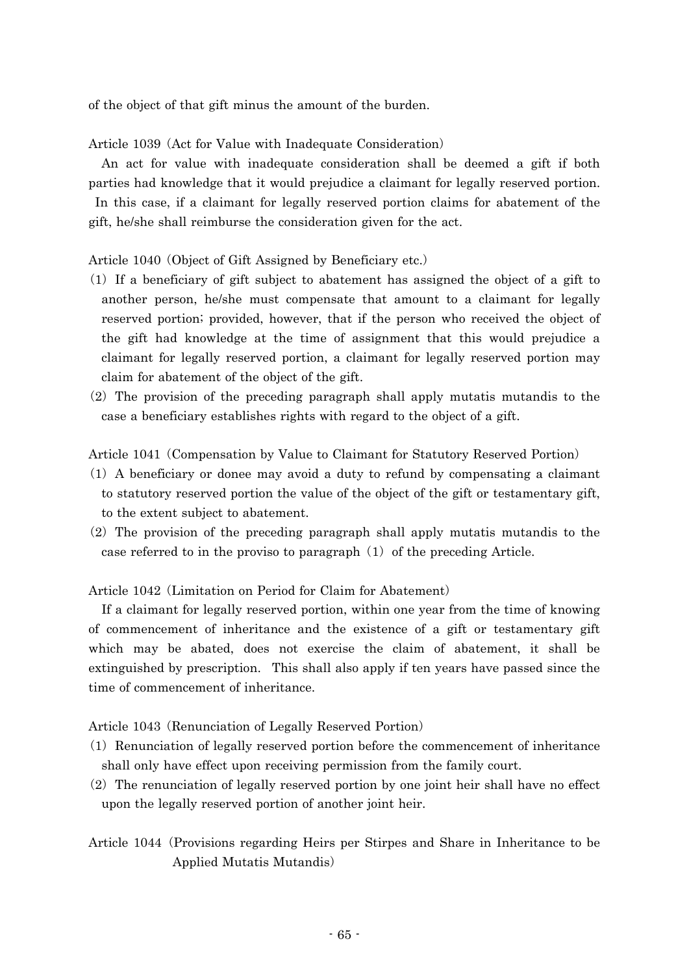of the object of that gift minus the amount of the burden.

Article 1039 (Act for Value with Inadequate Consideration)

An act for value with inadequate consideration shall be deemed a gift if both parties had knowledge that it would prejudice a claimant for legally reserved portion. In this case, if a claimant for legally reserved portion claims for abatement of the gift, he/she shall reimburse the consideration given for the act.

Article 1040 (Object of Gift Assigned by Beneficiary etc.)

- $(1)$  If a beneficiary of gift subject to abatement has assigned the object of a gift to another person, he/she must compensate that amount to a claimant for legally reserved portion; provided, however, that if the person who received the object of the gift had knowledge at the time of assignment that this would prejudice a claimant for legally reserved portion, a claimant for legally reserved portion may claim for abatement of the object of the gift.
- $(2)$  The provision of the preceding paragraph shall apply mutatis mutandis to the case a beneficiary establishes rights with regard to the object of a gift.

Article 1041 (Compensation by Value to Claimant for Statutory Reserved Portion)

- ( )1 A beneficiary or donee may avoid a duty to refund by compensating a claimant to statutory reserved portion the value of the object of the gift or testamentary gift, to the extent subject to abatement.
- $(2)$  The provision of the preceding paragraph shall apply mutatis mutandis to the case referred to in the proviso to paragraph  $(1)$  of the preceding Article.

Article 1042 (Limitation on Period for Claim for Abatement)

If a claimant for legally reserved portion, within one year from the time of knowing of commencement of inheritance and the existence of a gift or testamentary gift which may be abated, does not exercise the claim of abatement, it shall be extinguished by prescription. This shall also apply if ten years have passed since the time of commencement of inheritance.

Article 1043 (Renunciation of Legally Reserved Portion)

- $(1)$  Renunciation of legally reserved portion before the commencement of inheritance shall only have effect upon receiving permission from the family court.
- $(2)$  The renunciation of legally reserved portion by one joint heir shall have no effect upon the legally reserved portion of another joint heir.

Article 1044 (Provisions regarding Heirs per Stirpes and Share in Inheritance to be Applied Mutatis Mutandis)